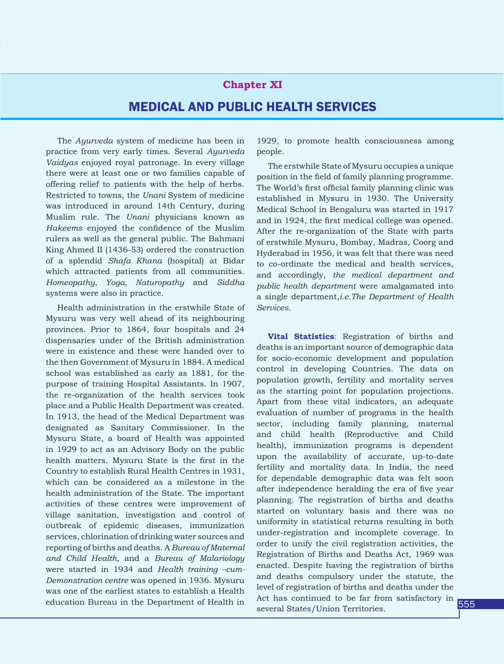## **Chapter XI**

## Medical and Public Health Services

The *Ayurveda* system of medicine has been in practice from very early times. Several *Ayurveda Vaidyas* enjoyed royal patronage. In every village there were at least one or two families capable of offering relief to patients with the help of herbs. Restricted to towns, the *Unani* System of medicine was introduced in around 14th Century, during Muslim rule. The *Unani* physicians known as *Hakeems* enjoyed the confidence of the Muslim rulers as well as the general public. The Bahmani King Ahmed II (1436-53) ordered the construction of a splendid *Shafa Khana* (hospital) at Bidar which attracted patients from all communities. *Homeopathy, Yoga, Naturopathy* and *Siddha* systems were also in practice.

Health administration in the erstwhile State of Mysuru was very well ahead of its neighbouring provinces. Prior to 1864, four hospitals and 24 dispensaries under of the British administration were in existence and these were handed over to the then Government of Mysuru in 1884. A medical school was established as early as 1881, for the purpose of training Hospital Assistants. In 1907, the re-organization of the health services took place and a Public Health Department was created. In 1913, the head of the Medical Department was designated as Sanitary Commissioner. In the Mysuru State, a board of Health was appointed in 1929 to act as an Advisory Body on the public health matters. Mysuru State is the first in the Country to establish Rural Health Centres in 1931, which can be considered as a milestone in the health administration of the State. The important activities of these centres were improvement of village sanitation, investigation and control of outbreak of epidemic diseases, immunization services, chlorination of drinking water sources and reporting of births and deaths. A *Bureau of Maternal and Child Health,* and a *Bureau of Malariology* were started in 1934 and *Health training –cum-Demonstration centre* was opened in 1936. Mysuru was one of the earliest states to establish a Health education Bureau in the Department of Health in

1929, to promote health consciousness among people.

The erstwhile State of Mysuru occupies a unique position in the field of family planning programme. The World's first official family planning clinic was established in Mysuru in 1930. The University Medical School in Bengaluru was started in 1917 and in 1924, the first medical college was opened. After the re-organization of the State with parts of erstwhile Mysuru, Bombay, Madras, Coorg and Hyderabad in 1956, it was felt that there was need to co-ordinate the medical and health services, and accordingly, *the medical department and public health department* were amalgamated into a single department,*i.e.The Department of Health Services.*

**Vital Statistics**: Registration of births and deaths is an important source of demographic data for socio-economic development and population control in developing Countries. The data on population growth, fertility and mortality serves as the starting point for population projections. Apart from these vital indicators, an adequate evaluation of number of programs in the health sector, including family planning, maternal and child health (Reproductive and Child health), immunization programs is dependent upon the availability of accurate, up-to-date fertility and mortality data. In India, the need for dependable demographic data was felt soon after independence heralding the era of five year planning. The registration of births and deaths started on voluntary basis and there was no uniformity in statistical returns resulting in both under-registration and incomplete coverage. In order to unify the civil registration activities, the Registration of Births and Deaths Act, 1969 was enacted. Despite having the registration of births and deaths compulsory under the statute, the level of registration of births and deaths under the Act has continued to be far from satisfactory in several States/Union Territories.

MEDICAL AND PUBLIC PEOPLE HISTORY introduction EDUCATION AND SPORTS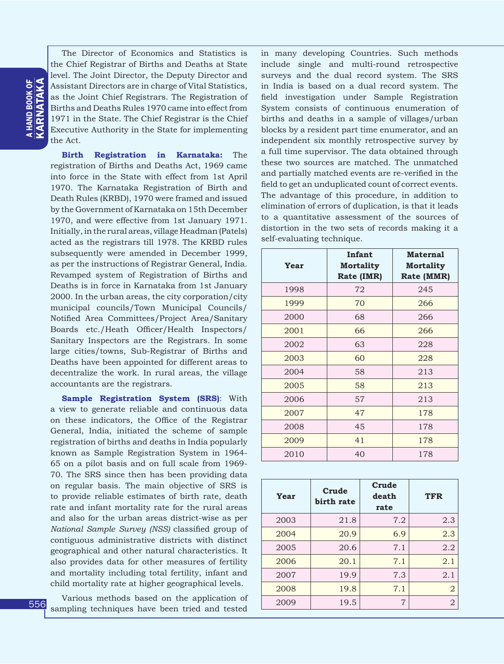556

The Director of Economics and Statistics is the Chief Registrar of Births and Deaths at State level. The Joint Director, the Deputy Director and Assistant Directors are in charge of Vital Statistics, as the Joint Chief Registrars. The Registration of Births and Deaths Rules 1970 came into effect from 1971 in the State. The Chief Registrar is the Chief Executive Authority in the State for implementing the Act.

**Birth Registration in Karnataka:** The registration of Births and Deaths Act, 1969 came into force in the State with effect from 1st April 1970. The Karnataka Registration of Birth and Death Rules (KRBD), 1970 were framed and issued by the Government of Karnataka on 15th December 1970, and were effective from 1st January 1971. Initially, in the rural areas, village Headman (Patels) acted as the registrars till 1978. The KRBD rules subsequently were amended in December 1999, as per the instructions of Registrar General, India. Revamped system of Registration of Births and Deaths is in force in Karnataka from 1st January 2000. In the urban areas, the city corporation/city municipal councils/Town Municipal Councils/ Notified Area Committees/Project Area/Sanitary Boards etc./Heath Officer/Health Inspectors/ Sanitary Inspectors are the Registrars. In some large cities/towns, Sub-Registrar of Births and Deaths have been appointed for different areas to decentralize the work. In rural areas, the village accountants are the registrars.

**Sample Registration System (SRS)**: With a view to generate reliable and continuous data on these indicators, the Office of the Registrar General, India, initiated the scheme of sample registration of births and deaths in India popularly known as Sample Registration System in 1964- 65 on a pilot basis and on full scale from 1969- 70. The SRS since then has been providing data on regular basis. The main objective of SRS is to provide reliable estimates of birth rate, death rate and infant mortality rate for the rural areas and also for the urban areas district-wise as per *National Sample Survey (NSS)* classified group of contiguous administrative districts with distinct geographical and other natural characteristics. It also provides data for other measures of fertility and mortality including total fertility, infant and child mortality rate at higher geographical levels.

Various methods based on the application of sampling techniques have been tried and tested

in many developing Countries. Such methods include single and multi-round retrospective surveys and the dual record system. The SRS in India is based on a dual record system. The field investigation under Sample Registration System consists of continuous enumeration of births and deaths in a sample of villages/urban blocks by a resident part time enumerator, and an independent six monthly retrospective survey by a full time supervisor. The data obtained through these two sources are matched. The unmatched and partially matched events are re-verified in the field to get an unduplicated count of correct events. The advantage of this procedure, in addition to elimination of errors of duplication, is that it leads to a quantitative assessment of the sources of distortion in the two sets of records making it a self-evaluating technique.

| Year | Infant<br><b>Mortality</b><br>Rate (IMR) | <b>Maternal</b><br><b>Mortality</b><br>Rate (MMR) |
|------|------------------------------------------|---------------------------------------------------|
| 1998 | 72                                       | 245                                               |
| 1999 | 70                                       | 266                                               |
| 2000 | 68                                       | 266                                               |
| 2001 | 66                                       | 266                                               |
| 2002 | 63                                       | 228                                               |
| 2003 | 60                                       | 228                                               |
| 2004 | 58                                       | 213                                               |
| 2005 | 58                                       | 213                                               |
| 2006 | 57                                       | 213                                               |
| 2007 | 47                                       | 178                                               |
| 2008 | 45                                       | 178                                               |
| 2009 | 41                                       | 178                                               |
| 2010 | 40                                       | 178                                               |

| Year | Crude<br>birth rate | Crude<br>death<br>rate | <b>TFR</b>     |
|------|---------------------|------------------------|----------------|
| 2003 | 21.8                | 7.2                    | 2.3            |
| 2004 | 20.9                | 6.9                    | 2.3            |
| 2005 | 20.6                | 7.1                    | 2.2            |
| 2006 | 20.1                | 7.1                    | 2.1            |
| 2007 | 19.9                | 7.3                    | 2.1            |
| 2008 | 19.8                | 7.1                    | $\overline{2}$ |
| 2009 | 19.5                | 7                      | $\overline{2}$ |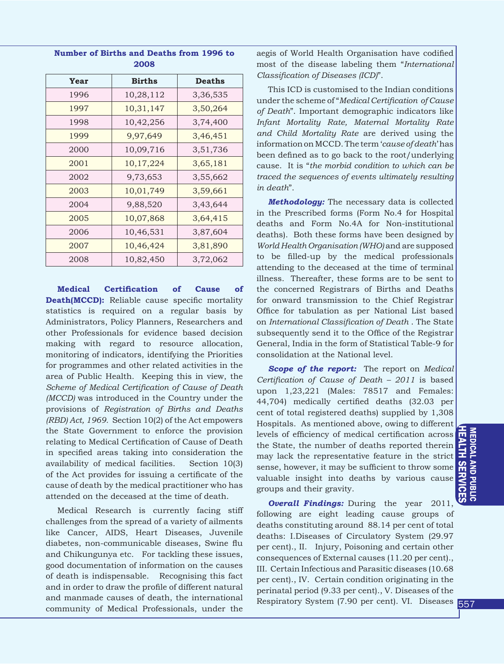| Year | <b>Births</b> | <b>Deaths</b> |  |  |
|------|---------------|---------------|--|--|
| 1996 | 10,28,112     | 3,36,535      |  |  |
| 1997 | 10,31,147     | 3,50,264      |  |  |
| 1998 | 10,42,256     | 3,74,400      |  |  |
| 1999 | 9,97,649      | 3,46,451      |  |  |
| 2000 | 10,09,716     | 3,51,736      |  |  |
| 2001 | 10,17,224     | 3,65,181      |  |  |
| 2002 | 9,73,653      | 3,55,662      |  |  |
| 2003 | 10,01,749     | 3,59,661      |  |  |
| 2004 | 9,88,520      | 3,43,644      |  |  |
| 2005 | 10,07,868     | 3,64,415      |  |  |
| 2006 | 10,46,531     | 3,87,604      |  |  |
| 2007 | 10,46,424     | 3,81,890      |  |  |
| 2008 | 10,82,450     | 3,72,062      |  |  |

**Number of Births and Deaths from 1996 to 2008**

**Medical Certification of Cause of Death(MCCD):** Reliable cause specific mortality statistics is required on a regular basis by Administrators, Policy Planners, Researchers and other Professionals for evidence based decision making with regard to resource allocation, monitoring of indicators, identifying the Priorities for programmes and other related activities in the area of Public Health. Keeping this in view, the *Scheme of Medical Certification of Cause of Death (MCCD)* was introduced in the Country under the provisions of *Registration of Births and Deaths (RBD) Act, 1969.* Section 10(2) of the Act empowers the State Government to enforce the provision relating to Medical Certification of Cause of Death in specified areas taking into consideration the availability of medical facilities. Section 10(3) of the Act provides for issuing a certificate of the cause of death by the medical practitioner who has attended on the deceased at the time of death.

Medical Research is currently facing stiff challenges from the spread of a variety of ailments like Cancer, AIDS, Heart Diseases, Juvenile diabetes, non-communicable diseases, Swine flu and Chikungunya etc. For tackling these issues, good documentation of information on the causes of death is indispensable. Recognising this fact and in order to draw the profile of different natural and manmade causes of death, the international community of Medical Professionals, under the aegis of World Health Organisation have codified most of the disease labeling them "*International Classification of Diseases (ICD)*".

This ICD is customised to the Indian conditions under the scheme of "*Medical Certification of Cause of Death*". Important demographic indicators like *Infant Mortality Rate, Maternal Mortality Rate and Child Mortality Rate* are derived using the information on MCCD. The term '*cause of death*' has been defined as to go back to the root/underlying cause. It is "*the morbid condition to which can be traced the sequences of events ultimately resulting in death*".

*Methodology:* The necessary data is collected in the Prescribed forms (Form No.4 for Hospital deaths and Form No.4A for Non-institutional deaths). Both these forms have been designed by *World Health Organisation (WHO)* and are supposed to be filled-up by the medical professionals attending to the deceased at the time of terminal illness. Thereafter, these forms are to be sent to the concerned Registrars of Births and Deaths for onward transmission to the Chief Registrar Office for tabulation as per National List based on *International Classification of Death* . The State subsequently send it to the Office of the Registrar General, India in the form of Statistical Table-9 for consolidation at the National level.

*Scope of the report:* The report on *Medical Certification of Cause of Death – 2011* is based upon 1,23,221 (Males: 78517 and Females: 44,704) medically certified deaths (32.03 per cent of total registered deaths) supplied by 1,308 Hospitals. As mentioned above, owing to different levels of efficiency of medical certification across the State, the number of deaths reported therein may lack the representative feature in the strict sense, however, it may be sufficient to throw some valuable insight into deaths by various cause groups and their gravity.

*Overall Findings:* During the year 2011, following are eight leading cause groups of deaths constituting around 88.14 per cent of total deaths: I.Diseases of Circulatory System (29.97 per cent)., II. Injury, Poisoning and certain other consequences of External causes (11.20 per cent)., III. Certain Infectious and Parasitic diseases (10.68 per cent)., IV. Certain condition originating in the perinatal period (9.33 per cent)., V. Diseases of the Respiratory System (7.90 per cent). VI. Diseases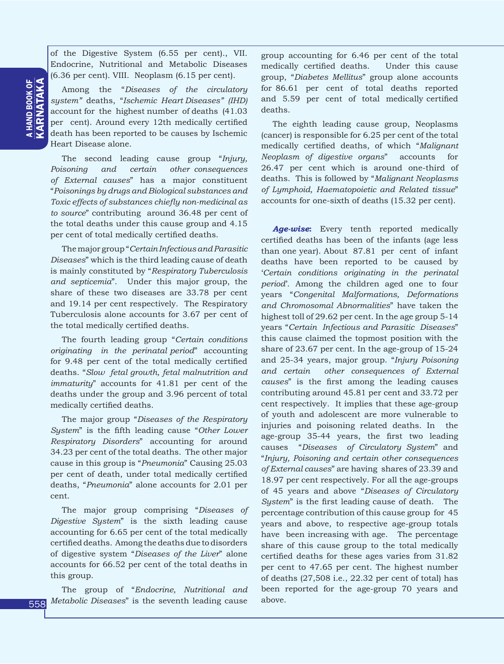of the Digestive System (6.55 per cent)., VII. Endocrine, Nutritional and Metabolic Diseases (6.36 per cent). VIII. Neoplasm (6.15 per cent).

Among the "*Diseases of the circulatory system"* deaths, "*Ischemic Heart Diseases" (IHD)* account for the highest number of deaths (41.03 per cent). Around every 12th medically certified death has been reported to be causes by Ischemic Heart Disease alone.

The second leading cause group "*Injury, Poisoning and certain other consequences of External causes*" has a major constituent "*Poisonings by drugs and Biological substances and Toxic effects of substances chiefly non-medicinal as to source*" contributing around 36.48 per cent of the total deaths under this cause group and 4.15 per cent of total medically certified deaths.

The major group "*Certain Infectious and Parasitic Diseases*" which is the third leading cause of death is mainly constituted by "*Respiratory Tuberculosis and septicemia*". Under this major group, the share of these two diseases are 33.78 per cent and 19.14 per cent respectively. The Respiratory Tuberculosis alone accounts for 3.67 per cent of the total medically certified deaths.

The fourth leading group "*Certain conditions originating in the perinatal period*" accounting for 9.48 per cent of the total medically certified deaths. "*Slow fetal growth, fetal malnutrition and immaturity*" accounts for 41.81 per cent of the deaths under the group and 3.96 percent of total medically certified deaths.

The major group "*Diseases of the Respiratory System*" is the fifth leading cause "*Other Lower Respiratory Disorders*" accounting for around 34.23 per cent of the total deaths. The other major cause in this group is "*Pneumonia*" Causing 25.03 per cent of death, under total medically certified deaths, "*Pneumonia*" alone accounts for 2.01 per cent.

The major group comprising "*Diseases of Digestive System*" is the sixth leading cause accounting for 6.65 per cent of the total medically certified deaths. Among the deaths due to disorders of digestive system "*Diseases of the Liver*" alone accounts for 66.52 per cent of the total deaths in this group.

The group of "*Endocrine, Nutritional and Metabolic Diseases*" is the seventh leading cause

group accounting for 6.46 per cent of the total medically certified deaths. Under this cause group, "*Diabetes Mellitus*" group alone accounts for 86.61 per cent of total deaths reported and 5.59 per cent of total medically certified deaths.

The eighth leading cause group, Neoplasms (cancer) is responsible for 6.25 per cent of the total medically certified deaths, of which "*Malignant Neoplasm of digestive organs*" accounts for 26.47 per cent which is around one-third of deaths. This is followed by "*Malignant Neoplasms of Lymphoid, Haematopoietic and Related tissue*" accounts for one-sixth of deaths (15.32 per cent).

*Age-wise***:** Every tenth reported medically certified deaths has been of the infants (age less than one year). About 87.81 per cent of infant deaths have been reported to be caused by '*Certain conditions originating in the perinatal period*'. Among the children aged one to four years "*Congenital Malformations, Deformations and Chromosomal Abnormalities*" have taken the highest toll of 29.62 per cent. In the age group 5-14 years "*Certain Infectious and Parasitic Diseases*" this cause claimed the topmost position with the share of 23.67 per cent. In the age-group of 15-24 and 25-34 years, major group. "*Injury Poisoning and certain other consequences of External causes*" is the first among the leading causes contributing around 45.81 per cent and 33.72 per cent respectively. It implies that these age-group of youth and adolescent are more vulnerable to injuries and poisoning related deaths. In the age-group 35-44 years, the first two leading causes "*Diseases of Circulatory System*" and "*Injury, Poisoning and certain other consequences of External causes*" are having shares of 23.39 and 18.97 per cent respectively. For all the age-groups of 45 years and above "*Diseases of Circulatory System*" is the first leading cause of death. The percentage contribution of this cause group for 45 years and above, to respective age-group totals have been increasing with age. The percentage share of this cause group to the total medically certified deaths for these ages varies from 31.82 per cent to 47.65 per cent. The highest number of deaths (27,508 i.e., 22.32 per cent of total) has been reported for the age-group 70 years and above.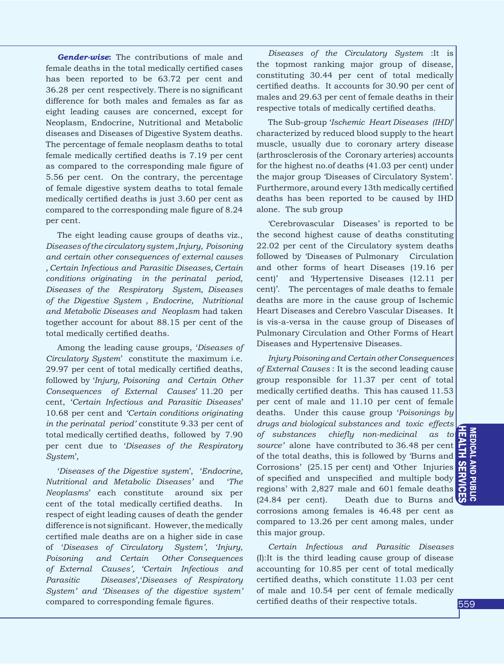*Gender-wise***:** The contributions of male and female deaths in the total medically certified cases has been reported to be 63.72 per cent and 36.28 per cent respectively. There is no significant difference for both males and females as far as eight leading causes are concerned, except for Neoplasm, Endocrine, Nutritional and Metabolic diseases and Diseases of Digestive System deaths. The percentage of female neoplasm deaths to total female medically certified deaths is 7.19 per cent as compared to the corresponding male figure of 5.56 per cent. On the contrary, the percentage of female digestive system deaths to total female medically certified deaths is just 3.60 per cent as compared to the corresponding male figure of 8.24 per cent.

The eight leading cause groups of deaths viz., *Diseases of the circulatory system ,Injury, Poisoning and certain other consequences of external causes , Certain Infectious and Parasitic Diseases, Certain conditions originating in the perinatal period, Diseases of the Respiratory System, Diseases of the Digestive System , Endocrine, Nutritional and Metabolic Diseases and Neoplasm* had taken together account for about 88.15 per cent of the total medically certified deaths.

Among the leading cause groups, '*Diseases of Circulatory System*' constitute the maximum i.e. 29.97 per cent of total medically certified deaths, followed by '*Injury, Poisoning and Certain Other Consequences of External Causes*' 11.20 per cent, '*Certain Infectious and Parasitic Diseases*' 10.68 per cent and *'Certain conditions originating in the perinatal period'* constitute 9.33 per cent of total medically certified deaths, followed by 7.90 per cent due to '*Diseases of the Respiratory System*',

'*Diseases of the Digestive system*', '*Endocrine, Nutritional and Metabolic Diseases'* and '*The Neoplasms*' each constitute around six per cent of the total medically certified deaths. In respect of eight leading causes of death the gender difference is not significant. However, the medically certified male deaths are on a higher side in case of '*Diseases of Circulatory System'*, '*Injury, Poisoning and Certain Other Consequences of External Causes', 'Certain Infectious and Parasitic Diseases*','*Diseases of Respiratory System' and 'Diseases of the digestive system'*  compared to corresponding female figures.

*Diseases of the Circulatory System* :It is the topmost ranking major group of disease, constituting 30.44 per cent of total medically certified deaths. It accounts for 30.90 per cent of males and 29.63 per cent of female deaths in their respective totals of medically certified deaths.

The Sub-group '*Ischemic Heart Diseases (IHD)*' characterized by reduced blood supply to the heart muscle, usually due to coronary artery disease (arthrosclerosis of the Coronary arteries) accounts for the highest no.of deaths (41.03 per cent) under the major group 'Diseases of Circulatory System'. Furthermore, around every 13th medically certified deaths has been reported to be caused by IHD alone. The sub group

'Cerebrovascular Diseases' is reported to be the second highest cause of deaths constituting 22.02 per cent of the Circulatory system deaths followed by 'Diseases of Pulmonary Circulation and other forms of heart Diseases (19.16 per cent)' and 'Hypertensive Diseases (12.11 per cent)'. The percentages of male deaths to female deaths are more in the cause group of Ischemic Heart Diseases and Cerebro Vascular Diseases. It is vis-a-versa in the cause group of Diseases of Pulmonary Circulation and Other Forms of Heart Diseases and Hypertensive Diseases.

*Injury Poisoning and Certain other Consequences of External Causes* : It is the second leading cause group responsible for 11.37 per cent of total medically certified deaths. This has caused 11.53 per cent of male and 11.10 per cent of female deaths. Under this cause group '*Poisonings by drugs and biological substances and toxic effects of substances chiefly non-medicinal as to source'* alone have contributed to 36.48 per cent of the total deaths, this is followed by 'Burns and Corrosions' (25.15 per cent) and 'Other Injuries of specified and unspecified and multiple body regions' with 2,827 male and 601 female deaths  $\overline{\Omega}$ (24.84 per cent). Death due to Burns and corrosions among females is 46.48 per cent as compared to 13.26 per cent among males, under this major group.

*Certain Infectious and Parasitic Diseases* (I):It is the third leading cause group of disease accounting for 10.85 per cent of total medically certified deaths, which constitute 11.03 per cent of male and 10.54 per cent of female medically certified deaths of their respective totals.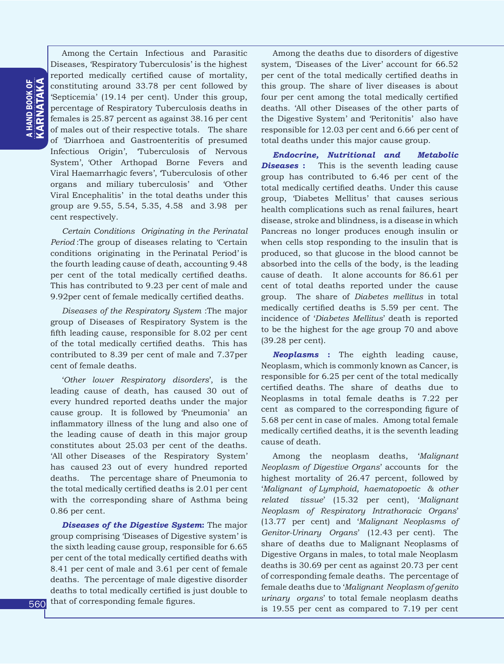Among the Certain Infectious and Parasitic Diseases, 'Respiratory Tuberculosis' is the highest reported medically certified cause of mortality, constituting around 33.78 per cent followed by 'Septicemia' (19.14 per cent). Under this group, percentage of Respiratory Tuberculosis deaths in females is 25.87 percent as against 38.16 per cent of males out of their respective totals. The share of 'Diarrhoea and Gastroenteritis of presumed Infectious Origin', 'Tuberculosis of Nervous System', 'Other Arthopad Borne Fevers and Viral Haemarrhagic fevers', 'Tuberculosis of other organs and miliary tuberculosis' and 'Other Viral Encephalitis' in the total deaths under this group are 9.55, 5.54, 5.35, 4.58 and 3.98 per cent respectively.

*Certain Conditions Originating in the Perinatal Period* :The group of diseases relating to 'Certain conditions originating in the Perinatal Period' is the fourth leading cause of death, accounting 9.48 per cent of the total medically certified deaths. This has contributed to 9.23 per cent of male and 9.92per cent of female medically certified deaths.

*Diseases of the Respiratory System* :The major group of Diseases of Respiratory System is the fifth leading cause, responsible for 8.02 per cent of the total medically certified deaths. This has contributed to 8.39 per cent of male and 7.37per cent of female deaths.

'*Other lower Respiratory disorders*', is the leading cause of death, has caused 30 out of every hundred reported deaths under the major cause group. It is followed by 'Pneumonia' an inflammatory illness of the lung and also one of the leading cause of death in this major group constitutes about 25.03 per cent of the deaths. 'All other Diseases of the Respiratory System' has caused 23 out of every hundred reported deaths. The percentage share of Pneumonia to the total medically certified deaths is 2.01 per cent with the corresponding share of Asthma being 0.86 per cent.

*Diseases of the Digestive System***:** The major group comprising 'Diseases of Digestive system' is the sixth leading cause group, responsible for 6.65 per cent of the total medically certified deaths with 8.41 per cent of male and 3.61 per cent of female deaths. The percentage of male digestive disorder deaths to total medically certified is just double to that of corresponding female figures.

Among the deaths due to disorders of digestive system, 'Diseases of the Liver' account for 66.52 per cent of the total medically certified deaths in this group. The share of liver diseases is about four per cent among the total medically certified deaths. 'All other Diseases of the other parts of the Digestive System' and 'Peritonitis' also have responsible for 12.03 per cent and 6.66 per cent of total deaths under this major cause group.

*Endocrine, Nutritional and Metabolic Diseases* **:** This is the seventh leading cause group has contributed to 6.46 per cent of the total medically certified deaths. Under this cause group, 'Diabetes Mellitus' that causes serious health complications such as renal failures, heart disease, stroke and blindness, is a disease in which Pancreas no longer produces enough insulin or when cells stop responding to the insulin that is produced, so that glucose in the blood cannot be absorbed into the cells of the body, is the leading cause of death. It alone accounts for 86.61 per cent of total deaths reported under the cause group. The share of *Diabetes mellitus* in total medically certified deaths is 5.59 per cent. The incidence of '*Diabetes Mellitus*' death is reported to be the highest for the age group 70 and above (39.28 per cent).

*Neoplasms* **:** The eighth leading cause, Neoplasm, which is commonly known as Cancer, is responsible for 6.25 per cent of the total medically certified deaths. The share of deaths due to Neoplasms in total female deaths is 7.22 per cent as compared to the corresponding figure of 5.68 per cent in case of males. Among total female medically certified deaths, it is the seventh leading cause of death.

Among the neoplasm deaths, '*Malignant Neoplasm of Digestive Organs*' accounts for the highest mortality of 26.47 percent, followed by '*Malignant of Lymphoid, haematopoetic & other related tissue*' (15.32 per cent), '*Malignant Neoplasm of Respiratory Intrathoracic Organs*' (13.77 per cent) and '*Malignant Neoplasms of Genitor-Urinary Organs*' (12.43 per cent). The share of deaths due to Malignant Neoplasms of Digestive Organs in males, to total male Neoplasm deaths is 30.69 per cent as against 20.73 per cent of corresponding female deaths. The percentage of female deaths due to '*Malignant Neoplasm of genito urinary organs*' to total female neoplasm deaths is 19.55 per cent as compared to 7.19 per cent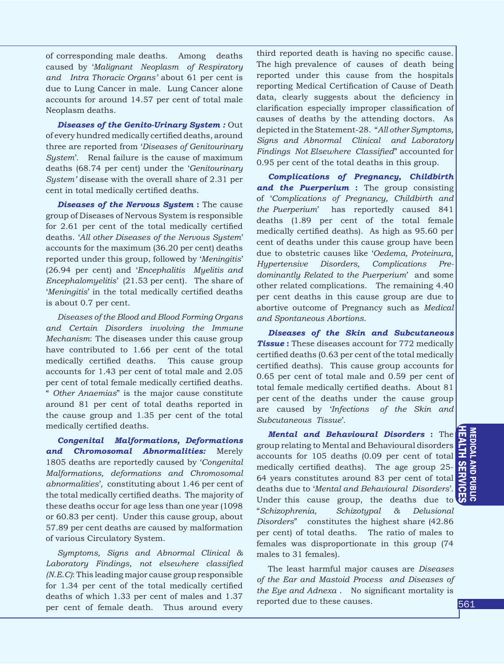of corresponding male deaths. Among deaths caused by '*Malignant Neoplasm of Respiratory and Intra Thoracic Organs'* about 61 per cent is due to Lung Cancer in male. Lung Cancer alone accounts for around 14.57 per cent of total male Neoplasm deaths.

*Diseases of the Genito-Urinary System :* Out of every hundred medically certified deaths, around three are reported from '*Diseases of Genitourinary System*'. Renal failure is the cause of maximum deaths (68.74 per cent) under the '*Genitourinary System'* disease with the overall share of 2.31 per cent in total medically certified deaths.

*Diseases of the Nervous System* **:** The cause group of Diseases of Nervous System is responsible for 2.61 per cent of the total medically certified deaths. '*All other Diseases of the Nervous System*' accounts for the maximum (36.20 per cent) deaths reported under this group, followed by '*Meningitis*' (26.94 per cent) and '*Encephalitis Myelitis and Encephalomyelitis*' (21.53 per cent). The share of '*Meningitis*' in the total medically certified deaths is about 0.7 per cent.

*Diseases of the Blood and Blood Forming Organs and Certain Disorders involving the Immune Mechanism*: The diseases under this cause group have contributed to 1.66 per cent of the total medically certified deaths. This cause group accounts for 1.43 per cent of total male and 2.05 per cent of total female medically certified deaths. " *Other Anaemias*" is the major cause constitute around 81 per cent of total deaths reported in the cause group and 1.35 per cent of the total medically certified deaths.

*Congenital Malformations, Deformations and Chromosomal Abnormalities:* Merely 1805 deaths are reportedly caused by '*Congenital Malformations, deformations and Chromosomal abnormalities*', constituting about 1.46 per cent of the total medically certified deaths. The majority of these deaths occur for age less than one year (1098 or 60.83 per cent). Under this cause group, about 57.89 per cent deaths are caused by malformation of various Circulatory System.

*Symptoms, Signs and Abnormal Clinical & Laboratory Findings, not elsewhere classified (N.E.C)*: This leading major cause group responsible for 1.34 per cent of the total medically certified deaths of which 1.33 per cent of males and 1.37 per cent of female death. Thus around every

third reported death is having no specific cause. The high prevalence of causes of death being reported under this cause from the hospitals reporting Medical Certification of Cause of Death data, clearly suggests about the deficiency in clarification especially improper classification of causes of deaths by the attending doctors. As depicted in the Statement-28. "*All other Symptoms, Signs and Abnormal Clinical and Laboratory Findings Not Elsewhere Classified*" accounted for 0.95 per cent of the total deaths in this group.

*Complications of Pregnancy, Childbirth and the Puerperium* **:** The group consisting of '*Complications of Pregnancy, Childbirth and the Puerperium*' has reportedly caused 841 deaths (1.89 per cent of the total female medically certified deaths). As high as 95.60 per cent of deaths under this cause group have been due to obstetric causes like '*Oedema, Proteinura, Hypertensive Disorders, Complications Predominantly Related to the Puerperium*' and some other related complications. The remaining 4.40 per cent deaths in this cause group are due to abortive outcome of Pregnancy such as *Medical and Spontaneous Abortions*.

*Diseases of the Skin and Subcutaneous*  **Tissue**: These diseases account for 772 medically certified deaths (0.63 per cent of the total medically certified deaths). This cause group accounts for 0.65 per cent of total male and 0.59 per cent of total female medically certified deaths. About 81 per cent of the deaths under the cause group are caused by '*Infections of the Skin and Subcutaneous Tissue*'.

*Mental and Behavioural Disorders* : The group relating to Mental and Behavioural disorders accounts for 105 deaths (0.09 per cent of total medically certified deaths). The age group 25- 64 years constitutes around 83 per cent of total deaths due to '*Mental and Behavioural Disorders*'. Under this cause group, the deaths due to "*Schizophrenia, Schizotypal & Delusional Disorders*" constitutes the highest share (42.86 per cent) of total deaths. The ratio of males to females was disproportionate in this group (74 males to 31 females).

The least harmful major causes are *Diseases of the Ear and Mastoid Process and Diseases of the Eye and Adnexa* . No significant mortality is reported due to these causes.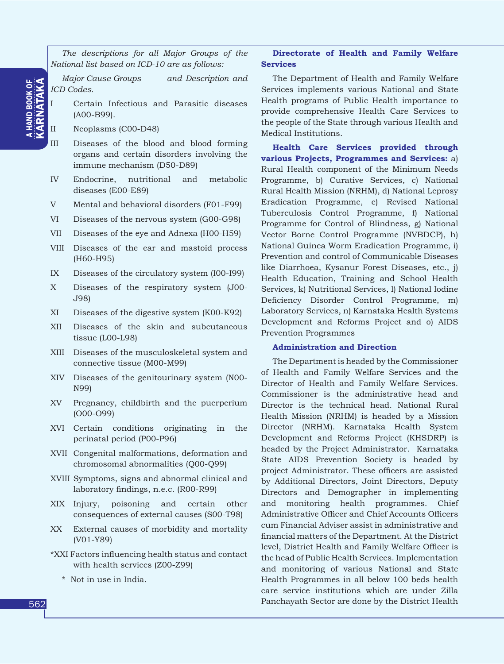*The descriptions for all Major Groups of the National list based on ICD-10 are as follows:* 

*Major Cause Groups and Description and ICD Codes.*

- Certain Infectious and Parasitic diseases (A00-B99).
- II Neoplasms (C00-D48)
- III Diseases of the blood and blood forming organs and certain disorders involving the immune mechanism (D50-D89)
- IV Endocrine, nutritional and metabolic diseases (E00-E89)
- V Mental and behavioral disorders (F01-F99)
- VI Diseases of the nervous system (G00-G98)
- VII Diseases of the eye and Adnexa (H00-H59)
- VIII Diseases of the ear and mastoid process (H60-H95)
- IX Diseases of the circulatory system (I00-I99)
- X Diseases of the respiratory system (J00- J98)
- XI Diseases of the digestive system (K00-K92)
- XII Diseases of the skin and subcutaneous tissue (L00-L98)
- XIII Diseases of the musculoskeletal system and connective tissue (M00-M99)
- XIV Diseases of the genitourinary system (N00- N99)
- XV Pregnancy, childbirth and the puerperium (O00-O99)
- XVI Certain conditions originating in the perinatal period (P00-P96)
- XVII Congenital malformations, deformation and chromosomal abnormalities (Q00-Q99)
- XVIII Symptoms, signs and abnormal clinical and laboratory findings, n.e.c. (R00-R99)
- XIX Injury, poisoning and certain other consequences of external causes (S00-T98)
- XX External causes of morbidity and mortality (V01-Y89)
- \*XXI Factors influencing health status and contact with health services (Z00-Z99)
	- \* Not in use in India.

## **Directorate of Health and Family Welfare Services**

The Department of Health and Family Welfare Services implements various National and State Health programs of Public Health importance to provide comprehensive Health Care Services to the people of the State through various Health and Medical Institutions.

**Health Care Services provided through various Projects, Programmes and Services:** a) Rural Health component of the Minimum Needs Programme, b) Curative Services, c) National Rural Health Mission (NRHM), d) National Leprosy Eradication Programme, e) Revised National Tuberculosis Control Programme, f) National Programme for Control of Blindness, g) National Vector Borne Control Programme (NVBDCP), h) National Guinea Worm Eradication Programme, i) Prevention and control of Communicable Diseases like Diarrhoea, Kysanur Forest Diseases, etc., j) Health Education, Training and School Health Services, k) Nutritional Services, l) National Iodine Deficiency Disorder Control Programme, m) Laboratory Services, n) Karnataka Health Systems Development and Reforms Project and o) AIDS Prevention Programmes

## **Administration and Direction**

The Department is headed by the Commissioner of Health and Family Welfare Services and the Director of Health and Family Welfare Services. Commissioner is the administrative head and Director is the technical head. National Rural Health Mission (NRHM) is headed by a Mission Director (NRHM). Karnataka Health System Development and Reforms Project (KHSDRP) is headed by the Project Administrator. Karnataka State AIDS Prevention Society is headed by project Administrator. These officers are assisted by Additional Directors, Joint Directors, Deputy Directors and Demographer in implementing and monitoring health programmes. Chief Administrative Officer and Chief Accounts Officers cum Financial Adviser assist in administrative and financial matters of the Department. At the District level, District Health and Family Welfare Officer is the head of Public Health Services. Implementation and monitoring of various National and State Health Programmes in all below 100 beds health care service institutions which are under Zilla Panchayath Sector are done by the District Health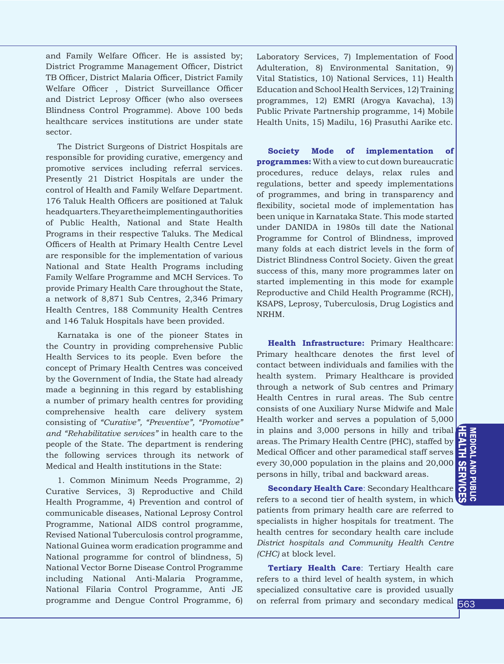and Family Welfare Officer. He is assisted by; District Programme Management Officer, District TB Officer, District Malaria Officer, District Family Welfare Officer , District Surveillance Officer and District Leprosy Officer (who also oversees Blindness Control Programme). Above 100 beds healthcare services institutions are under state sector.

The District Surgeons of District Hospitals are responsible for providing curative, emergency and promotive services including referral services. Presently 21 District Hospitals are under the control of Health and Family Welfare Department. 176 Taluk Health Officers are positioned at Taluk headquarters. They are the implementing authorities of Public Health, National and State Health Programs in their respective Taluks. The Medical Officers of Health at Primary Health Centre Level are responsible for the implementation of various National and State Health Programs including Family Welfare Programme and MCH Services. To provide Primary Health Care throughout the State, a network of 8,871 Sub Centres, 2,346 Primary Health Centres, 188 Community Health Centres and 146 Taluk Hospitals have been provided.

Karnataka is one of the pioneer States in the Country in providing comprehensive Public Health Services to its people. Even before the concept of Primary Health Centres was conceived by the Government of India, the State had already made a beginning in this regard by establishing a number of primary health centres for providing comprehensive health care delivery system consisting of *"Curative", "Preventive", "Promotive" and "Rehabilitative services"* in health care to the people of the State. The department is rendering the following services through its network of Medical and Health institutions in the State:

1. Common Minimum Needs Programme, 2) Curative Services, 3) Reproductive and Child Health Programme, 4) Prevention and control of communicable diseases, National Leprosy Control Programme, National AIDS control programme, Revised National Tuberculosis control programme, National Guinea worm eradication programme and National programme for control of blindness, 5) National Vector Borne Disease Control Programme including National Anti-Malaria Programme, National Filaria Control Programme, Anti JE programme and Dengue Control Programme, 6)

Laboratory Services, 7) Implementation of Food Adulteration, 8) Environmental Sanitation, 9) Vital Statistics, 10) National Services, 11) Health Education and School Health Services, 12) Training programmes, 12) EMRI (Arogya Kavacha), 13) Public Private Partnership programme, 14) Mobile Health Units, 15) Madilu, 16) Prasuthi Aarike etc.

**Society Mode of implementation of programmes:** With a view to cut down bureaucratic procedures, reduce delays, relax rules and regulations, better and speedy implementations of programmes, and bring in transparency and flexibility, societal mode of implementation has been unique in Karnataka State. This mode started under DANIDA in 1980s till date the National Programme for Control of Blindness, improved many folds at each district levels in the form of District Blindness Control Society. Given the great success of this, many more programmes later on started implementing in this mode for example Reproductive and Child Health Programme (RCH), KSAPS, Leprosy, Tuberculosis, Drug Logistics and NRHM.

**Health Infrastructure:** Primary Healthcare: Primary healthcare denotes the first level of contact between individuals and families with the health system. Primary Healthcare is provided through a network of Sub centres and Primary Health Centres in rural areas. The Sub centre consists of one Auxiliary Nurse Midwife and Male Health worker and serves a population of 5,000 in plains and 3,000 persons in hilly and tribal areas. The Primary Health Centre (PHC), staffed by Medical Officer and other paramedical staff serves every 30,000 population in the plains and 20,000 persons in hilly, tribal and backward areas.

**Secondary Health Care**: Secondary Healthcare refers to a second tier of health system, in which patients from primary health care are referred to specialists in higher hospitals for treatment. The health centres for secondary health care include *District hospitals and Community Health Centre (CHC)* at block level.

**Tertiary Health Care**: Tertiary Health care refers to a third level of health system, in which specialized consultative care is provided usually on referral from primary and secondary medical 563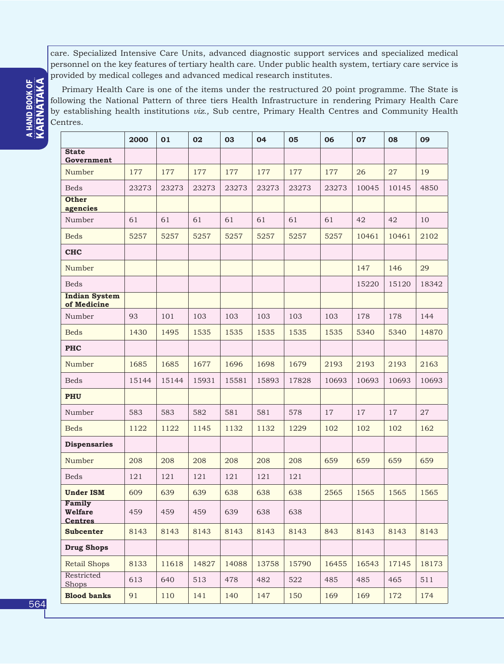care. Specialized Intensive Care Units, advanced diagnostic support services and specialized medical personnel on the key features of tertiary health care. Under public health system, tertiary care service is provided by medical colleges and advanced medical research institutes.

Primary Health Care is one of the items under the restructured 20 point programme. The State is following the National Pattern of three tiers Health Infrastructure in rendering Primary Health Care by establishing health institutions *viz.,* Sub centre, Primary Health Centres and Community Health Centres.

|                                            | 2000  | 01    | 02    | 03    | 04    | 05    | 06    | 07    | 08    | 09    |
|--------------------------------------------|-------|-------|-------|-------|-------|-------|-------|-------|-------|-------|
| <b>State</b><br>Government                 |       |       |       |       |       |       |       |       |       |       |
| Number                                     | 177   | 177   | 177   | 177   | 177   | 177   | 177   | 26    | 27    | 19    |
| <b>Beds</b>                                | 23273 | 23273 | 23273 | 23273 | 23273 | 23273 | 23273 | 10045 | 10145 | 4850  |
| <b>Other</b><br>agencies                   |       |       |       |       |       |       |       |       |       |       |
| Number                                     | 61    | 61    | 61    | 61    | 61    | 61    | 61    | 42    | 42    | 10    |
| <b>Beds</b>                                | 5257  | 5257  | 5257  | 5257  | 5257  | 5257  | 5257  | 10461 | 10461 | 2102  |
| <b>CHC</b>                                 |       |       |       |       |       |       |       |       |       |       |
| Number                                     |       |       |       |       |       |       |       | 147   | 146   | 29    |
| <b>Beds</b>                                |       |       |       |       |       |       |       | 15220 | 15120 | 18342 |
| <b>Indian System</b><br>of Medicine        |       |       |       |       |       |       |       |       |       |       |
| Number                                     | 93    | 101   | 103   | 103   | 103   | 103   | 103   | 178   | 178   | 144   |
| <b>Beds</b>                                | 1430  | 1495  | 1535  | 1535  | 1535  | 1535  | 1535  | 5340  | 5340  | 14870 |
| <b>PHC</b>                                 |       |       |       |       |       |       |       |       |       |       |
| Number                                     | 1685  | 1685  | 1677  | 1696  | 1698  | 1679  | 2193  | 2193  | 2193  | 2163  |
| <b>Beds</b>                                | 15144 | 15144 | 15931 | 15581 | 15893 | 17828 | 10693 | 10693 | 10693 | 10693 |
| PHU                                        |       |       |       |       |       |       |       |       |       |       |
| Number                                     | 583   | 583   | 582   | 581   | 581   | 578   | 17    | 17    | 17    | 27    |
| <b>Beds</b>                                | 1122  | 1122  | 1145  | 1132  | 1132  | 1229  | 102   | 102   | 102   | 162   |
| <b>Dispensaries</b>                        |       |       |       |       |       |       |       |       |       |       |
| Number                                     | 208   | 208   | 208   | 208   | 208   | 208   | 659   | 659   | 659   | 659   |
| <b>Beds</b>                                | 121   | 121   | 121   | 121   | 121   | 121   |       |       |       |       |
| <b>Under ISM</b>                           | 609   | 639   | 639   | 638   | 638   | 638   | 2565  | 1565  | 1565  | 1565  |
| Family<br><b>Welfare</b><br><b>Centres</b> | 459   | 459   | 459   | 639   | 638   | 638   |       |       |       |       |
| <b>Subcenter</b>                           | 8143  | 8143  | 8143  | 8143  | 8143  | 8143  | 843   | 8143  | 8143  | 8143  |
| <b>Drug Shops</b>                          |       |       |       |       |       |       |       |       |       |       |
| <b>Retail Shops</b>                        | 8133  | 11618 | 14827 | 14088 | 13758 | 15790 | 16455 | 16543 | 17145 | 18173 |
| Restricted<br>Shops                        | 613   | 640   | 513   | 478   | 482   | 522   | 485   | 485   | 465   | 511   |
| <b>Blood banks</b>                         | 91    | 110   | 141   | 140   | 147   | 150   | 169   | 169   | 172   | 174   |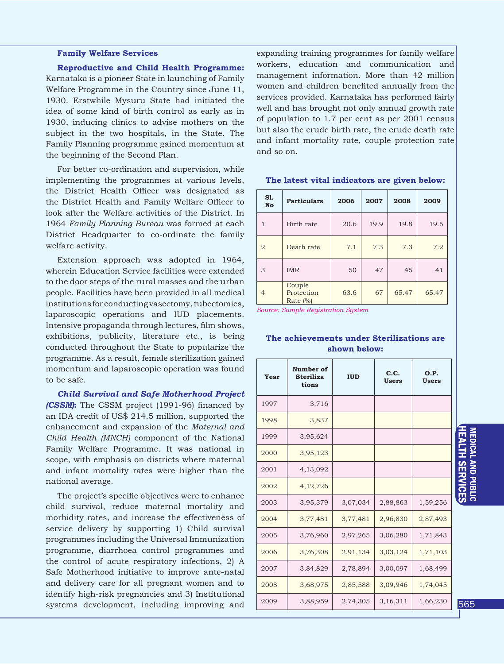### **Family Welfare Services**

**Reproductive and Child Health Programme:** Karnataka is a pioneer State in launching of Family Welfare Programme in the Country since June 11, 1930. Erstwhile Mysuru State had initiated the idea of some kind of birth control as early as in 1930, inducing clinics to advise mothers on the subject in the two hospitals, in the State. The Family Planning programme gained momentum at the beginning of the Second Plan.

For better co-ordination and supervision, while implementing the programmes at various levels, the District Health Officer was designated as the District Health and Family Welfare Officer to look after the Welfare activities of the District. In 1964 *Family Planning Bureau* was formed at each District Headquarter to co-ordinate the family welfare activity.

Extension approach was adopted in 1964, wherein Education Service facilities were extended to the door steps of the rural masses and the urban people. Facilities have been provided in all medical institutions for conducting vasectomy, tubectomies, laparoscopic operations and IUD placements. Intensive propaganda through lectures, film shows, exhibitions, publicity, literature etc., is being conducted throughout the State to popularize the programme. As a result, female sterilization gained momentum and laparoscopic operation was found to be safe.

*Child Survival and Safe Motherhood Project*  **(CSSM):** The CSSM project (1991-96) financed by an IDA credit of US\$ 214.5 million, supported the enhancement and expansion of the *Maternal and Child Health (MNCH)* component of the National Family Welfare Programme. It was national in scope, with emphasis on districts where maternal and infant mortality rates were higher than the national average.

The project's specific objectives were to enhance child survival, reduce maternal mortality and morbidity rates, and increase the effectiveness of service delivery by supporting 1) Child survival programmes including the Universal Immunization programme, diarrhoea control programmes and the control of acute respiratory infections, 2) A Safe Motherhood initiative to improve ante-natal and delivery care for all pregnant women and to identify high-risk pregnancies and 3) Institutional systems development, including improving and

expanding training programmes for family welfare workers, education and communication and management information. More than 42 million women and children benefited annually from the services provided. Karnataka has performed fairly well and has brought not only annual growth rate of population to 1.7 per cent as per 2001 census but also the crude birth rate, the crude death rate and infant mortality rate, couple protection rate and so on.

| S1.<br><b>No</b> | <b>Particulars</b>                   | 2006 | 2007 | 2008  | 2009  |
|------------------|--------------------------------------|------|------|-------|-------|
|                  | Birth rate                           | 20.6 | 19.9 | 19.8  | 19.5  |
| $\overline{2}$   | Death rate                           | 7.1  | 7.3  | 7.3   | 7.2   |
| 3                | <b>IMR</b>                           | 50   | 47   | 45    | 41    |
| $\overline{4}$   | Couple<br>Protection<br>Rate $(\% )$ | 63.6 | 67   | 65.47 | 65.47 |

## **The latest vital indicators are given below:**

*Source: Sample Registration System*

## **The achievements under Sterilizations are shown below:**

| Year | Number of<br><b>Steriliza</b><br>tions | <b>IUD</b> | C.C.<br><b>Users</b> | O.P.<br><b>Users</b> |
|------|----------------------------------------|------------|----------------------|----------------------|
| 1997 | 3,716                                  |            |                      |                      |
| 1998 | 3,837                                  |            |                      |                      |
| 1999 | 3,95,624                               |            |                      |                      |
| 2000 | 3,95,123                               |            |                      |                      |
| 2001 | 4,13,092                               |            |                      |                      |
| 2002 | 4,12,726                               |            |                      |                      |
| 2003 | 3,95,379                               | 3,07,034   | 2,88,863             | 1,59,256             |
| 2004 | 3,77,481                               | 3,77,481   | 2,96,830             | 2,87,493             |
| 2005 | 3,76,960                               | 2,97,265   | 3,06,280             | 1,71,843             |
| 2006 | 3,76,308                               | 2,91,134   | 3,03,124             | 1,71,103             |
| 2007 | 3,84,829                               | 2,78,894   | 3,00,097             | 1,68,499             |
| 2008 | 3,68,975                               | 2,85,588   | 3,09,946             | 1,74,045             |
| 2009 | 3,88,959                               | 2,74,305   | 3,16,311             | 1,66,230             |

MEDICAL AND PUBLIC PEOPLE HISTORY INTRODUCTION EDUCATION EDUCATION EDUCATION EDUCATION EDUCATION EDUCATION EDU **SERVICES MEDICAL AND PUBLIC<br>HEALTH SERVICES<br>HEALTH SERVICES IEALTH SERVIC IEDICAL AND PUBLIC**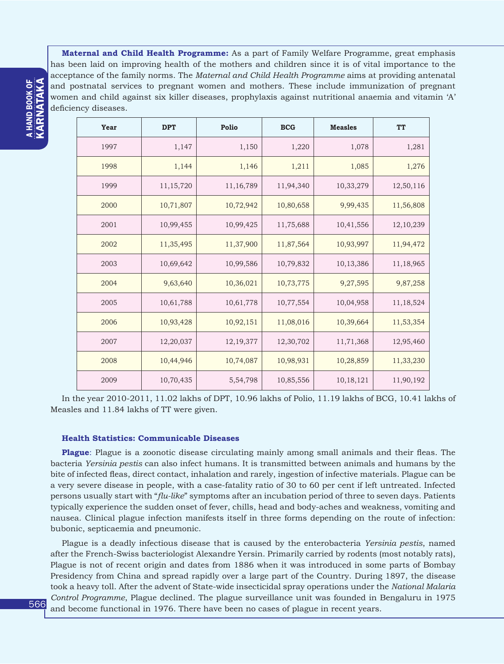**Maternal and Child Health Programme:** As a part of Family Welfare Programme, great emphasis has been laid on improving health of the mothers and children since it is of vital importance to the acceptance of the family norms. The *Maternal and Child Health Programme* aims at providing antenatal and postnatal services to pregnant women and mothers. These include immunization of pregnant women and child against six killer diseases, prophylaxis against nutritional anaemia and vitamin 'A' deficiency diseases.

| Year | <b>DPT</b> | Polio       | <b>BCG</b> | <b>Measles</b> | <b>TT</b> |
|------|------------|-------------|------------|----------------|-----------|
| 1997 | 1,147      | 1,150       | 1,220      | 1,078          | 1,281     |
| 1998 | 1,144      | 1,146       | 1,211      | 1,085          | 1,276     |
| 1999 | 11,15,720  | 11,16,789   | 11,94,340  | 10,33,279      | 12,50,116 |
| 2000 | 10,71,807  | 10,72,942   | 10,80,658  | 9,99,435       | 11,56,808 |
| 2001 | 10,99,455  | 10,99,425   | 11,75,688  | 10,41,556      | 12,10,239 |
| 2002 | 11,35,495  | 11,37,900   | 11,87,564  | 10,93,997      | 11,94,472 |
| 2003 | 10,69,642  | 10,99,586   | 10,79,832  | 10,13,386      | 11,18,965 |
| 2004 | 9,63,640   | 10,36,021   | 10,73,775  | 9,27,595       | 9,87,258  |
| 2005 | 10,61,788  | 10,61,778   | 10,77,554  | 10,04,958      | 11,18,524 |
| 2006 | 10,93,428  | 10,92,151   | 11,08,016  | 10,39,664      | 11,53,354 |
| 2007 | 12,20,037  | 12, 19, 377 | 12,30,702  | 11,71,368      | 12,95,460 |
| 2008 | 10,44,946  | 10,74,087   | 10,98,931  | 10,28,859      | 11,33,230 |
| 2009 | 10,70,435  | 5,54,798    | 10,85,556  | 10,18,121      | 11,90,192 |

In the year 2010-2011, 11.02 lakhs of DPT, 10.96 lakhs of Polio, 11.19 lakhs of BCG, 10.41 lakhs of Measles and 11.84 lakhs of TT were given.

### **Health Statistics: Communicable Diseases**

**Plague**: Plague is a zoonotic disease circulating mainly among small animals and their fleas. The bacteria *Yersinia pestis* can also infect humans. It is transmitted between animals and humans by the bite of infected fleas, direct contact, inhalation and rarely, ingestion of infective materials. Plague can be a very severe disease in people, with a case-fatality ratio of 30 to 60 per cent if left untreated. Infected persons usually start with "*flu-like*" symptoms after an incubation period of three to seven days. Patients typically experience the sudden onset of fever, chills, head and body-aches and weakness, vomiting and nausea. Clinical plague infection manifests itself in three forms depending on the route of infection: bubonic, septicaemia and pneumonic.

Plague is a deadly infectious disease that is caused by the enterobacteria *Yersinia pestis*, named after the French-Swiss bacteriologist Alexandre Yersin. Primarily carried by rodents (most notably rats), Plague is not of recent origin and dates from 1886 when it was introduced in some parts of Bombay Presidency from China and spread rapidly over a large part of the Country. During 1897, the disease took a heavy toll. After the advent of State-wide insecticidal spray operations under the *National Malaria Control Programme*, Plague declined. The plague surveillance unit was founded in Bengaluru in 1975 and become functional in 1976. There have been no cases of plague in recent years.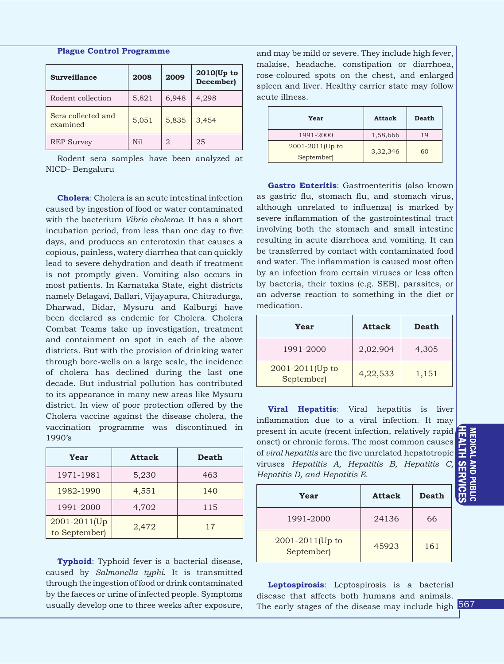## **Plague Control Programme**

| <b>Surveillance</b>            | 2008  | 2009  | $2010$ (Up to<br>December) |
|--------------------------------|-------|-------|----------------------------|
| Rodent collection              | 5,821 | 6,948 | 4,298                      |
| Sera collected and<br>examined | 5,051 | 5,835 | 3,454                      |
| <b>REP Survey</b>              | Ni1   | 2     | 25                         |

Rodent sera samples have been analyzed at NICD- Bengaluru

**Cholera**: Cholera is an acute intestinal infection caused by ingestion of food or water contaminated with the bacterium *Vibrio cholerae*. It has a short incubation period, from less than one day to five days, and produces an enterotoxin that causes a copious, painless, watery diarrhea that can quickly lead to severe dehydration and death if treatment is not promptly given. Vomiting also occurs in most patients. In Karnataka State, eight districts namely Belagavi, Ballari, Vijayapura, Chitradurga, Dharwad, Bidar, Mysuru and Kalburgi have been declared as endemic for Cholera. Cholera Combat Teams take up investigation, treatment and containment on spot in each of the above districts. But with the provision of drinking water through bore-wells on a large scale, the incidence of cholera has declined during the last one decade. But industrial pollution has contributed to its appearance in many new areas like Mysuru district. In view of poor protection offered by the Cholera vaccine against the disease cholera, the vaccination programme was discontinued in 1990's

| Year                          | <b>Attack</b> | <b>Death</b> |
|-------------------------------|---------------|--------------|
| 1971-1981                     | 5,230         | 463          |
| 1982-1990                     | 4,551         | 140          |
| 1991-2000                     | 4,702         | 115          |
| 2001-2011(Up<br>to September) | 2,472         | 17           |

**Typhoid**: Typhoid fever is a bacterial disease, caused by *Salmonella typhi*. It is transmitted through the ingestion of food or drink contaminated by the faeces or urine of infected people. Symptoms usually develop one to three weeks after exposure, and may be mild or severe. They include high fever, malaise, headache, constipation or diarrhoea, rose-coloured spots on the chest, and enlarged spleen and liver. Healthy carrier state may follow acute illness.

| Year                 | <b>Attack</b> | <b>Death</b> |
|----------------------|---------------|--------------|
| 1991-2000            | 1,58,666      | 19           |
| $2001 - 2011$ (Up to | 3,32,346      | 60           |
| September)           |               |              |

**Gastro Enteritis**: Gastroenteritis (also known as gastric flu, stomach flu, and stomach virus, although unrelated to influenza) is marked by severe inflammation of the gastrointestinal tract involving both the stomach and small intestine resulting in acute diarrhoea and vomiting. It can be transferred by contact with contaminated food and water. The inflammation is caused most often by an infection from certain viruses or less often by bacteria, their toxins (e.g. SEB), parasites, or an adverse reaction to something in the diet or medication.

| Year                               | Attack   | Death |
|------------------------------------|----------|-------|
| 1991-2000                          | 2,02,904 | 4,305 |
| $2001 - 2011$ (Up to<br>September) | 4,22,533 | 1,151 |

**Viral Hepatitis**: Viral hepatitis is liver inflammation due to a viral infection. It may present in acute (recent infection, relatively rapid onset) or chronic forms. The most common causes of *viral hepatitis* are the five unrelated hepatotropic viruses *Hepatitis A, Hepatitis B, Hepatitis C, Hepatitis D, and Hepatitis E.*

| Year                          | <b>Attack</b> | Death |
|-------------------------------|---------------|-------|
| 1991-2000                     | 24136         | 66    |
| 2001-2011(Up to<br>September) | 45923         | 161   |

**Leptospirosis**: Leptospirosis is a bacterial disease that affects both humans and animals.<br>The early stages of the disease may include high 567 The early stages of the disease may include high

MEDICAL AND PUBLIC PEOPLE HISTORY INTRODUCTION EDUCATION EDUCATION EDUCATION EDUCATION EDUCATION EDUCATION EDU **HEALTH SERVICES SERVICES MEDICAL AND PUBLIC<br>HEALTH SERVICES<br>HEALTH SERVICES MEDICAL AND PUBLIC**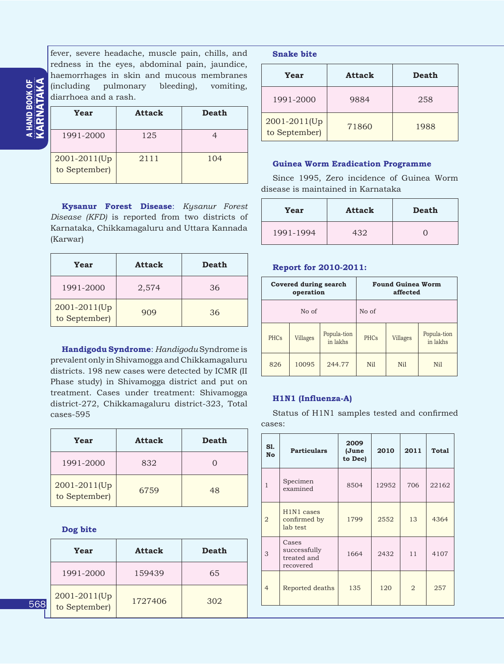**A HAND BOOK OF<br>KARNATAKA** KARNATAKA a HAND BOOK OF

fever, severe headache, muscle pain, chills, and redness in the eyes, abdominal pain, jaundice, haemorrhages in skin and mucous membranes (including pulmonary bleeding), vomiting, diarrhoea and a rash.

| Year                          | Attack | Death |
|-------------------------------|--------|-------|
| 1991-2000                     | 125    |       |
| 2001-2011(Up<br>to September) | 2111   | 104   |

**Kysanur Forest Disease**: *Kysanur Forest Disease (KFD)* is reported from two districts of Karnataka, Chikkamagaluru and Uttara Kannada (Karwar)

| Year                          | Attack | Death |
|-------------------------------|--------|-------|
| 1991-2000                     | 2,574  | 36    |
| 2001-2011(Up<br>to September) | 909    | 36    |

**Handigodu Syndrome**: *Handigodu* Syndrome is prevalent only in Shivamogga and Chikkamagaluru districts. 198 new cases were detected by ICMR (II Phase study) in Shivamogga district and put on treatment. Cases under treatment: Shivamogga district-272, Chikkamagaluru district-323, Total cases-595

| Year                          | Attack | <b>Death</b> |
|-------------------------------|--------|--------------|
| 1991-2000                     | 832    |              |
| 2001-2011(Up<br>to September) | 6759   | 48           |

**Dog bite**

| Year                          | <b>Attack</b> | Death |
|-------------------------------|---------------|-------|
| 1991-2000                     | 159439        | 65    |
| 2001-2011(Up<br>to September) | 1727406       | 302   |

## **Snake bite**

| Year                          | Attack | Death |  |
|-------------------------------|--------|-------|--|
| 1991-2000                     | 9884   | 258   |  |
| 2001-2011(Up<br>to September) | 71860  | 1988  |  |

## **Guinea Worm Eradication Programme**

Since 1995, Zero incidence of Guinea Worm disease is maintained in Karnataka

| Year      | <b>Attack</b> | <b>Death</b> |
|-----------|---------------|--------------|
| 1991-1994 | 432           |              |

## **Report for 2010-2011:**

| <b>Covered during search</b><br>operation |          |                         |             | <b>Found Guinea Worm</b><br>affected |                         |
|-------------------------------------------|----------|-------------------------|-------------|--------------------------------------|-------------------------|
| No of                                     |          |                         | No of       |                                      |                         |
| <b>PHCs</b>                               | Villages | Popula-tion<br>in lakhs | <b>PHCs</b> | Villages                             | Popula-tion<br>in lakhs |
| 826                                       | 10095    | 244.77                  | Nil         | Nil                                  | N <sub>i</sub> 1        |

## **H1N1 (Influenza-A)**

Status of H1N1 samples tested and confirmed cases:

| S1.<br><b>No</b> | <b>Particulars</b>                                | 2009<br>(June<br>to Dec) | 2010  | 2011           | <b>Total</b> |
|------------------|---------------------------------------------------|--------------------------|-------|----------------|--------------|
| 1                | Specimen<br>examined                              | 8504                     | 12952 | 706            | 22162        |
| $\overline{2}$   | H1N1 cases<br>confirmed by<br>lab test            | 1799                     | 2552  | 13             | 4364         |
| 3                | Cases<br>successfully<br>treated and<br>recovered | 1664                     | 2432  | 11             | 4107         |
| $\overline{4}$   | Reported deaths                                   | 135                      | 120   | $\overline{2}$ | 257          |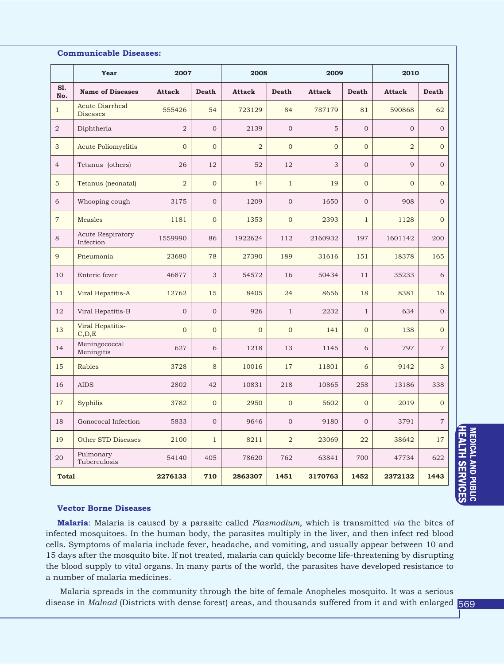| <b>Communicable Diseases:</b> |  |
|-------------------------------|--|
|-------------------------------|--|

|                | Year                               | 2007           |                  | 2008           |                | 2009           |                | 2010           |                |
|----------------|------------------------------------|----------------|------------------|----------------|----------------|----------------|----------------|----------------|----------------|
| S1.<br>No.     | <b>Name of Diseases</b>            | <b>Attack</b>  | Death            | <b>Attack</b>  | <b>Death</b>   | <b>Attack</b>  | <b>Death</b>   | <b>Attack</b>  | <b>Death</b>   |
| $\mathbf{1}$   | Acute Diarrheal<br><b>Diseases</b> | 555426         | 54               | 723129         | 84             | 787179         | 81             | 590868         | 62             |
| $\overline{2}$ | Diphtheria                         | $\overline{2}$ | $\mathbf 0$      | 2139           | $\mathbf{O}$   | 5              | $\overline{O}$ | $\overline{0}$ | $\overline{0}$ |
| 3              | Acute Poliomyelitis                | $\overline{0}$ | $\overline{0}$   | $\overline{2}$ | $\overline{O}$ | $\overline{0}$ | $\overline{O}$ | $\overline{2}$ | $\overline{0}$ |
| $\overline{4}$ | Tetanus (others)                   | 26             | 12               | 52             | 12             | 3              | $\overline{O}$ | 9              | $\overline{0}$ |
| 5              | Tetanus (neonatal)                 | $\overline{2}$ | $\overline{0}$   | 14             | $\mathbf{1}$   | 19             | $\overline{O}$ | $\overline{0}$ | $\overline{0}$ |
| 6              | Whooping cough                     | 3175           | $\overline{0}$   | 1209           | $\mathbf{O}$   | 1650           | $\overline{0}$ | 908            | $\mathbf{0}$   |
| $\overline{7}$ | Measles                            | 1181           | $\overline{0}$   | 1353           | $\overline{O}$ | 2393           | $\mathbf{1}$   | 1128           | $\overline{0}$ |
| 8              | Acute Respiratory<br>Infection     | 1559990        | 86               | 1922624        | 112            | 2160932        | 197            | 1601142        | 200            |
| 9              | Pneumonia                          | 23680          | 78               | 27390          | 189            | 31616          | 151            | 18378          | 165            |
| 10             | Enteric fever                      | 46877          | 3                | 54572          | 16             | 50434          | 11             | 35233          | 6              |
| 11             | Viral Hepatitis-A                  | 12762          | 15               | 8405           | 24             | 8656           | 18             | 8381           | 16             |
| 12             | Viral Hepatitis-B                  | $\overline{0}$ | $\overline{0}$   | 926            | $\mathbf{1}$   | 2232           | $\mathbf{1}$   | 634            | $\mathbf{0}$   |
| 13             | Viral Hepatitis-<br>C, D, E        | $\overline{0}$ | $\overline{0}$   | $\mathbf{0}$   | $\overline{O}$ | 141            | $\overline{0}$ | 138            | $\mathbf{0}$   |
| 14             | Meningococcal<br>Meningitis        | 627            | 6                | 1218           | 13             | 1145           | 6              | 797            | $\overline{7}$ |
| 15             | Rabies                             | 3728           | 8                | 10016          | 17             | 11801          | 6              | 9142           | 3              |
| 16             | <b>AIDS</b>                        | 2802           | 42               | 10831          | 218            | 10865          | 258            | 13186          | 338            |
| 17             | Syphilis                           | 3782           | $\overline{0}$   | 2950           | $\overline{O}$ | 5602           | $\overline{0}$ | 2019           | $\overline{0}$ |
| $18\,$         | Gonococal Infection                | 5833           | $\boldsymbol{0}$ | 9646           | $\overline{0}$ | 9180           | 0              | 3791           | $\,7$          |
| 19             | Other STD Diseases                 | 2100           | $\mathbf{1}$     | 8211           | $\overline{a}$ | 23069          | 22             | 38642          | 17             |
| 20             | Pulmonary<br>Tuberculosis          | 54140          | 405              | 78620          | 762            | 63841          | 700            | 47734          | 622            |
| <b>Total</b>   |                                    | 2276133        | 710              | 2863307        | 1451           | 3170763        | 1452           | 2372132        | 1443           |

## **Vector Borne Diseases**

**Malaria**: Malaria is caused by a parasite called *Plasmodium*, which is transmitted *via* the bites of infected mosquitoes. In the human body, the parasites multiply in the liver, and then infect red blood cells. Symptoms of malaria include fever, headache, and vomiting, and usually appear between 10 and 15 days after the mosquito bite. If not treated, malaria can quickly become life-threatening by disrupting the blood supply to vital organs. In many parts of the world, the parasites have developed resistance to a number of malaria medicines.

 Malaria spreads in the community through the bite of female Anopheles mosquito. It was a serious disease in *Malnad* (Districts with dense forest) areas, and thousands suffered from it and with enlarged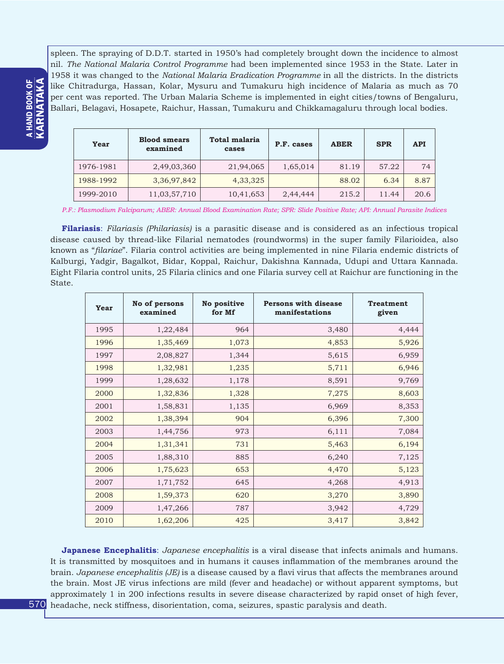spleen. The spraying of D.D.T. started in 1950's had completely brought down the incidence to almost nil. *The National Malaria Control Programme* had been implemented since 1953 in the State. Later in 1958 it was changed to the *National Malaria Eradication Programme* in all the districts. In the districts like Chitradurga, Hassan, Kolar, Mysuru and Tumakuru high incidence of Malaria as much as 70 per cent was reported. The Urban Malaria Scheme is implemented in eight cities/towns of Bengaluru, Ballari, Belagavi, Hosapete, Raichur, Hassan, Tumakuru and Chikkamagaluru through local bodies.

| Year      | <b>Blood smears</b><br>examined | Total malaria<br>cases | P.F. cases | <b>ABER</b> | <b>SPR</b> | <b>API</b> |
|-----------|---------------------------------|------------------------|------------|-------------|------------|------------|
| 1976-1981 | 2,49,03,360                     | 21,94,065              | 1,65,014   | 81.19       | 57.22      | 74         |
| 1988-1992 | 3,36,97,842                     | 4,33,325               |            | 88.02       | 6.34       | 8.87       |
| 1999-2010 | 11,03,57,710                    | 10,41,653              | 2,44,444   | 215.2       | 11.44      | 20.6       |

*P.F.: Plasmodium Falciparum; ABER: Annual Blood Examination Rate; SPR: Slide Positive Rate; API: Annual Parasite Indices*

**Filariasis**: *Filariasis (Philariasis)* is a parasitic disease and is considered as an infectious tropical disease caused by thread-like Filarial nematodes (roundworms) in the super family Filarioidea, also known as "*filariae*". Filaria control activities are being implemented in nine Filaria endemic districts of Kalburgi, Yadgir, Bagalkot, Bidar, Koppal, Raichur, Dakishna Kannada, Udupi and Uttara Kannada. Eight Filaria control units, 25 Filaria clinics and one Filaria survey cell at Raichur are functioning in the State.

| Year | No of persons<br>examined | No positive<br>for Mf | <b>Persons with disease</b><br>manifestations | <b>Treatment</b><br>given |
|------|---------------------------|-----------------------|-----------------------------------------------|---------------------------|
| 1995 | 1,22,484                  | 964                   | 3,480                                         | 4,444                     |
| 1996 | 1,35,469                  | 1,073                 | 4,853                                         | 5,926                     |
| 1997 | 2,08,827                  | 1,344                 | 5,615                                         | 6,959                     |
| 1998 | 1,32,981                  | 1,235                 | 5,711                                         | 6,946                     |
| 1999 | 1,28,632                  | 1,178                 | 8,591                                         | 9,769                     |
| 2000 | 1,32,836                  | 1,328                 | 7,275                                         | 8,603                     |
| 2001 | 1,58,831                  | 1,135                 | 6,969                                         | 8,353                     |
| 2002 | 1,38,394                  | 904                   | 6,396                                         | 7,300                     |
| 2003 | 1,44,756                  | 973                   | 6,111                                         | 7,084                     |
| 2004 | 1,31,341                  | 731                   | 5,463                                         | 6,194                     |
| 2005 | 1,88,310                  | 885                   | 6,240                                         | 7,125                     |
| 2006 | 1,75,623                  | 653                   | 4,470                                         | 5,123                     |
| 2007 | 1,71,752                  | 645                   | 4,268                                         | 4,913                     |
| 2008 | 1,59,373                  | 620                   | 3,270                                         | 3,890                     |
| 2009 | 1,47,266                  | 787                   | 3,942                                         | 4,729                     |
| 2010 | 1,62,206                  | 425                   | 3,417                                         | 3,842                     |

570 headache, neck stiffness, disorientation, coma, seizures, spastic paralysis and death.**Japanese Encephalitis**: *Japanese encephalitis* is a viral disease that infects animals and humans. It is transmitted by mosquitoes and in humans it causes inflammation of the membranes around the brain. *Japanese encephalitis (JE)* is a disease caused by a flavi virus that affects the membranes around the brain. Most JE virus infections are mild (fever and headache) or without apparent symptoms, but approximately 1 in 200 infections results in severe disease characterized by rapid onset of high fever,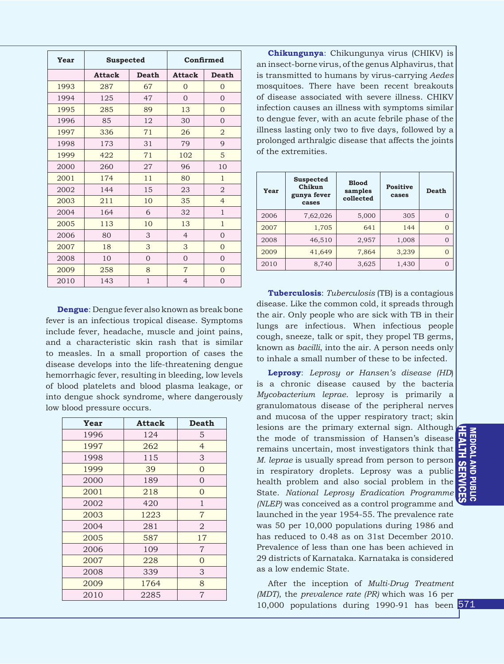| Year | <b>Suspected</b> |              |                | Confirmed      |
|------|------------------|--------------|----------------|----------------|
|      | <b>Attack</b>    | <b>Death</b> | <b>Attack</b>  | <b>Death</b>   |
| 1993 | 287              | 67           | $\Omega$       | $\Omega$       |
| 1994 | 125              | 47           | $\overline{0}$ | $\Omega$       |
| 1995 | 285              | 89           | 13             | $\Omega$       |
| 1996 | 85               | 12           | 30             | $\Omega$       |
| 1997 | 336              | 71           | 26             | $\overline{2}$ |
| 1998 | 173              | 31           | 79             | 9              |
| 1999 | 422              | 71           | 102            | 5              |
| 2000 | 260              | 27           | 96             | 10             |
| 2001 | 174              | 11           | 80             | $\mathbf{1}$   |
| 2002 | 144              | 15           | 23             | $\overline{2}$ |
| 2003 | 211              | 10           | 35             | $\overline{4}$ |
| 2004 | 164              | 6            | 32             | $\mathbf{1}$   |
| 2005 | 113              | 10           | 13             | $\mathbf{1}$   |
| 2006 | 80               | 3            | $\overline{4}$ | $\Omega$       |
| 2007 | 18               | 3            | 3              | $\Omega$       |
| 2008 | 10               | $\Omega$     | $\Omega$       | $\Omega$       |
| 2009 | 258              | 8            | $\overline{7}$ | $\Omega$       |
| 2010 | 143              | $\mathbf{1}$ | $\overline{4}$ | $\Omega$       |

**Dengue**: Dengue fever also known as break bone fever is an infectious tropical disease. Symptoms include fever, headache, muscle and joint pains, and a characteristic skin rash that is similar to measles. In a small proportion of cases the disease develops into the life-threatening dengue hemorrhagic fever, resulting in bleeding, low levels of blood platelets and blood plasma leakage, or into dengue shock syndrome, where dangerously low blood pressure occurs.

| Year | Attack | <b>Death</b>   |
|------|--------|----------------|
| 1996 | 124    | 5              |
| 1997 | 262    | $\overline{4}$ |
| 1998 | 115    | 3              |
| 1999 | 39     | $\overline{0}$ |
| 2000 | 189    | $\overline{0}$ |
| 2001 | 218    | $\mathbf{0}$   |
| 2002 | 420    | $\mathbf 1$    |
| 2003 | 1223   | $\overline{7}$ |
| 2004 | 281    | $\overline{2}$ |
| 2005 | 587    | 17             |
| 2006 | 109    | $\overline{7}$ |
| 2007 | 228    | $\overline{0}$ |
| 2008 | 339    | 3              |
| 2009 | 1764   | 8              |
| 2010 | 2285   | $\overline{7}$ |

**Chikungunya**: Chikungunya virus (CHIKV) is an insect-borne virus, of the genus Alphavirus, that is transmitted to humans by virus-carrying *Aedes* mosquitoes. There have been recent breakouts of disease associated with severe illness. CHIKV infection causes an illness with symptoms similar to dengue fever, with an acute febrile phase of the illness lasting only two to five days, followed by a prolonged arthralgic disease that affects the joints of the extremities.

| Year | <b>Suspected</b><br>Chikun<br>gunya fever<br>cases | <b>Blood</b><br>samples<br>collected | <b>Positive</b><br>cases | Death            |
|------|----------------------------------------------------|--------------------------------------|--------------------------|------------------|
| 2006 | 7,62,026                                           | 5,000                                | 305                      |                  |
| 2007 | 1,705                                              | 641                                  | 144                      | $\left( \right)$ |
| 2008 | 46,510                                             | 2,957                                | 1,008                    |                  |
| 2009 | 41,649                                             | 7,864                                | 3,239                    |                  |
| 2010 | 8,740                                              | 3,625                                | 1,430                    |                  |

**Tuberculosis**: *Tuberculosis* (TB) is a contagious disease. Like the common cold, it spreads through the air. Only people who are sick with TB in their lungs are infectious. When infectious people cough, sneeze, talk or spit, they propel TB germs, known as *bacilli*, into the air. A person needs only to inhale a small number of these to be infected.

**Leprosy**: *Leprosy or Hansen's disease (HD*) is a chronic disease caused by the bacteria *Mycobacterium leprae*. leprosy is primarily a granulomatous disease of the peripheral nerves and mucosa of the upper respiratory tract; skin lesions are the primary external sign. Although the mode of transmission of Hansen's disease remains uncertain, most investigators think that *M. leprae* is usually spread from person to person in respiratory droplets. Leprosy was a public health problem and also social problem in the State. *National Leprosy Eradication Programme (NLEP)* was conceived as a control programme and launched in the year 1954-55. The prevalence rate was 50 per 10,000 populations during 1986 and has reduced to 0.48 as on 31st December 2010. Prevalence of less than one has been achieved in 29 districts of Karnataka. Karnataka is considered as a low endemic State.

After the inception of *Multi-Drug Treatment (MDT)*, the *prevalence rate (PR)* which was 16 per 10,000 populations during 1990-91 has been 571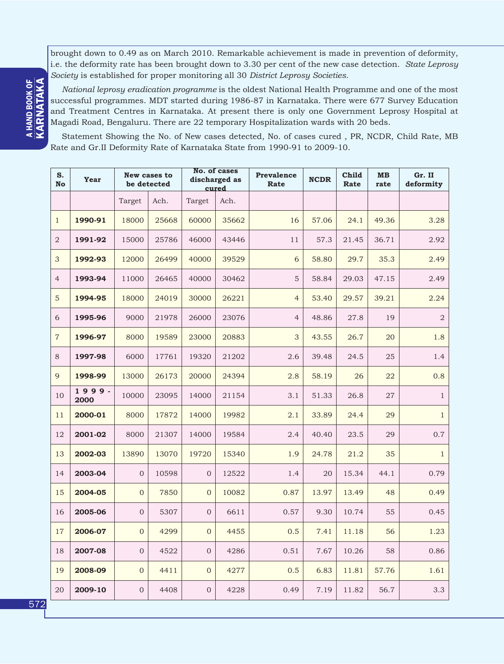brought down to 0.49 as on March 2010. Remarkable achievement is made in prevention of deformity, i.e. the deformity rate has been brought down to 3.30 per cent of the new case detection. *State Leprosy Society* is established for proper monitoring all 30 *District Leprosy Societies.*

*National leprosy eradication programme* is the oldest National Health Programme and one of the most successful programmes. MDT started during 1986-87 in Karnataka. There were 677 Survey Education and Treatment Centres in Karnataka. At present there is only one Government Leprosy Hospital at Magadi Road, Bengaluru. There are 22 temporary Hospitalization wards with 20 beds.

Statement Showing the No. of New cases detected, No. of cases cured , PR, NCDR, Child Rate, MB Rate and Gr.II Deformity Rate of Karnataka State from 1990-91 to 2009-10.

| S.<br>No       | Year             | New cases to<br>be detected |       |                | No. of cases<br>discharged as<br>cured | <b>Prevalence</b><br>Rate | <b>NCDR</b> | Child<br>Rate | <b>MB</b><br>rate | Gr. II<br>deformity |
|----------------|------------------|-----------------------------|-------|----------------|----------------------------------------|---------------------------|-------------|---------------|-------------------|---------------------|
|                |                  | Target                      | Ach.  | Target         | Ach.                                   |                           |             |               |                   |                     |
| $\mathbf{1}$   | 1990-91          | 18000                       | 25668 | 60000          | 35662                                  | 16                        | 57.06       | 24.1          | 49.36             | 3.28                |
| $\sqrt{2}$     | 1991-92          | 15000                       | 25786 | 46000          | 43446                                  | 11                        | 57.3        | 21.45         | 36.71             | 2.92                |
| 3              | 1992-93          | 12000                       | 26499 | 40000          | 39529                                  | 6                         | 58.80       | 29.7          | 35.3              | 2.49                |
| $\overline{4}$ | 1993-94          | 11000                       | 26465 | 40000          | 30462                                  | 5                         | 58.84       | 29.03         | 47.15             | 2.49                |
| $\overline{5}$ | 1994-95          | 18000                       | 24019 | 30000          | 26221                                  | $\overline{4}$            | 53.40       | 29.57         | 39.21             | 2.24                |
| 6              | 1995-96          | 9000                        | 21978 | 26000          | 23076                                  | $\overline{4}$            | 48.86       | 27.8          | 19                | $\sqrt{2}$          |
| $\overline{7}$ | 1996-97          | 8000                        | 19589 | 23000          | 20883                                  | 3                         | 43.55       | 26.7          | 20                | 1.8                 |
| 8              | 1997-98          | 6000                        | 17761 | 19320          | 21202                                  | 2.6                       | 39.48       | 24.5          | 25                | 1.4                 |
| 9              | 1998-99          | 13000                       | 26173 | 20000          | 24394                                  | 2.8                       | 58.19       | 26            | 22                | 0.8                 |
| 10             | $1999 -$<br>2000 | 10000                       | 23095 | 14000          | 21154                                  | 3.1                       | 51.33       | 26.8          | 27                | $\mathbf{1}$        |
| 11             | 2000-01          | 8000                        | 17872 | 14000          | 19982                                  | 2.1                       | 33.89       | 24.4          | 29                | $\mathbf{1}$        |
| 12             | 2001-02          | 8000                        | 21307 | 14000          | 19584                                  | 2.4                       | 40.40       | 23.5          | 29                | 0.7                 |
| 13             | 2002-03          | 13890                       | 13070 | 19720          | 15340                                  | 1.9                       | 24.78       | 21.2          | 35                | $\mathbf{1}$        |
| 14             | 2003-04          | $\overline{0}$              | 10598 | $\overline{0}$ | 12522                                  | 1.4                       | 20          | 15.34         | 44.1              | 0.79                |
| 15             | 2004-05          | $\overline{0}$              | 7850  | $\overline{0}$ | 10082                                  | 0.87                      | 13.97       | 13.49         | 48                | 0.49                |
| 16             | 2005-06          | $\overline{0}$              | 5307  | $\mathbf{0}$   | 6611                                   | 0.57                      | 9.30        | 10.74         | 55                | 0.45                |
| 17             | 2006-07          | $\overline{0}$              | 4299  | $\overline{0}$ | 4455                                   | 0.5                       | 7.41        | 11.18         | 56                | 1.23                |
| 18             | 2007-08          | $\boldsymbol{0}$            | 4522  | $\mathbf{0}$   | 4286                                   | 0.51                      | 7.67        | 10.26         | 58                | 0.86                |
| 19             | 2008-09          | $\mathbf{0}$                | 4411  | $\overline{0}$ | 4277                                   | 0.5                       | 6.83        | 11.81         | 57.76             | 1.61                |
| 20             | 2009-10          | $\boldsymbol{0}$            | 4408  | $\mathbf{0}$   | 4228                                   | 0.49                      | 7.19        | 11.82         | 56.7              | 3.3                 |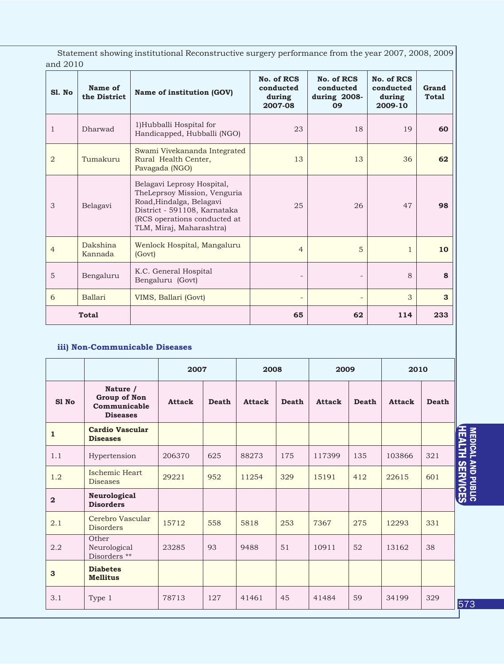|          | Statement showing institutional Reconstructive surgery performance from the year 2007, 2008, 2009 |  |  |
|----------|---------------------------------------------------------------------------------------------------|--|--|
| and 2010 |                                                                                                   |  |  |

| Sl. No         | Name of<br>the District | Name of institution (GOV)                                                                                                                                                          | No. of RCS<br>conducted<br>during<br>2007-08 | No. of RCS<br>conducted<br>during 2008-<br>09 | No. of RCS<br>conducted<br>during<br>2009-10 | Grand<br><b>Total</b> |
|----------------|-------------------------|------------------------------------------------------------------------------------------------------------------------------------------------------------------------------------|----------------------------------------------|-----------------------------------------------|----------------------------------------------|-----------------------|
| 1              | Dharwad                 | 1)Hubballi Hospital for<br>Handicapped, Hubballi (NGO)                                                                                                                             | 23                                           | 18                                            | 19                                           | 60                    |
| $\overline{2}$ | Tumakuru                | Swami Vivekananda Integrated<br>Rural Health Center,<br>Pavagada (NGO)                                                                                                             | 13                                           | 13                                            | 36                                           | 62                    |
| 3              | Belagavi                | Belagavi Leprosy Hospital,<br>TheLeprsoy Mission, Venguria<br>Road, Hindalga, Belagavi<br>District - 591108, Karnataka<br>(RCS operations conducted at<br>TLM, Miraj, Maharashtra) | 25                                           | 26                                            | 47                                           | 98                    |
| $\overline{4}$ | Dakshina<br>Kannada     | Wenlock Hospital, Mangaluru<br>(Govt)                                                                                                                                              | $\overline{4}$                               | 5                                             | $\mathbf{1}$                                 | 10                    |
| 5              | Bengaluru               | K.C. General Hospital<br>Bengaluru (Govt)                                                                                                                                          |                                              |                                               | 8                                            | 8                     |
| 6              | Ballari                 | VIMS, Ballari (Govt)                                                                                                                                                               |                                              |                                               | 3                                            | 3                     |
|                | <b>Total</b>            |                                                                                                                                                                                    | 65                                           | 62                                            | 114                                          | 233                   |

## **iii) Non-Communicable Diseases**

|                         |                                                                    | 2007          |              | 2008          |              | 2009          |              | 2010          |              |                                 |
|-------------------------|--------------------------------------------------------------------|---------------|--------------|---------------|--------------|---------------|--------------|---------------|--------------|---------------------------------|
| S1 No                   | Nature /<br><b>Group of Non</b><br>Communicable<br><b>Diseases</b> | <b>Attack</b> | <b>Death</b> | <b>Attack</b> | <b>Death</b> | <b>Attack</b> | <b>Death</b> | <b>Attack</b> | <b>Death</b> |                                 |
| $\mathbf{1}$            | <b>Cardio Vascular</b><br><b>Diseases</b>                          |               |              |               |              |               |              |               |              | <b>MEDICAL</b><br>HEALTH        |
| 1.1                     | Hypertension                                                       | 206370        | 625          | 88273         | 175          | 117399        | 135          | 103866        | 321          |                                 |
| 1.2                     | Ischemic Heart<br><b>Diseases</b>                                  | 29221         | 952          | 11254         | 329          | 15191         | 412          | 22615         | 601          | <b>AND PUBLIC<br/>ISERVICES</b> |
| $\overline{\mathbf{2}}$ | Neurological<br><b>Disorders</b>                                   |               |              |               |              |               |              |               |              |                                 |
| 2.1                     | Cerebro Vascular<br><b>Disorders</b>                               | 15712         | 558          | 5818          | 253          | 7367          | 275          | 12293         | 331          |                                 |
| 2.2                     | Other<br>Neurological<br>Disorders **                              | 23285         | 93           | 9488          | 51           | 10911         | 52           | 13162         | 38           |                                 |
| 3                       | <b>Diabetes</b><br><b>Mellitus</b>                                 |               |              |               |              |               |              |               |              |                                 |
| 3.1                     | Type 1                                                             | 78713         | 127          | 41461         | 45           | 41484         | 59           | 34199         | 329          | 573                             |

MEDICAL AND PUBLIC PEOPLE HISTORY INTRODUCTION EDUCATION EDUCATION EDUCATION EDUCATION EDUCATION EDUCATION EDU **MEDICAL AND PUBLIC**<br>MEDICAL AND PUBLIC

п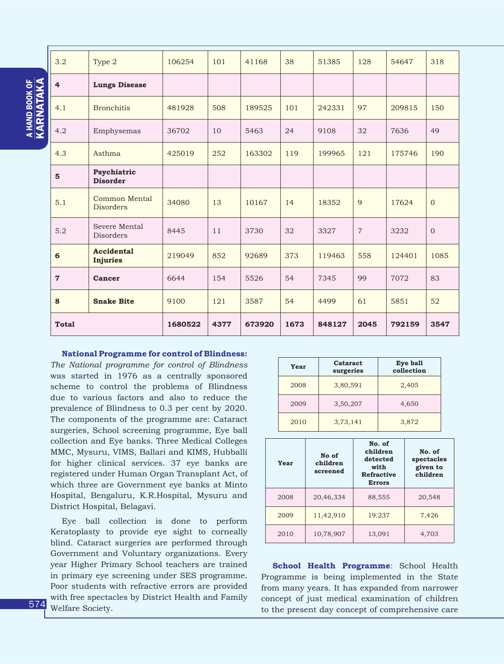## **A HAND BOOK OF**<br>KARNATAKA KARNATAKA a HAND BOOK OF

| 3.2            | Type 2                               | 106254  | 101  | 41168  | 38   | 51385  | 128            | 54647  | 318            |
|----------------|--------------------------------------|---------|------|--------|------|--------|----------------|--------|----------------|
| $\overline{4}$ | <b>Lungs Disease</b>                 |         |      |        |      |        |                |        |                |
| 4.1            | <b>Bronchitis</b>                    | 481928  | 508  | 189525 | 101  | 242331 | 97             | 209815 | 150            |
| 4.2            | Emphysemas                           | 36702   | 10   | 5463   | 24   | 9108   | 32             | 7636   | 49             |
| 4.3            | Asthma                               | 425019  | 252  | 163302 | 119  | 199965 | 121            | 175746 | 190            |
| $5\phantom{1}$ | Psychiatric<br><b>Disorder</b>       |         |      |        |      |        |                |        |                |
| 5.1            | Common Mental<br><b>Disorders</b>    | 34080   | 13   | 10167  | 14   | 18352  | 9              | 17624  | $\overline{0}$ |
| 5.2            | Severe Mental<br><b>Disorders</b>    | 8445    | 11   | 3730   | 32   | 3327   | $\overline{7}$ | 3232   | $\Omega$       |
| 6              | <b>Accidental</b><br><b>Injuries</b> | 219049  | 852  | 92689  | 373  | 119463 | 558            | 124401 | 1085           |
| $\overline{7}$ | Cancer                               | 6644    | 154  | 5526   | 54   | 7345   | 99             | 7072   | 83             |
| 8              | <b>Snake Bite</b>                    | 9100    | 121  | 3587   | 54   | 4499   | 61             | 5851   | 52             |
| <b>Total</b>   |                                      | 1680522 | 4377 | 673920 | 1673 | 848127 | 2045           | 792159 | 3547           |

## **National Programme for control of Blindness:**

*The National programme for control of Blindness* was started in 1976 as a centrally sponsored scheme to control the problems of Blindness due to various factors and also to reduce the prevalence of Blindness to 0.3 per cent by 2020. The components of the programme are: Cataract surgeries, School screening programme, Eye ball collection and Eye banks. Three Medical Colleges MMC, Mysuru, VIMS, Ballari and KIMS, Hubballi for higher clinical services. 37 eye banks are registered under Human Organ Transplant Act, of which three are Government eye banks at Minto Hospital, Bengaluru, K.R.Hospital, Mysuru and District Hospital, Belagavi.

Eye ball collection is done to perform Keratoplasty to provide eye sight to corneally blind. Cataract surgeries are performed through Government and Voluntary organizations. Every year Higher Primary School teachers are trained in primary eye screening under SES programme. Poor students with refractive errors are provided with free spectacles by District Health and Family Welfare Society.

| Year | Cataract<br>surgeries | Eye ball<br>collection |
|------|-----------------------|------------------------|
| 2008 | 3,80,591              | 2,405                  |
| 2009 | 3,50,207              | 4,650                  |
| 2010 | 3,73,141              | 3,872                  |

| Year | No of<br>children<br>screened | No. of<br>children<br>detected<br>with<br><b>Refractive</b><br><b>Errors</b> | No. of<br>spectacles<br>given to<br>children |
|------|-------------------------------|------------------------------------------------------------------------------|----------------------------------------------|
| 2008 | 20,46,334                     | 88,555                                                                       | 20,548                                       |
| 2009 | 11,42,910                     | 19.237                                                                       | 7,426                                        |
| 2010 | 10,78,907                     | 13,091                                                                       | 4,703                                        |

**School Health Programme**: School Health Programme is being implemented in the State from many years. It has expanded from narrower concept of just medical examination of children to the present day concept of comprehensive care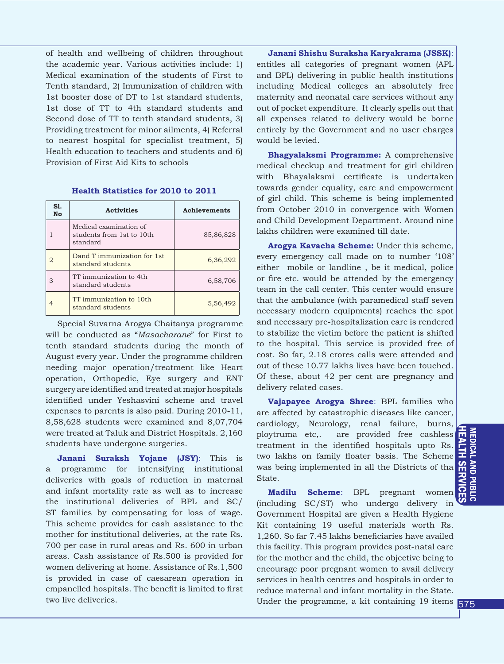of health and wellbeing of children throughout the academic year. Various activities include: 1) Medical examination of the students of First to Tenth standard, 2) Immunization of children with 1st booster dose of DT to 1st standard students, 1st dose of TT to 4th standard students and Second dose of TT to tenth standard students, 3) Providing treatment for minor ailments, 4) Referral to nearest hospital for specialist treatment, 5) Health education to teachers and students and 6) Provision of First Aid Kits to schools

| S1.<br>No | <b>Activities</b>                                               | <b>Achievements</b> |
|-----------|-----------------------------------------------------------------|---------------------|
|           | Medical examination of<br>students from 1st to 10th<br>standard | 85,86,828           |
| 2         | Dand T immunization for 1st<br>standard students                | 6,36,292            |
| 3         | TT immunization to 4th<br>standard students                     | 6,58,706            |
| 4         | TT immunization to 10th<br>standard students                    | 5,56,492            |

#### **Health Statistics for 2010 to 2011**

Special Suvarna Arogya Chaitanya programme will be conducted as "*Masacharane*" for First to tenth standard students during the month of August every year. Under the programme children needing major operation/treatment like Heart operation, Orthopedic, Eye surgery and ENT surgery are identified and treated at major hospitals identified under Yeshasvini scheme and travel expenses to parents is also paid. During 2010-11, 8,58,628 students were examined and 8,07,704 were treated at Taluk and District Hospitals. 2,160 students have undergone surgeries.

**Janani Suraksh Yojane (JSY)**: This is a programme for intensifying institutional deliveries with goals of reduction in maternal and infant mortality rate as well as to increase the institutional deliveries of BPL and SC/ ST families by compensating for loss of wage. This scheme provides for cash assistance to the mother for institutional deliveries, at the rate Rs. 700 per case in rural areas and Rs. 600 in urban areas. Cash assistance of Rs.500 is provided for women delivering at home. Assistance of Rs.1,500 is provided in case of caesarean operation in empanelled hospitals. The benefit is limited to first two live deliveries.

**Janani Shishu Suraksha Karyakrama (JSSK)**: entitles all categories of pregnant women (APL and BPL) delivering in public health institutions including Medical colleges an absolutely free maternity and neonatal care services without any out of pocket expenditure. It clearly spells out that all expenses related to delivery would be borne entirely by the Government and no user charges would be levied.

**Bhagyalaksmi Programme:** A comprehensive medical checkup and treatment for girl children with Bhayalaksmi certificate is undertaken towards gender equality, care and empowerment of girl child. This scheme is being implemented from October 2010 in convergence with Women and Child Development Department. Around nine lakhs children were examined till date.

**Arogya Kavacha Scheme:** Under this scheme, every emergency call made on to number '108' either mobile or landline , be it medical, police or fire etc. would be attended by the emergency team in the call center. This center would ensure that the ambulance (with paramedical staff seven necessary modern equipments) reaches the spot and necessary pre-hospitalization care is rendered to stabilize the victim before the patient is shifted to the hospital. This service is provided free of cost. So far, 2.18 crores calls were attended and out of these 10.77 lakhs lives have been touched. Of these, about 42 per cent are pregnancy and delivery related cases.

**Vajapayee Arogya Shree**: BPL families who are affected by catastrophic diseases like cancer, cardiology, Neurology, renal failure, burns, ploytruma etc.. are provided free cashless  $\mathbf{u}$ treatment in the identified hospitals upto Rs. two lakhs on family floater basis. The Scheme was being implemented in all the Districts of tha State.

**Madilu Scheme**: BPL pregnant women (including SC/ST) who undergo delivery in Government Hospital are given a Health Hygiene Kit containing 19 useful materials worth Rs. 1,260. So far 7.45 lakhs beneficiaries have availed this facility. This program provides post-natal care for the mother and the child, the objective being to encourage poor pregnant women to avail delivery services in health centres and hospitals in order to reduce maternal and infant mortality in the State. Under the programme, a kit containing 19 items 575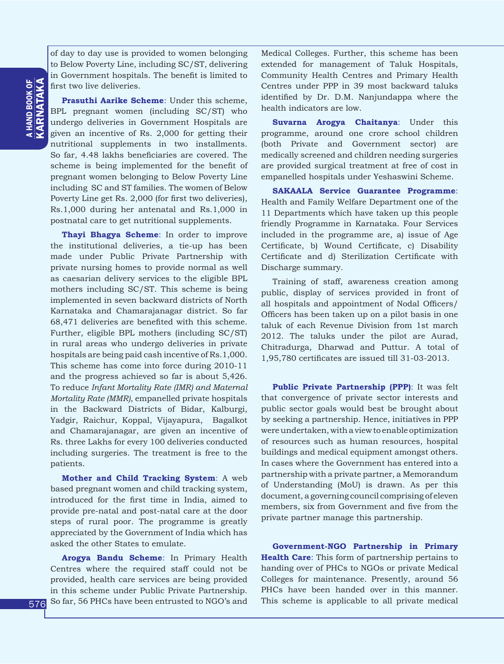of day to day use is provided to women belonging to Below Poverty Line, including SC/ST, delivering in Government hospitals. The benefit is limited to first two live deliveries.

**Prasuthi Aarike Scheme**: Under this scheme, BPL pregnant women (including SC/ST) who undergo deliveries in Government Hospitals are given an incentive of Rs. 2,000 for getting their nutritional supplements in two installments. So far, 4.48 lakhs beneficiaries are covered. The scheme is being implemented for the benefit of pregnant women belonging to Below Poverty Line including SC and ST families. The women of Below Poverty Line get Rs. 2,000 (for first two deliveries), Rs.1,000 during her antenatal and Rs.1,000 in postnatal care to get nutritional supplements.

**Thayi Bhagya Scheme**: In order to improve the institutional deliveries, a tie-up has been made under Public Private Partnership with private nursing homes to provide normal as well as caesarian delivery services to the eligible BPL mothers including SC/ST. This scheme is being implemented in seven backward districts of North Karnataka and Chamarajanagar district. So far 68,471 deliveries are benefited with this scheme. Further, eligible BPL mothers (including SC/ST) in rural areas who undergo deliveries in private hospitals are being paid cash incentive of Rs.1,000. This scheme has come into force during 2010-11 and the progress achieved so far is about 5,426. To reduce *Infant Mortality Rate (IMR) and Maternal Mortality Rate (MMR)*, empanelled private hospitals in the Backward Districts of Bidar, Kalburgi, Yadgir, Raichur, Koppal, Vijayapura, Bagalkot and Chamarajanagar, are given an incentive of Rs. three Lakhs for every 100 deliveries conducted including surgeries. The treatment is free to the patients.

**Mother and Child Tracking System**: A web based pregnant women and child tracking system, introduced for the first time in India, aimed to provide pre-natal and post-natal care at the door steps of rural poor. The programme is greatly appreciated by the Government of India which has asked the other States to emulate.

**Arogya Bandu Scheme**: In Primary Health Centres where the required staff could not be provided, health care services are being provided in this scheme under Public Private Partnership. So far, 56 PHCs have been entrusted to NGO's and Medical Colleges. Further, this scheme has been extended for management of Taluk Hospitals, Community Health Centres and Primary Health Centres under PPP in 39 most backward taluks identified by Dr. D.M. Nanjundappa where the health indicators are low.

**Suvarna Arogya Chaitanya**: Under this programme, around one crore school children (both Private and Government sector) are medically screened and children needing surgeries are provided surgical treatment at free of cost in empanelled hospitals under Yeshaswini Scheme.

**SAKAALA Service Guarantee Programme**: Health and Family Welfare Department one of the 11 Departments which have taken up this people friendly Programme in Karnataka. Four Services included in the programme are, a) issue of Age Certificate, b) Wound Certificate, c) Disability Certificate and d) Sterilization Certificate with Discharge summary.

Training of staff, awareness creation among public, display of services provided in front of all hospitals and appointment of Nodal Officers/ Officers has been taken up on a pilot basis in one taluk of each Revenue Division from 1st march 2012. The taluks under the pilot are Aurad, Chitradurga, Dharwad and Puttur. A total of 1,95,780 certificates are issued till 31-03-2013.

**Public Private Partnership (PPP)**: It was felt that convergence of private sector interests and public sector goals would best be brought about by seeking a partnership. Hence, initiatives in PPP were undertaken, with a view to enable optimization of resources such as human resources, hospital buildings and medical equipment amongst others. In cases where the Government has entered into a partnership with a private partner, a Memorandum of Understanding (MoU) is drawn. As per this document, a governing council comprising of eleven members, six from Government and five from the private partner manage this partnership.

**Government-NGO Partnership in Primary Health Care**: This form of partnership pertains to handing over of PHCs to NGOs or private Medical Colleges for maintenance. Presently, around 56 PHCs have been handed over in this manner. This scheme is applicable to all private medical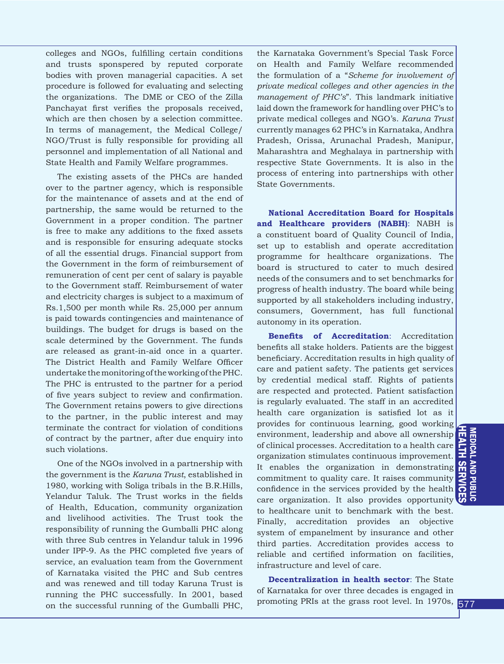colleges and NGOs, fulfilling certain conditions and trusts sponspered by reputed corporate bodies with proven managerial capacities. A set procedure is followed for evaluating and selecting the organizations. The DME or CEO of the Zilla Panchayat first verifies the proposals received, which are then chosen by a selection committee. In terms of management, the Medical College/ NGO/Trust is fully responsible for providing all personnel and implementation of all National and State Health and Family Welfare programmes.

The existing assets of the PHCs are handed over to the partner agency, which is responsible for the maintenance of assets and at the end of partnership, the same would be returned to the Government in a proper condition. The partner is free to make any additions to the fixed assets and is responsible for ensuring adequate stocks of all the essential drugs. Financial support from the Government in the form of reimbursement of remuneration of cent per cent of salary is payable to the Government staff. Reimbursement of water and electricity charges is subject to a maximum of Rs.1,500 per month while Rs. 25,000 per annum is paid towards contingencies and maintenance of buildings. The budget for drugs is based on the scale determined by the Government. The funds are released as grant-in-aid once in a quarter. The District Health and Family Welfare Officer undertake the monitoring of the working of the PHC. The PHC is entrusted to the partner for a period of five years subject to review and confirmation. The Government retains powers to give directions to the partner, in the public interest and may terminate the contract for violation of conditions of contract by the partner, after due enquiry into such violations.

One of the NGOs involved in a partnership with the government is the *Karuna Trust*, established in 1980, working with Soliga tribals in the B.R.Hills, Yelandur Taluk. The Trust works in the fields of Health, Education, community organization and livelihood activities. The Trust took the responsibility of running the Gumballi PHC along with three Sub centres in Yelandur taluk in 1996 under IPP-9. As the PHC completed five years of service, an evaluation team from the Government of Karnataka visited the PHC and Sub centres and was renewed and till today Karuna Trust is running the PHC successfully. In 2001, based on the successful running of the Gumballi PHC,

the Karnataka Government's Special Task Force on Health and Family Welfare recommended the formulation of a "*Scheme for involvement of private medical colleges and other agencies in the management of PHC's*". This landmark initiative laid down the framework for handling over PHC's to private medical colleges and NGO's. *Karuna Trust* currently manages 62 PHC's in Karnataka, Andhra Pradesh, Orissa, Arunachal Pradesh, Manipur, Maharashtra and Meghalaya in partnership with respective State Governments. It is also in the process of entering into partnerships with other State Governments.

**National Accreditation Board for Hospitals and Healthcare providers (NABH)**: NABH is a constituent board of Quality Council of India, set up to establish and operate accreditation programme for healthcare organizations. The board is structured to cater to much desired needs of the consumers and to set benchmarks for progress of health industry. The board while being supported by all stakeholders including industry, consumers, Government, has full functional autonomy in its operation.

**Benefits of Accreditation**: Accreditation benefits all stake holders. Patients are the biggest beneficiary. Accreditation results in high quality of care and patient safety. The patients get services by credential medical staff. Rights of patients are respected and protected. Patient satisfaction is regularly evaluated. The staff in an accredited health care organization is satisfied lot as it provides for continuous learning, good working environment, leadership and above all ownership of clinical processes. Accreditation to a health care organization stimulates continuous improvement. It enables the organization in demonstrating m commitment to quality care. It raises community confidence in the services provided by the health  $\overline{\Omega}$ care organization. It also provides opportunity to healthcare unit to benchmark with the best. Finally, accreditation provides an objective system of empanelment by insurance and other third parties. Accreditation provides access to reliable and certified information on facilities, infrastructure and level of care.

**Decentralization in health sector**: The State of Karnataka for over three decades is engaged in promoting PRIs at the grass root level. In 1970s, 577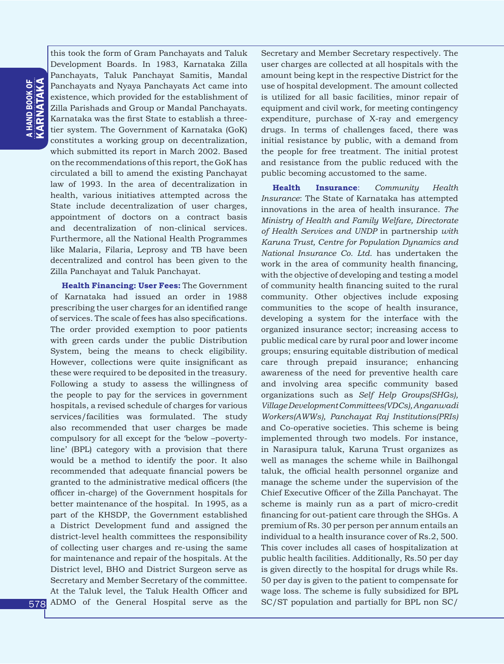this took the form of Gram Panchayats and Taluk Development Boards. In 1983, Karnataka Zilla Panchayats, Taluk Panchayat Samitis, Mandal Panchayats and Nyaya Panchayats Act came into existence, which provided for the establishment of Zilla Parishads and Group or Mandal Panchayats. Karnataka was the first State to establish a threetier system. The Government of Karnataka (GoK) constitutes a working group on decentralization, which submitted its report in March 2002. Based on the recommendations of this report, the GoK has circulated a bill to amend the existing Panchayat law of 1993. In the area of decentralization in health, various initiatives attempted across the State include decentralization of user charges, appointment of doctors on a contract basis and decentralization of non-clinical services. Furthermore, all the National Health Programmes like Malaria, Filaria, Leprosy and TB have been decentralized and control has been given to the Zilla Panchayat and Taluk Panchayat.

**Health Financing: User Fees:** The Government of Karnataka had issued an order in 1988 prescribing the user charges for an identified range of services. The scale of fees has also specifications. The order provided exemption to poor patients with green cards under the public Distribution System, being the means to check eligibility. However, collections were quite insignificant as these were required to be deposited in the treasury. Following a study to assess the willingness of the people to pay for the services in government hospitals, a revised schedule of charges for various services/facilities was formulated. The study also recommended that user charges be made compulsory for all except for the 'below –povertyline' (BPL) category with a provision that there would be a method to identify the poor. It also recommended that adequate financial powers be granted to the administrative medical officers (the officer in-charge) of the Government hospitals for better maintenance of the hospital. In 1995, as a part of the KHSDP, the Government established a District Development fund and assigned the district-level health committees the responsibility of collecting user charges and re-using the same for maintenance and repair of the hospitals. At the District level, BHO and District Surgeon serve as Secretary and Member Secretary of the committee. At the Taluk level, the Taluk Health Officer and ADMO of the General Hospital serve as the Secretary and Member Secretary respectively. The user charges are collected at all hospitals with the amount being kept in the respective District for the use of hospital development. The amount collected is utilized for all basic facilities, minor repair of equipment and civil work, for meeting contingency expenditure, purchase of X-ray and emergency drugs. In terms of challenges faced, there was initial resistance by public, with a demand from the people for free treatment. The initial protest and resistance from the public reduced with the public becoming accustomed to the same.

**Health Insurance**: *Community Health Insurance*: The State of Karnataka has attempted innovations in the area of health insurance. *The Ministry of Health and Family Welfare, Directorate of Health Services and UNDP* in partnership *with Karuna Trust, Centre for Population Dynamics and National Insurance Co. Ltd.* has undertaken the work in the area of community health financing, with the objective of developing and testing a model of community health financing suited to the rural community. Other objectives include exposing communities to the scope of health insurance, developing a system for the interface with the organized insurance sector; increasing access to public medical care by rural poor and lower income groups; ensuring equitable distribution of medical care through prepaid insurance; enhancing awareness of the need for preventive health care and involving area specific community based organizations such as *Self Help Groups(SHGs), Village Development Committees(VDCs), Anganwadi Workers(AWWs), Panchayat Raj Institutions(PRIs)* and Co-operative societies. This scheme is being implemented through two models. For instance, in Narasipura taluk, Karuna Trust organizes as well as manages the scheme while in Bailhongal taluk, the official health personnel organize and manage the scheme under the supervision of the Chief Executive Officer of the Zilla Panchayat. The scheme is mainly run as a part of micro-credit financing for out-patient care through the SHGs. A premium of Rs. 30 per person per annum entails an individual to a health insurance cover of Rs.2, 500. This cover includes all cases of hospitalization at public health facilities. Additionally, Rs.50 per day is given directly to the hospital for drugs while Rs. 50 per day is given to the patient to compensate for wage loss. The scheme is fully subsidized for BPL SC/ST population and partially for BPL non SC/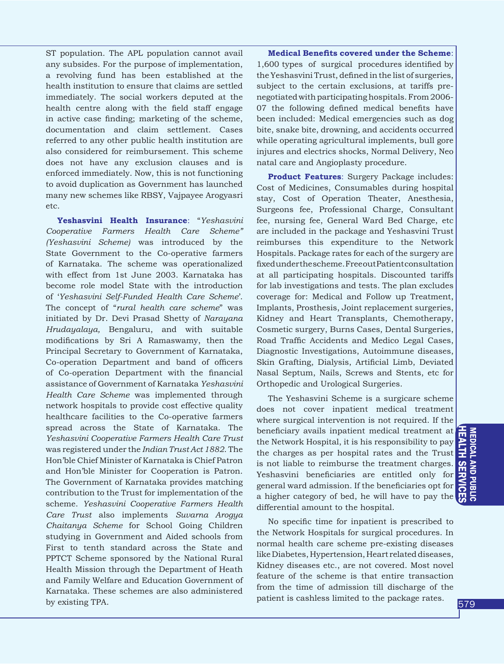ST population. The APL population cannot avail any subsides. For the purpose of implementation, a revolving fund has been established at the health institution to ensure that claims are settled immediately. The social workers deputed at the health centre along with the field staff engage in active case finding; marketing of the scheme, documentation and claim settlement. Cases referred to any other public health institution are also considered for reimbursement. This scheme does not have any exclusion clauses and is enforced immediately. Now, this is not functioning to avoid duplication as Government has launched many new schemes like RBSY, Vajpayee Arogyasri etc.

**Yeshasvini Health Insurance**: "*Yeshasvini Cooperative Farmers Health Care Scheme" (Yeshasvini Scheme)* was introduced by the State Government to the Co-operative farmers of Karnataka. The scheme was operationalized with effect from 1st June 2003. Karnataka has become role model State with the introduction of '*Yeshasvini Self-Funded Health Care Scheme*'. The concept of "*rural health care scheme*" was initiated by Dr. Devi Prasad Shetty of *Narayana Hrudayalaya,* Bengaluru, and with suitable modifications by Sri A Ramaswamy, then the Principal Secretary to Government of Karnataka, Co-operation Department and band of officers of Co-operation Department with the financial assistance of Government of Karnataka *Yeshasvini Health Care Scheme* was implemented through network hospitals to provide cost effective quality healthcare facilities to the Co-operative farmers spread across the State of Karnataka. The *Yeshasvini Cooperative Farmers Health Care Trust* was registered under the *Indian Trust Act 1882*. The Hon'ble Chief Minister of Karnataka is Chief Patron and Hon'ble Minister for Cooperation is Patron. The Government of Karnataka provides matching contribution to the Trust for implementation of the scheme. *Yeshasvini Cooperative Farmers Health Care Trust* also implements *Suvarna Arogya Chaitanya Scheme* for School Going Children studying in Government and Aided schools from First to tenth standard across the State and PPTCT Scheme sponsored by the National Rural Health Mission through the Department of Heath and Family Welfare and Education Government of Karnataka. These schemes are also administered by existing TPA.

**Medical Benefits covered under the Scheme**: 1,600 types of surgical procedures identified by the Yeshasvini Trust, defined in the list of surgeries, subject to the certain exclusions, at tariffs prenegotiated with participating hospitals. From 2006- 07 the following defined medical benefits have been included: Medical emergencies such as dog bite, snake bite, drowning, and accidents occurred while operating agricultural implements, bull gore injures and electrics shocks, Normal Delivery, Neo natal care and Angioplasty procedure.

**Product Features**: Surgery Package includes: Cost of Medicines, Consumables during hospital stay, Cost of Operation Theater, Anesthesia, Surgeons fee, Professional Charge, Consultant fee, nursing fee, General Ward Bed Charge, etc are included in the package and Yeshasvini Trust reimburses this expenditure to the Network Hospitals. Package rates for each of the surgery are fixed under the scheme. Free out Patient consultation at all participating hospitals. Discounted tariffs for lab investigations and tests. The plan excludes coverage for: Medical and Follow up Treatment, Implants, Prosthesis, Joint replacement surgeries, Kidney and Heart Transplants, Chemotherapy, Cosmetic surgery, Burns Cases, Dental Surgeries, Road Traffic Accidents and Medico Legal Cases, Diagnostic Investigations, Autoimmune diseases, Skin Grafting, Dialysis, Artificial Limb, Deviated Nasal Septum, Nails, Screws and Stents, etc for Orthopedic and Urological Surgeries.

The Yeshasvini Scheme is a surgicare scheme does not cover inpatient medical treatment where surgical intervention is not required. If the beneficiary avails inpatient medical treatment at the Network Hospital, it is his responsibility to pay the Network Hospital, it is his responsibility to pay the charges as per hospital rates and the Trust is not liable to reimburse the treatment charges. Yeshasvini beneficiaries are entitled only for general ward admission. If the beneficiaries opt for a higher category of bed, he will have to pay the differential amount to the hospital.

No specific time for inpatient is prescribed to the Network Hospitals for surgical procedures. In normal health care scheme pre-existing diseases like Diabetes, Hypertension, Heart related diseases, Kidney diseases etc., are not covered. Most novel feature of the scheme is that entire transaction from the time of admission till discharge of the patient is cashless limited to the package rates.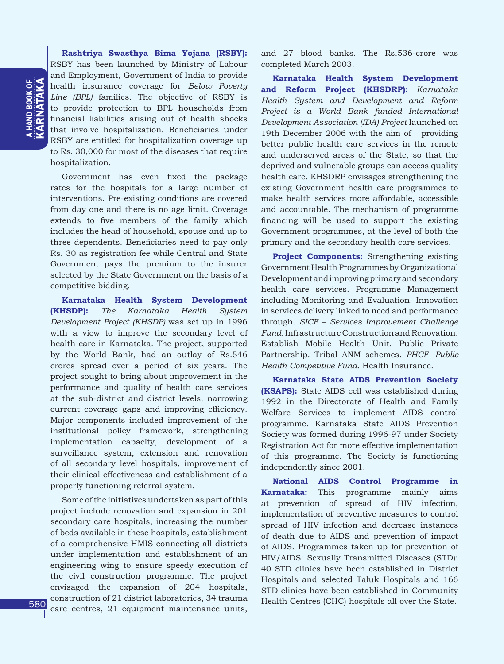**Rashtriya Swasthya Bima Yojana (RSBY):** RSBY has been launched by Ministry of Labour and Employment, Government of India to provide health insurance coverage for *Below Poverty Line (BPL)* families. The objective of RSBY is to provide protection to BPL households from financial liabilities arising out of health shocks that involve hospitalization. Beneficiaries under RSBY are entitled for hospitalization coverage up to Rs. 30,000 for most of the diseases that require hospitalization.

Government has even fixed the package rates for the hospitals for a large number of interventions. Pre-existing conditions are covered from day one and there is no age limit. Coverage extends to five members of the family which includes the head of household, spouse and up to three dependents. Beneficiaries need to pay only Rs. 30 as registration fee while Central and State Government pays the premium to the insurer selected by the State Government on the basis of a competitive bidding.

**Karnataka Health System Development (KHSDP):** *The Karnataka Health System Development Project (KHSDP)* was set up in 1996 with a view to improve the secondary level of health care in Karnataka. The project, supported by the World Bank, had an outlay of Rs.546 crores spread over a period of six years. The project sought to bring about improvement in the performance and quality of health care services at the sub-district and district levels, narrowing current coverage gaps and improving efficiency. Major components included improvement of the institutional policy framework, strengthening implementation capacity, development of a surveillance system, extension and renovation of all secondary level hospitals, improvement of their clinical effectiveness and establishment of a properly functioning referral system.

Some of the initiatives undertaken as part of this project include renovation and expansion in 201 secondary care hospitals, increasing the number of beds available in these hospitals, establishment of a comprehensive HMIS connecting all districts under implementation and establishment of an engineering wing to ensure speedy execution of the civil construction programme. The project envisaged the expansion of 204 hospitals, construction of 21 district laboratories, 34 trauma care centres, 21 equipment maintenance units,

and 27 blood banks. The Rs.536-crore was completed March 2003.

**Karnataka Health System Development and Reform Project (KHSDRP):** *Karnataka Health System and Development and Reform Project is a World Bank funded International Development Association (IDA) Project* launched on 19th December 2006 with the aim of providing better public health care services in the remote and underserved areas of the State, so that the deprived and vulnerable groups can access quality health care. KHSDRP envisages strengthening the existing Government health care programmes to make health services more affordable, accessible and accountable. The mechanism of programme financing will be used to support the existing Government programmes, at the level of both the primary and the secondary health care services.

**Project Components:** Strengthening existing Government Health Programmes by Organizational Development and improving primary and secondary health care services. Programme Management including Monitoring and Evaluation. Innovation in services delivery linked to need and performance through. *SICF – Services Improvement Challenge Fund*. Infrastructure Construction and Renovation. Establish Mobile Health Unit. Public Private Partnership. Tribal ANM schemes. *PHCF- Public Health Competitive Fund*. Health Insurance.

**Karnataka State AIDS Prevention Society (KSAPS):** State AIDS cell was established during 1992 in the Directorate of Health and Family Welfare Services to implement AIDS control programme. Karnataka State AIDS Prevention Society was formed during 1996-97 under Society Registration Act for more effective implementation of this programme. The Society is functioning independently since 2001.

**National AIDS Control Programme in Karnataka:** This programme mainly aims at prevention of spread of HIV infection, implementation of preventive measures to control spread of HIV infection and decrease instances of death due to AIDS and prevention of impact of AIDS. Programmes taken up for prevention of HIV/AIDS: Sexually Transmitted Diseases (STD): 40 STD clinics have been established in District Hospitals and selected Taluk Hospitals and 166 STD clinics have been established in Community Health Centres (CHC) hospitals all over the State.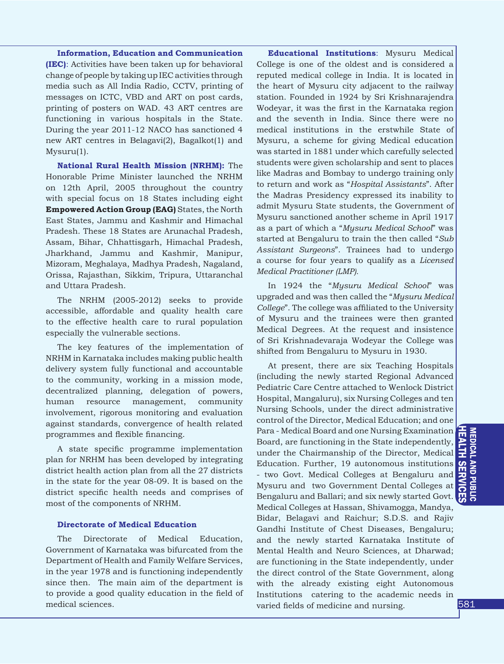**Information, Education and Communication (IEC)**: Activities have been taken up for behavioral change of people by taking up IEC activities through media such as All India Radio, CCTV, printing of messages on ICTC, VBD and ART on post cards, printing of posters on WAD. 43 ART centres are functioning in various hospitals in the State. During the year 2011-12 NACO has sanctioned 4 new ART centres in Belagavi(2), Bagalkot(1) and Mysuru(1).

**National Rural Health Mission (NRHM):** The Honorable Prime Minister launched the NRHM on 12th April, 2005 throughout the country with special focus on 18 States including eight **Empowered Action Group (EAG)** States, the North East States, Jammu and Kashmir and Himachal Pradesh. These 18 States are Arunachal Pradesh, Assam, Bihar, Chhattisgarh, Himachal Pradesh, Jharkhand, Jammu and Kashmir, Manipur, Mizoram, Meghalaya, Madhya Pradesh, Nagaland, Orissa, Rajasthan, Sikkim, Tripura, Uttaranchal and Uttara Pradesh.

The NRHM (2005-2012) seeks to provide accessible, affordable and quality health care to the effective health care to rural population especially the vulnerable sections.

The key features of the implementation of NRHM in Karnataka includes making public health delivery system fully functional and accountable to the community, working in a mission mode, decentralized planning, delegation of powers, human resource management, community involvement, rigorous monitoring and evaluation against standards, convergence of health related programmes and flexible financing.

A state specific programme implementation plan for NRHM has been developed by integrating district health action plan from all the 27 districts in the state for the year 08-09. It is based on the district specific health needs and comprises of most of the components of NRHM.

## **Directorate of Medical Education**

The Directorate of Medical Education, Government of Karnataka was bifurcated from the Department of Health and Family Welfare Services, in the year 1978 and is functioning independently since then. The main aim of the department is to provide a good quality education in the field of medical sciences.

**Educational Institutions**: Mysuru Medical College is one of the oldest and is considered a reputed medical college in India. It is located in the heart of Mysuru city adjacent to the railway station. Founded in 1924 by Sri Krishnarajendra Wodeyar, it was the first in the Karnataka region and the seventh in India. Since there were no medical institutions in the erstwhile State of Mysuru, a scheme for giving Medical education was started in 1881 under which carefully selected students were given scholarship and sent to places like Madras and Bombay to undergo training only to return and work as "*Hospital Assistants*". After the Madras Presidency expressed its inability to admit Mysuru State students, the Government of Mysuru sanctioned another scheme in April 1917 as a part of which a "*Mysuru Medical School*" was started at Bengaluru to train the then called "*Sub Assistant Surgeons*". Trainees had to undergo a course for four years to qualify as a *Licensed Medical Practitioner (LMP).*

In 1924 the "*Mysuru Medical School*" was upgraded and was then called the "*Mysuru Medical College*". The college was affiliated to the University of Mysuru and the trainees were then granted Medical Degrees. At the request and insistence of Sri Krishnadevaraja Wodeyar the College was shifted from Bengaluru to Mysuru in 1930.

At present, there are six Teaching Hospitals (including the newly started Regional Advanced Pediatric Care Centre attached to Wenlock District Hospital, Mangaluru), six Nursing Colleges and ten Nursing Schools, under the direct administrative control of the Director, Medical Education; and one Para - Medical Board and one Nursing Examination Board, are functioning in the State independently, under the Chairmanship of the Director, Medical Education. Further, 19 autonomous institutions - two Govt. Medical Colleges at Bengaluru and Mysuru and two Government Dental Colleges at Bengaluru and Ballari; and six newly started Govt. Medical Colleges at Hassan, Shivamogga, Mandya, Bidar, Belagavi and Raichur; S.D.S. and Rajiv Gandhi Institute of Chest Diseases, Bengaluru; and the newly started Karnataka Institute of Mental Health and Neuro Sciences, at Dharwad; are functioning in the State independently, under the direct control of the State Government, along with the already existing eight Autonomous Institutions catering to the academic needs in varied fields of medicine and nursing.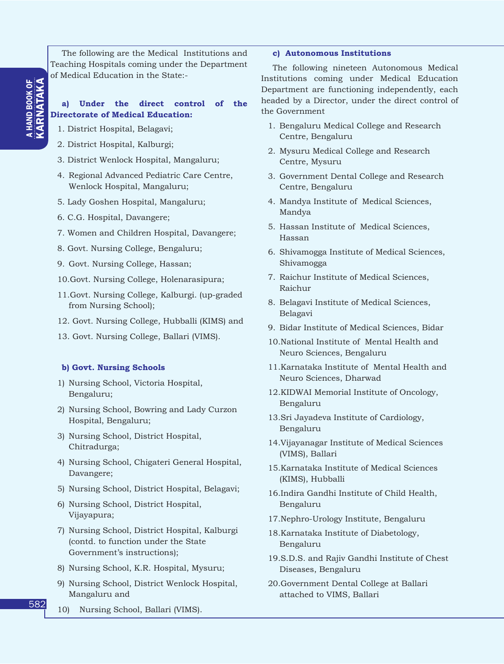The following are the Medical Institutions and Teaching Hospitals coming under the Department of Medical Education in the State:-

## **a) Under the direct control of the Directorate of Medical Education:**

- 1. District Hospital, Belagavi;
- 2. District Hospital, Kalburgi;
- 3. District Wenlock Hospital, Mangaluru;
- 4. Regional Advanced Pediatric Care Centre, Wenlock Hospital, Mangaluru;
- 5. Lady Goshen Hospital, Mangaluru;
- 6. C.G. Hospital, Davangere;
- 7. Women and Children Hospital, Davangere;
- 8. Govt. Nursing College, Bengaluru;
- 9. Govt. Nursing College, Hassan;
- 10.Govt. Nursing College, Holenarasipura;
- 11.Govt. Nursing College, Kalburgi. (up-graded from Nursing School);
- 12. Govt. Nursing College, Hubballi (KIMS) and
- 13. Govt. Nursing College, Ballari (VIMS).

## **b) Govt. Nursing Schools**

- 1) Nursing School, Victoria Hospital, Bengaluru;
- 2) Nursing School, Bowring and Lady Curzon Hospital, Bengaluru;
- 3) Nursing School, District Hospital, Chitradurga;
- 4) Nursing School, Chigateri General Hospital, Davangere;
- 5) Nursing School, District Hospital, Belagavi;
- 6) Nursing School, District Hospital, Vijayapura;
- 7) Nursing School, District Hospital, Kalburgi (contd. to function under the State Government's instructions);
- 8) Nursing School, K.R. Hospital, Mysuru;
- 9) Nursing School, District Wenlock Hospital, Mangaluru and
- 10) Nursing School, Ballari (VIMS).

## **c) Autonomous Institutions**

The following nineteen Autonomous Medical Institutions coming under Medical Education Department are functioning independently, each headed by a Director, under the direct control of the Government

- 1. Bengaluru Medical College and Research Centre, Bengaluru
- 2. Mysuru Medical College and Research Centre, Mysuru
- 3. Government Dental College and Research Centre, Bengaluru
- 4. Mandya Institute of Medical Sciences, Mandya
- 5. Hassan Institute of Medical Sciences, Hassan
- 6. Shivamogga Institute of Medical Sciences, Shivamogga
- 7. Raichur Institute of Medical Sciences, Raichur
- 8. Belagavi Institute of Medical Sciences, Belagavi
- 9. Bidar Institute of Medical Sciences, Bidar
- 10.National Institute of Mental Health and Neuro Sciences, Bengaluru
- 11.Karnataka Institute of Mental Health and Neuro Sciences, Dharwad
- 12.KIDWAI Memorial Institute of Oncology, Bengaluru
- 13.Sri Jayadeva Institute of Cardiology, Bengaluru
- 14.Vijayanagar Institute of Medical Sciences (VIMS), Ballari
- 15.Karnataka Institute of Medical Sciences (KIMS), Hubballi
- 16.Indira Gandhi Institute of Child Health, Bengaluru
- 17.Nephro-Urology Institute, Bengaluru
- 18.Karnataka Institute of Diabetology, Bengaluru
- 19.S.D.S. and Rajiv Gandhi Institute of Chest Diseases, Bengaluru
- 20.Government Dental College at Ballari attached to VIMS, Ballari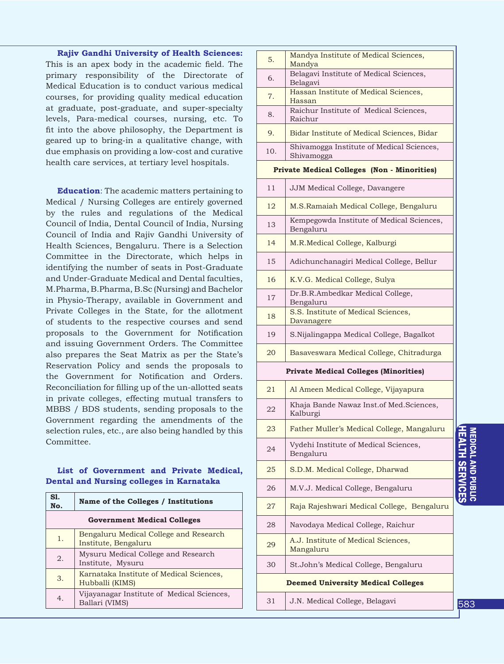## **Rajiv Gandhi University of Health Sciences:**

This is an apex body in the academic field. The primary responsibility of the Directorate of Medical Education is to conduct various medical courses, for providing quality medical education at graduate, post-graduate, and super-specialty levels, Para-medical courses, nursing, etc. To fit into the above philosophy, the Department is geared up to bring-in a qualitative change, with due emphasis on providing a low-cost and curative health care services, at tertiary level hospitals.

**Education**: The academic matters pertaining to Medical / Nursing Colleges are entirely governed by the rules and regulations of the Medical Council of India, Dental Council of India, Nursing Council of India and Rajiv Gandhi University of Health Sciences, Bengaluru. There is a Selection Committee in the Directorate, which helps in identifying the number of seats in Post-Graduate and Under-Graduate Medical and Dental faculties, M.Pharma, B.Pharma, B.Sc (Nursing) and Bachelor in Physio-Therapy, available in Government and Private Colleges in the State, for the allotment of students to the respective courses and send proposals to the Government for Notification and issuing Government Orders. The Committee also prepares the Seat Matrix as per the State's Reservation Policy and sends the proposals to the Government for Notification and Orders. Reconciliation for filling up of the un-allotted seats in private colleges, effecting mutual transfers to MBBS / BDS students, sending proposals to the Government regarding the amendments of the selection rules, etc., are also being handled by this Committee.

## **List of Government and Private Medical, Dental and Nursing colleges in Karnataka**

| S1.<br>No.                         | Name of the Colleges / Institutions                            |  |  |  |  |  |
|------------------------------------|----------------------------------------------------------------|--|--|--|--|--|
| <b>Government Medical Colleges</b> |                                                                |  |  |  |  |  |
| 1.                                 | Bengaluru Medical College and Research<br>Institute, Bengaluru |  |  |  |  |  |
| 2.                                 | Mysuru Medical College and Research<br>Institute, Mysuru       |  |  |  |  |  |
| 3.                                 | Karnataka Institute of Medical Sciences,<br>Hubballi (KIMS)    |  |  |  |  |  |
| 4.                                 | Vijayanagar Institute of Medical Sciences,<br>Ballari (VIMS)   |  |  |  |  |  |

| 5.  | Mandya Institute of Medical Sciences,<br>Mandya         |
|-----|---------------------------------------------------------|
| 6.  | Belagavi Institute of Medical Sciences,<br>Belagavi     |
| 7.  | Hassan Institute of Medical Sciences,<br>Hassan         |
| 8.  | Raichur Institute of Medical Sciences,<br>Raichur       |
| 9.  | Bidar Institute of Medical Sciences, Bidar              |
| 10. | Shivamogga Institute of Medical Sciences,<br>Shivamogga |
|     | <b>Private Medical Colleges (Non - Minorities)</b>      |
| 11  | <b>JJM Medical College, Davangere</b>                   |
| 12  | M.S.Ramaiah Medical College, Bengaluru                  |
| 13  | Kempegowda Institute of Medical Sciences,<br>Bengaluru  |
| 14  | M.R.Medical College, Kalburgi                           |
| 15  | Adichunchanagiri Medical College, Bellur                |
| 16  | K.V.G. Medical College, Sulya                           |
| 17  | Dr.B.R.Ambedkar Medical College,<br>Bengaluru           |
| 18  | S.S. Institute of Medical Sciences,<br>Davanagere       |
| 19  | S.Nijalingappa Medical College, Bagalkot                |
| 20  | Basaveswara Medical College, Chitradurga                |
|     | <b>Private Medical Colleges (Minorities)</b>            |
| 21  | Al Ameen Medical College, Vijayapura                    |
| 22  | Khaja Bande Nawaz Inst. of Med. Sciences,<br>Kalburgi   |
| 23  | Father Muller's Medical College, Mangaluru              |
| 24  | Vydehi Institute of Medical Sciences,<br>Bengaluru      |
| 25  | S.D.M. Medical College, Dharwad                         |
| 26  | M.V.J. Medical College, Bengaluru                       |
| 27  | Raja Rajeshwari Medical College, Bengaluru              |
| 28  | Navodaya Medical College, Raichur                       |
| 29  | A.J. Institute of Medical Sciences,<br>Mangaluru        |
| 30  | St.John's Medical College, Bengaluru                    |
|     | <b>Deemed University Medical Colleges</b>               |
| 31  | J.N. Medical College, Belagavi                          |

MEDICAL AND PUBLIC PEOPLE HISTORY INTRODUCTION EDUCATION EDUCATION EDUCATION EDUCATION EDUCATION EDUCATION EDU **SEPRICAL AND PUBLIC<br>HEALTH SERVICES<br>HEALTH SERVICES MEDICAL AND PUBLIC<br>HEALTH SERVICES**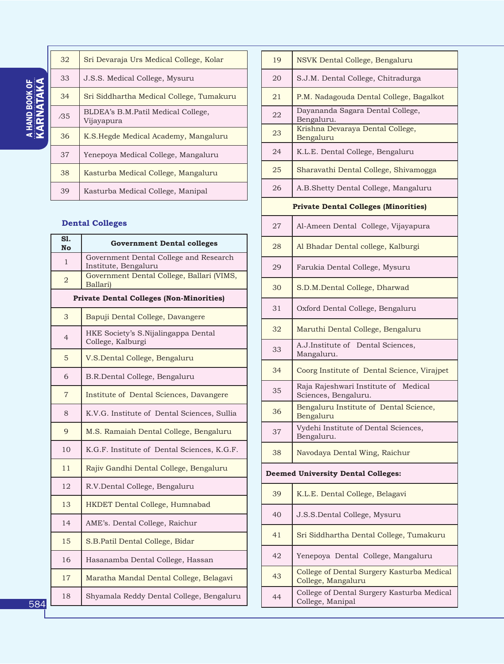# A HAND BOOK OF<br>**KARNATAKA** KARNATAKA a HAND BOOK OF

| 32  | Sri Devaraja Urs Medical College, Kolar          |
|-----|--------------------------------------------------|
| 33  | J.S.S. Medical College, Mysuru                   |
| 34  | Sri Siddhartha Medical College, Tumakuru         |
| /35 | BLDEA's B.M.Patil Medical College,<br>Vijayapura |
| 36  | K.S. Hegde Medical Academy, Mangaluru            |
| 37  | Yenepoya Medical College, Mangaluru              |
| 38  | Kasturba Medical College, Mangaluru              |
| 39  | Kasturba Medical College, Manipal                |

## **Dental Colleges**

| S1.<br>No      | <b>Government Dental colleges</b>                              |
|----------------|----------------------------------------------------------------|
| 1              | Government Dental College and Research<br>Institute, Bengaluru |
| $\overline{a}$ | Government Dental College, Ballari (VIMS,<br>Ballari)          |
|                | <b>Private Dental Colleges (Non-Minorities)</b>                |
| 3              | Bapuji Dental College, Davangere                               |
| $\overline{4}$ | HKE Society's S.Nijalingappa Dental<br>College, Kalburgi       |
| 5              | V.S.Dental College, Bengaluru                                  |
| 6              | B.R.Dental College, Bengaluru                                  |
| $\overline{7}$ | Institute of Dental Sciences, Davangere                        |
| 8              | K.V.G. Institute of Dental Sciences, Sullia                    |
| 9              | M.S. Ramaiah Dental College, Bengaluru                         |
| 10             | K.G.F. Institute of Dental Sciences, K.G.F.                    |
| 11             | Rajiv Gandhi Dental College, Bengaluru                         |
| 12             | R.V.Dental College, Bengaluru                                  |
| 13             | HKDET Dental College, Humnabad                                 |
| 14             | AME's. Dental College, Raichur                                 |
| 15             | S.B.Patil Dental College, Bidar                                |
| 16             | Hasanamba Dental College, Hassan                               |
| 17             | Maratha Mandal Dental College, Belagavi                        |
| 18             | Shyamala Reddy Dental College, Bengaluru                       |

| 19 | NSVK Dental College, Bengaluru                                   |
|----|------------------------------------------------------------------|
| 20 | S.J.M. Dental College, Chitradurga                               |
| 21 | P.M. Nadagouda Dental College, Bagalkot                          |
| 22 | Dayananda Sagara Dental College,<br>Bengaluru.                   |
| 23 | Krishna Devaraya Dental College,<br>Bengaluru                    |
| 24 | K.L.E. Dental College, Bengaluru                                 |
| 25 | Sharavathi Dental College, Shivamogga                            |
| 26 | A.B.Shetty Dental College, Mangaluru                             |
|    | <b>Private Dental Colleges (Minorities)</b>                      |
| 27 | Al-Ameen Dental College, Vijayapura                              |
| 28 | Al Bhadar Dental college, Kalburgi                               |
| 29 | Farukia Dental College, Mysuru                                   |
| 30 | S.D.M.Dental College, Dharwad                                    |
| 31 | Oxford Dental College, Bengaluru                                 |
| 32 | Maruthi Dental College, Bengaluru                                |
| 33 | A.J.Institute of Dental Sciences,<br>Mangaluru.                  |
| 34 | Coorg Institute of Dental Science, Virajpet                      |
| 35 | Raja Rajeshwari Institute of Medical<br>Sciences, Bengaluru.     |
| 36 | Bengaluru Institute of Dental Science,<br>Bengaluru              |
| 37 | Vydehi Institute of Dental Sciences,<br>Bengaluru.               |
| 38 | Navodaya Dental Wing, Raichur                                    |
|    | <b>Deemed University Dental Colleges:</b>                        |
| 39 | K.L.E. Dental College, Belagavi                                  |
| 40 | J.S.S.Dental College, Mysuru                                     |
| 41 | Sri Siddhartha Dental College, Tumakuru                          |
| 42 | Yenepoya Dental College, Mangaluru                               |
| 43 | College of Dental Surgery Kasturba Medical<br>College, Mangaluru |
| 44 | College of Dental Surgery Kasturba Medical<br>College, Manipal   |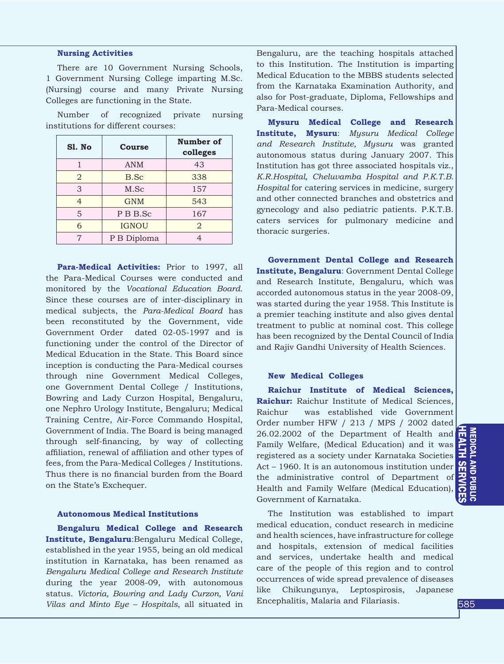#### **Nursing Activities**

There are 10 Government Nursing Schools, 1 Government Nursing College imparting M.Sc. (Nursing) course and many Private Nursing Colleges are functioning in the State.

Number of recognized private nursing institutions for different courses:

| Sl. No         | <b>Course</b> | <b>Number of</b><br>colleges |
|----------------|---------------|------------------------------|
|                | <b>ANM</b>    | 43                           |
| $\overline{2}$ | B.Sc          | 338                          |
| 3              | M.Sc          | 157                          |
| 4              | <b>GNM</b>    | 543                          |
| 5              | P B B.Sc      | 167                          |
| 6              | <b>IGNOU</b>  | $\overline{2}$               |
|                | P B Diploma   | 4                            |

**Para-Medical Activities:** Prior to 1997, all the Para-Medical Courses were conducted and monitored by the *Vocational Education Board*. Since these courses are of inter-disciplinary in medical subjects, the *Para-Medical Board* has been reconstituted by the Government, vide Government Order dated 02-05-1997 and is functioning under the control of the Director of Medical Education in the State. This Board since inception is conducting the Para-Medical courses through nine Government Medical Colleges, one Government Dental College / Institutions, Bowring and Lady Curzon Hospital, Bengaluru, one Nephro Urology Institute, Bengaluru; Medical Training Centre, Air-Force Commando Hospital, Government of India. The Board is being managed through self-financing, by way of collecting affiliation, renewal of affiliation and other types of fees, from the Para-Medical Colleges / Institutions. Thus there is no financial burden from the Board on the State's Exchequer.

## **Autonomous Medical Institutions**

**Bengaluru Medical College and Research Institute, Bengaluru**:Bengaluru Medical College, established in the year 1955, being an old medical institution in Karnataka, has been renamed as *Bengaluru Medical College and Research Institute* during the year 2008-09, with autonomous status. *Victoria, Bowring and Lady Curzon, Vani Vilas and Minto Eye – Hospitals*, all situated in

Bengaluru, are the teaching hospitals attached to this Institution. The Institution is imparting Medical Education to the MBBS students selected from the Karnataka Examination Authority, and also for Post-graduate, Diploma, Fellowships and Para-Medical courses.

**Mysuru Medical College and Research Institute, Mysuru**: *Mysuru Medical College and Research Institute, Mysuru* was granted autonomous status during January 2007. This Institution has got three associated hospitals viz., *K.R.Hospital, Cheluvamba Hospital and P.K.T.B. Hospital* for catering services in medicine, surgery and other connected branches and obstetrics and gynecology and also pediatric patients. P.K.T.B. caters services for pulmonary medicine and thoracic surgeries.

**Government Dental College and Research Institute, Bengaluru**: Government Dental College and Research Institute, Bengaluru, which was accorded autonomous status in the year 2008-09, was started during the year 1958. This Institute is a premier teaching institute and also gives dental treatment to public at nominal cost. This college has been recognized by the Dental Council of India and Rajiv Gandhi University of Health Sciences.

#### **New Medical Colleges**

**Raichur Institute of Medical Sciences, Raichur:** Raichur Institute of Medical Sciences, Raichur was established vide Government Order number HFW / 213 / MPS / 2002 dated 26.02.2002 of the Department of Health and  $\Box$ Family Welfare, (Medical Education) and it was registered as a society under Karnataka Societies Act – 1960. It is an autonomous institution under the administrative control of Department of Health and Family Welfare (Medical Education), Government of Karnataka.

The Institution was established to impart medical education, conduct research in medicine and health sciences, have infrastructure for college and hospitals, extension of medical facilities and services, undertake health and medical care of the people of this region and to control occurrences of wide spread prevalence of diseases like Chikungunya, Leptospirosis, Japanese Encephalitis, Malaria and Filariasis.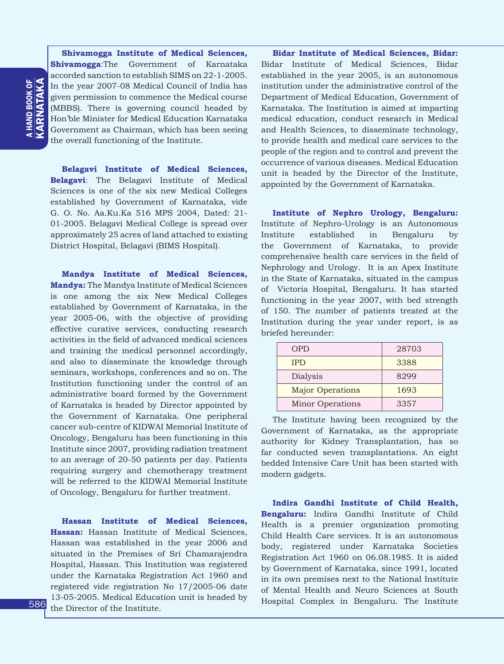A HAND BOOK OF<br>KARNATAKA KARNATAKA a HAND BOOK OF

**Shivamogga Institute of Medical Sciences, Shivamogga**:The Government of Karnataka accorded sanction to establish SIMS on 22-1-2005. In the year 2007-08 Medical Council of India has given permission to commence the Medical course (MBBS). There is governing council headed by Hon'ble Minister for Medical Education Karnataka Government as Chairman, which has been seeing the overall functioning of the Institute.

**Belagavi Institute of Medical Sciences, Belagavi**: The Belagavi Institute of Medical Sciences is one of the six new Medical Colleges established by Government of Karnataka, vide G. O. No. Aa.Ku.Ka 516 MPS 2004, Dated: 21- 01-2005. Belagavi Medical College is spread over approximately 25 acres of land attached to existing District Hospital, Belagavi (BIMS Hospital).

**Mandya Institute of Medical Sciences, Mandya:** The Mandya Institute of Medical Sciences is one among the six New Medical Colleges established by Government of Karnataka, in the year 2005-06, with the objective of providing effective curative services, conducting research activities in the field of advanced medical sciences and training the medical personnel accordingly, and also to disseminate the knowledge through seminars, workshops, conferences and so on. The Institution functioning under the control of an administrative board formed by the Government of Karnataka is headed by Director appointed by the Government of Karnataka. One peripheral cancer sub-centre of KIDWAI Memorial Institute of Oncology, Bengaluru has been functioning in this Institute since 2007, providing radiation treatment to an average of 20-50 patients per day. Patients requiring surgery and chemotherapy treatment will be referred to the KIDWAI Memorial Institute of Oncology, Bengaluru for further treatment.

**Hassan Institute of Medical Sciences, Hassan:** Hassan Institute of Medical Sciences, Hassan was established in the year 2006 and situated in the Premises of Sri Chamarajendra Hospital, Hassan. This Institution was registered under the Karnataka Registration Act 1960 and registered vide registration No 17/2005-06 date 13-05-2005. Medical Education unit is headed by the Director of the Institute.

**Bidar Institute of Medical Sciences, Bidar:**  Bidar Institute of Medical Sciences, Bidar established in the year 2005, is an autonomous institution under the administrative control of the Department of Medical Education, Government of Karnataka. The Institution is aimed at imparting medical education, conduct research in Medical and Health Sciences, to disseminate technology, to provide health and medical care services to the people of the region and to control and prevent the occurrence of various diseases. Medical Education unit is headed by the Director of the Institute, appointed by the Government of Karnataka.

**Institute of Nephro Urology, Bengaluru:** Institute of Nephro-Urology is an Autonomous Institute established in Bengaluru by the Government of Karnataka, to provide comprehensive health care services in the field of Nephrology and Urology. It is an Apex Institute in the State of Karnataka, situated in the campus of Victoria Hospital, Bengaluru. It has started functioning in the year 2007, with bed strength of 150. The number of patients treated at the Institution during the year under report, is as briefed hereunder:

| <b>OPD</b>              | 28703 |
|-------------------------|-------|
| <b>IPD</b>              | 3388  |
| Dialysis                | 8299  |
| <b>Major Operations</b> | 1693  |
| <b>Minor Operations</b> | 3357  |

The Institute having been recognized by the Government of Karnataka, as the appropriate authority for Kidney Transplantation, has so far conducted seven transplantations. An eight bedded Intensive Care Unit has been started with modern gadgets.

**Indira Gandhi Institute of Child Health, Bengaluru:** Indira Gandhi Institute of Child Health is a premier organization promoting Child Health Care services. It is an autonomous body, registered under Karnataka Societies Registration Act 1960 on 06.08.1985. It is aided by Government of Karnataka, since 1991, located in its own premises next to the National Institute of Mental Health and Neuro Sciences at South Hospital Complex in Bengaluru. The Institute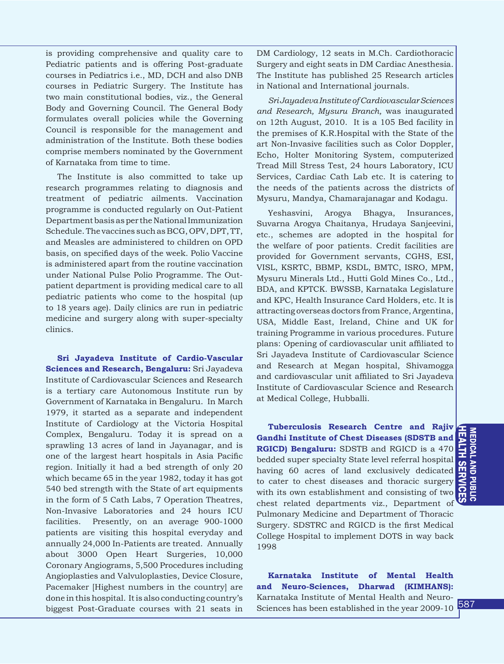is providing comprehensive and quality care to Pediatric patients and is offering Post-graduate courses in Pediatrics i.e., MD, DCH and also DNB courses in Pediatric Surgery. The Institute has two main constitutional bodies, viz., the General Body and Governing Council. The General Body formulates overall policies while the Governing Council is responsible for the management and administration of the Institute. Both these bodies comprise members nominated by the Government of Karnataka from time to time.

The Institute is also committed to take up research programmes relating to diagnosis and treatment of pediatric ailments. Vaccination programme is conducted regularly on Out-Patient Department basis as per the National Immunization Schedule. The vaccines such as BCG, OPV, DPT, TT, and Measles are administered to children on OPD basis, on specified days of the week. Polio Vaccine is administered apart from the routine vaccination under National Pulse Polio Programme. The Outpatient department is providing medical care to all pediatric patients who come to the hospital (up to 18 years age). Daily clinics are run in pediatric medicine and surgery along with super-specialty clinics.

**Sri Jayadeva Institute of Cardio-Vascular Sciences and Research, Bengaluru:** Sri Jayadeva Institute of Cardiovascular Sciences and Research is a tertiary care Autonomous Institute run by Government of Karnataka in Bengaluru. In March 1979, it started as a separate and independent Institute of Cardiology at the Victoria Hospital Complex, Bengaluru. Today it is spread on a sprawling 13 acres of land in Jayanagar, and is one of the largest heart hospitals in Asia Pacific region. Initially it had a bed strength of only 20 which became 65 in the year 1982, today it has got 540 bed strength with the State of art equipments in the form of 5 Cath Labs, 7 Operation Theatres, Non-Invasive Laboratories and 24 hours ICU facilities. Presently, on an average 900-1000 patients are visiting this hospital everyday and annually 24,000 In-Patients are treated. Annually about 3000 Open Heart Surgeries, 10,000 Coronary Angiograms, 5,500 Procedures including Angioplasties and Valvuloplasties, Device Closure, Pacemaker [Highest numbers in the country] are done in this hospital. It is also conducting country's biggest Post-Graduate courses with 21 seats in

DM Cardiology, 12 seats in M.Ch. Cardiothoracic Surgery and eight seats in DM Cardiac Anesthesia. The Institute has published 25 Research articles in National and International journals.

*Sri Jayadeva Institute of Cardiovascular Sciences and Research, Mysuru Branch,* was inaugurated on 12th August, 2010. It is a 105 Bed facility in the premises of K.R.Hospital with the State of the art Non-Invasive facilities such as Color Doppler, Echo, Holter Monitoring System, computerized Tread Mill Stress Test, 24 hours Laboratory, ICU Services, Cardiac Cath Lab etc. It is catering to the needs of the patients across the districts of Mysuru, Mandya, Chamarajanagar and Kodagu.

Yeshasvini, Arogya Bhagya, Insurances, Suvarna Arogya Chaitanya, Hrudaya Sanjeevini, etc., schemes are adopted in the hospital for the welfare of poor patients. Credit facilities are provided for Government servants, CGHS, ESI, VISL, KSRTC, BBMP, KSDL, BMTC, ISRO, MPM, Mysuru Minerals Ltd., Hutti Gold Mines Co., Ltd., BDA, and KPTCK. BWSSB, Karnataka Legislature and KPC, Health Insurance Card Holders, etc. It is attracting overseas doctors from France, Argentina, USA, Middle East, Ireland, Chine and UK for training Programme in various procedures. Future plans: Opening of cardiovascular unit affiliated to Sri Jayadeva Institute of Cardiovascular Science and Research at Megan hospital, Shivamogga and cardiovascular unit affiliated to Sri Jayadeva Institute of Cardiovascular Science and Research at Medical College, Hubballi.

**Tuberculosis Research Centre and Rajiv Gandhi Institute of Chest Diseases (SDSTB and RGICD) Bengaluru:** SDSTB and RGICD is a 470 bedded super specialty State level referral hospital having 60 acres of land exclusively dedicated to cater to chest diseases and thoracic surgery with its own establishment and consisting of two chest related departments viz., Department of Pulmonary Medicine and Department of Thoracic Surgery. SDSTRC and RGICD is the first Medical College Hospital to implement DOTS in way back 1998

**Karnataka Institute of Mental Health and Neuro-Sciences, Dharwad (KIMHANS):** Karnataka Institute of Mental Health and Neuro-Sciences has been established in the year 2009-10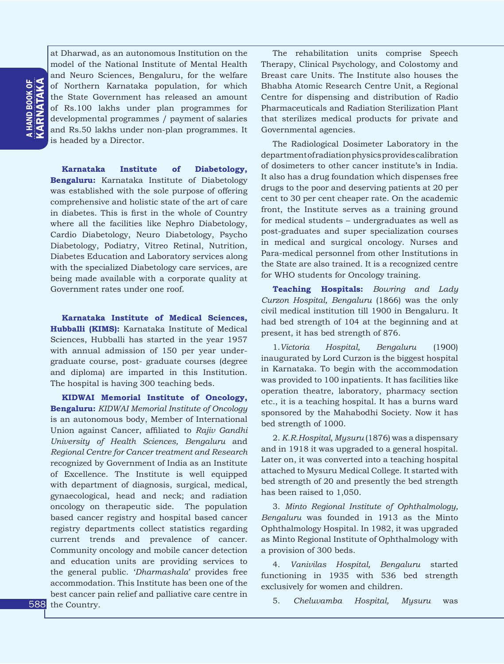at Dharwad, as an autonomous Institution on the model of the National Institute of Mental Health and Neuro Sciences, Bengaluru, for the welfare of Northern Karnataka population, for which the State Government has released an amount of Rs.100 lakhs under plan programmes for developmental programmes / payment of salaries and Rs.50 lakhs under non-plan programmes. It is headed by a Director.

**Karnataka Institute of Diabetology, Bengaluru:** Karnataka Institute of Diabetology was established with the sole purpose of offering comprehensive and holistic state of the art of care in diabetes. This is first in the whole of Country where all the facilities like Nephro Diabetology, Cardio Diabetology, Neuro Diabetology, Psycho Diabetology, Podiatry, Vitreo Retinal, Nutrition, Diabetes Education and Laboratory services along with the specialized Diabetology care services, are being made available with a corporate quality at Government rates under one roof.

**Karnataka Institute of Medical Sciences, Hubballi (KIMS):** Karnataka Institute of Medical Sciences, Hubballi has started in the year 1957 with annual admission of 150 per year undergraduate course, post- graduate courses (degree and diploma) are imparted in this Institution. The hospital is having 300 teaching beds.

588 the Country. **KIDWAI Memorial Institute of Oncology, Bengaluru:** *KIDWAI Memorial Institute of Oncology*  is an autonomous body, Member of International Union against Cancer, affiliated to *Rajiv Gandhi University of Health Sciences, Bengaluru* and *Regional Centre for Cancer treatment and Research*  recognized by Government of India as an Institute of Excellence. The Institute is well equipped with department of diagnosis, surgical, medical, gynaecological, head and neck; and radiation oncology on therapeutic side. The population based cancer registry and hospital based cancer registry departments collect statistics regarding current trends and prevalence of cancer. Community oncology and mobile cancer detection and education units are providing services to the general public. '*Dharmashala*' provides free accommodation. This Institute has been one of the best cancer pain relief and palliative care centre in

The rehabilitation units comprise Speech Therapy, Clinical Psychology, and Colostomy and Breast care Units. The Institute also houses the Bhabha Atomic Research Centre Unit, a Regional Centre for dispensing and distribution of Radio Pharmaceuticals and Radiation Sterilization Plant that sterilizes medical products for private and Governmental agencies.

The Radiological Dosimeter Laboratory in the department of radiation physics provides calibration of dosimeters to other cancer institute's in India. It also has a drug foundation which dispenses free drugs to the poor and deserving patients at 20 per cent to 30 per cent cheaper rate. On the academic front, the Institute serves as a training ground for medical students – undergraduates as well as post-graduates and super specialization courses in medical and surgical oncology. Nurses and Para-medical personnel from other Institutions in the State are also trained. It is a recognized centre for WHO students for Oncology training.

**Teaching Hospitals:** *Bowring and Lady Curzon Hospital, Bengaluru* (1866) was the only civil medical institution till 1900 in Bengaluru. It had bed strength of 104 at the beginning and at present, it has bed strength of 876.

1.*Victoria Hospital, Bengaluru* (1900) inaugurated by Lord Curzon is the biggest hospital in Karnataka. To begin with the accommodation was provided to 100 inpatients. It has facilities like operation theatre, laboratory, pharmacy section etc., it is a teaching hospital. It has a burns ward sponsored by the Mahabodhi Society. Now it has bed strength of 1000.

2. *K.R.Hospital, Mysuru* (1876) was a dispensary and in 1918 it was upgraded to a general hospital. Later on, it was converted into a teaching hospital attached to Mysuru Medical College. It started with bed strength of 20 and presently the bed strength has been raised to 1,050.

3. *Minto Regional Institute of Ophthalmology, Bengaluru* was founded in 1913 as the Minto Ophthalmology Hospital. In 1982, it was upgraded as Minto Regional Institute of Ophthalmology with a provision of 300 beds.

4. *Vanivilas Hospital, Bengaluru* started functioning in 1935 with 536 bed strength exclusively for women and children.

5. *Cheluvamba Hospital, Mysuru* was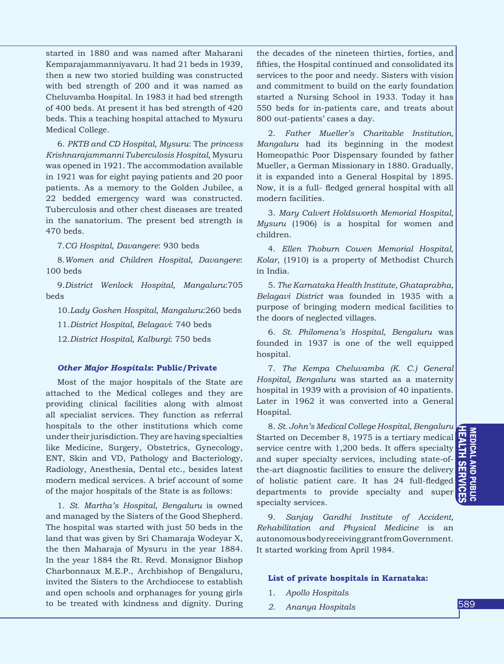started in 1880 and was named after Maharani Kemparajammanniyavaru. It had 21 beds in 1939, then a new two storied building was constructed with bed strength of 200 and it was named as Cheluvamba Hospital. In 1983 it had bed strength of 400 beds. At present it has bed strength of 420 beds. This a teaching hospital attached to Mysuru Medical College.

6. *PKTB and CD Hospital, Mysuru*: The *princess Krishnarajammanni Tuberculosis Hospital,* Mysuru was opened in 1921. The accommodation available in 1921 was for eight paying patients and 20 poor patients. As a memory to the Golden Jubilee, a 22 bedded emergency ward was constructed. Tuberculosis and other chest diseases are treated in the sanatorium. The present bed strength is 470 beds.

7.*CG Hospital, Davangere*: 930 beds

8.*Women and Children Hospital, Davangere*: 100 beds

9.*District Wenlock Hospital, Mangaluru*:705 beds

10.*Lady Goshen Hospital, Mangaluru*:260 beds

11.*District Hospital, Belagavi*: 740 beds

12.*District Hospital, Kalburgi*: 750 beds

#### *Other Major Hospitals***: Public/Private**

Most of the major hospitals of the State are attached to the Medical colleges and they are providing clinical facilities along with almost all specialist services. They function as referral hospitals to the other institutions which come under their jurisdiction. They are having specialties like Medicine, Surgery, Obstetrics, Gynecology, ENT, Skin and VD, Pathology and Bacteriology, Radiology, Anesthesia, Dental etc., besides latest modern medical services. A brief account of some of the major hospitals of the State is as follows:

1. *St. Martha's Hospital, Bengaluru* is owned and managed by the Sisters of the Good Shepherd. The hospital was started with just 50 beds in the land that was given by Sri Chamaraja Wodeyar X, the then Maharaja of Mysuru in the year 1884. In the year 1884 the Rt. Revd. Monsignor Bishop Charbonnaux M.E.P., Archbishop of Bengaluru, invited the Sisters to the Archdiocese to establish and open schools and orphanages for young girls to be treated with kindness and dignity. During the decades of the nineteen thirties, forties, and fifties, the Hospital continued and consolidated its services to the poor and needy. Sisters with vision and commitment to build on the early foundation started a Nursing School in 1933. Today it has 550 beds for in-patients care, and treats about 800 out-patients' cases a day.

2. *Father Mueller's Charitable Institution, Mangaluru* had its beginning in the modest Homeopathic Poor Dispensary founded by father Mueller, a German Missionary in 1880. Gradually, it is expanded into a General Hospital by 1895. Now, it is a full- fledged general hospital with all modern facilities.

3. *Mary Calvert Holdsworth Memorial Hospital, Mysuru* (1906) is a hospital for women and children.

4. *Ellen Thoburn Cowen Memorial Hospital, Kolar*, (1910) is a property of Methodist Church in India.

5. *The Karnataka Health Institute, Ghataprabha, Belagavi District* was founded in 1935 with a purpose of bringing modern medical facilities to the doors of neglected villages.

6. *St. Philomena's Hospital, Bengaluru* was founded in 1937 is one of the well equipped hospital.

7. *The Kempa Cheluvamba (K. C.) General Hospital, Bengaluru* was started as a maternity hospital in 1939 with a provision of 40 inpatients. Later in 1962 it was converted into a General Hospital.

8. *St. John's Medical College Hospital, Bengaluru* Started on December 8, 1975 is a tertiary medical service centre with  $1,200$  beds. It offers specialty and super specialty services, including state-ofthe-art diagnostic facilities to ensure the delivery of holistic patient care. It has 24 full-fledged departments to provide specialty and super specialty services.

9. *Sanjay Gandhi Institute of Accident, Rehabilitation and Physical Medicine* is an autonomous body receiving grant from Government. It started working from April 1984.

## **List of private hospitals in Karnataka:**

- 1. *Apollo Hospitals*
- *2. Ananya Hospitals*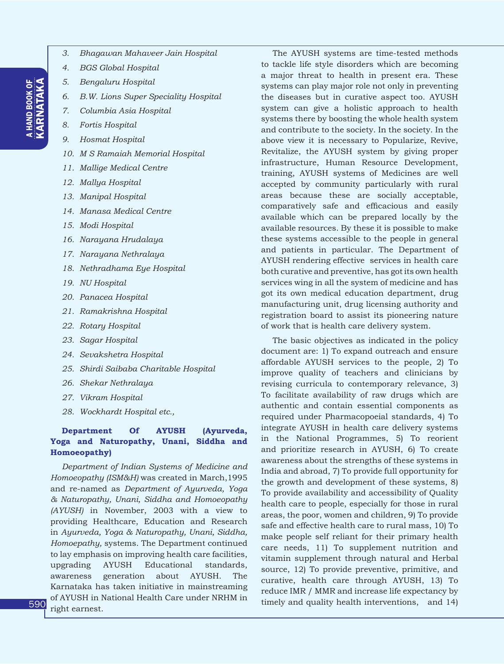- *3. Bhagawan Mahaveer Jain Hospital*
- *4. BGS Global Hospital*
- *5. Bengaluru Hospital*
- *6. B.W. Lions Super Speciality Hospital*
- *7. Columbia Asia Hospital*
- *8. Fortis Hospital*
- *9. Hosmat Hospital*
- *10. M S Ramaiah Memorial Hospital*
- *11. Mallige Medical Centre*
- *12. Mallya Hospital*
- *13. Manipal Hospital*
- *14. Manasa Medical Centre*
- *15. Modi Hospital*
- *16. Narayana Hrudalaya*
- *17. Narayana Nethralaya*
- *18. Nethradhama Eye Hospital*
- *19. NU Hospital*
- *20. Panacea Hospital*
- *21. Ramakrishna Hospital*
- *22. Rotary Hospital*
- *23. Sagar Hospital*
- *24. Sevakshetra Hospital*
- *25. Shirdi Saibaba Charitable Hospital*
- *26. Shekar Nethralaya*
- *27. Vikram Hospital*
- *28. Wockhardt Hospital etc.,*

## **Department Of AYUSH (Ayurveda, Yoga and Naturopathy, Unani, Siddha and Homoeopathy)**

*Department of Indian Systems of Medicine and Homoeopathy (ISM&H)* was created in March,1995 and re-named as *Department of Ayurveda, Yoga & Naturopathy, Unani, Siddha and Homoeopathy (AYUSH)* in November, 2003 with a view to providing Healthcare, Education and Research in *Ayurveda, Yoga & Naturopathy, Unani, Siddha, Homoepathy,* systems. The Department continued to lay emphasis on improving health care facilities, upgrading AYUSH Educational standards, awareness generation about AYUSH. The Karnataka has taken initiative in mainstreaming of AYUSH in National Health Care under NRHM in right earnest.

The AYUSH systems are time-tested methods to tackle life style disorders which are becoming a major threat to health in present era. These systems can play major role not only in preventing the diseases but in curative aspect too. AYUSH system can give a holistic approach to health systems there by boosting the whole health system and contribute to the society. In the society. In the above view it is necessary to Popularize, Revive, Revitalize, the AYUSH system by giving proper infrastructure, Human Resource Development, training, AYUSH systems of Medicines are well accepted by community particularly with rural areas because these are socially acceptable, comparatively safe and efficacious and easily available which can be prepared locally by the available resources. By these it is possible to make these systems accessible to the people in general and patients in particular. The Department of AYUSH rendering effective services in health care both curative and preventive, has got its own health services wing in all the system of medicine and has got its own medical education department, drug manufacturing unit, drug licensing authority and registration board to assist its pioneering nature of work that is health care delivery system.

The basic objectives as indicated in the policy document are: 1) To expand outreach and ensure affordable AYUSH services to the people, 2) To improve quality of teachers and clinicians by revising curricula to contemporary relevance, 3) To facilitate availability of raw drugs which are authentic and contain essential components as required under Pharmacopoeial standards, 4) To integrate AYUSH in health care delivery systems in the National Programmes, 5) To reorient and prioritize research in AYUSH, 6) To create awareness about the strengths of these systems in India and abroad, 7) To provide full opportunity for the growth and development of these systems, 8) To provide availability and accessibility of Quality health care to people, especially for those in rural areas, the poor, women and children, 9) To provide safe and effective health care to rural mass, 10) To make people self reliant for their primary health care needs, 11) To supplement nutrition and vitamin supplement through natural and Herbal source, 12) To provide preventive, primitive, and curative, health care through AYUSH, 13) To reduce IMR / MMR and increase life expectancy by timely and quality health interventions, and 14)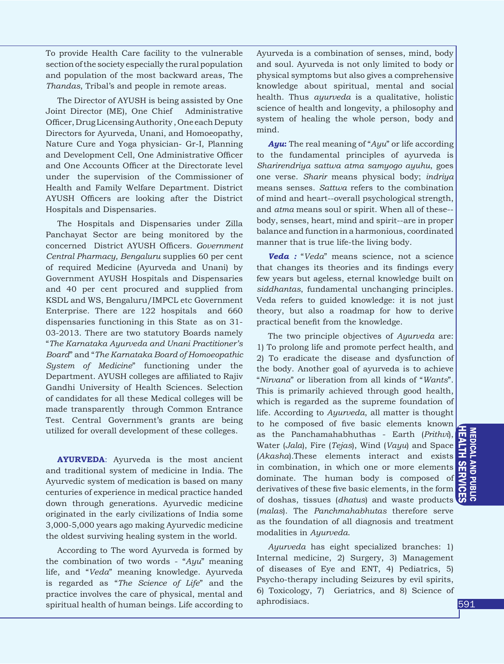To provide Health Care facility to the vulnerable section of the society especially the rural population and population of the most backward areas, The *Thandas*, Tribal's and people in remote areas.

The Director of AYUSH is being assisted by One Joint Director (ME), One Chief Administrative Officer, Drug Licensing Authority , One each Deputy Directors for Ayurveda, Unani, and Homoeopathy, Nature Cure and Yoga physician- Gr-I, Planning and Development Cell, One Administrative Officer and One Accounts Officer at the Directorate level under the supervision of the Commissioner of Health and Family Welfare Department. District AYUSH Officers are looking after the District Hospitals and Dispensaries.

The Hospitals and Dispensaries under Zilla Panchayat Sector are being monitored by the concerned District AYUSH Officers. *Government Central Pharmacy, Bengaluru* supplies 60 per cent of required Medicine (Ayurveda and Unani) by Government AYUSH Hospitals and Dispensaries and 40 per cent procured and supplied from KSDL and WS, Bengaluru/IMPCL etc Government Enterprise. There are 122 hospitals and 660 dispensaries functioning in this State as on 31- 03-2013. There are two statutory Boards namely "*The Karnataka Ayurveda and Unani Practitioner's Board*" and "*The Karnataka Board of Homoeopathic System of Medicine*" functioning under the Department. AYUSH colleges are affiliated to Rajiv Gandhi University of Health Sciences. Selection of candidates for all these Medical colleges will be made transparently through Common Entrance Test. Central Government's grants are being utilized for overall development of these colleges.

**AYURVEDA**: Ayurveda is the most ancient and traditional system of medicine in India. The Ayurvedic system of medication is based on many centuries of experience in medical practice handed down through generations. Ayurvedic medicine originated in the early civilizations of India some 3,000-5,000 years ago making Ayurvedic medicine the oldest surviving healing system in the world.

According to The word Ayurveda is formed by the combination of two words - "*Ayu*" meaning life, and "*Veda*" meaning knowledge. Ayurveda is regarded as "*The Science of Life*" and the practice involves the care of physical, mental and spiritual health of human beings. Life according to

Ayurveda is a combination of senses, mind, body and soul. Ayurveda is not only limited to body or physical symptoms but also gives a comprehensive knowledge about spiritual, mental and social health. Thus *ayurveda* is a qualitative, holistic science of health and longevity, a philosophy and system of healing the whole person, body and mind.

*Ayu***:** The real meaning of "*Ayu*" or life according to the fundamental principles of ayurveda is *Sharirendriya sattwa atma samyogo ayuhu*, goes one verse. *Sharir* means physical body; *indriya* means senses. *Sattwa* refers to the combination of mind and heart--overall psychological strength, and *atma* means soul or spirit. When all of these- body, senses, heart, mind and spirit--are in proper balance and function in a harmonious, coordinated manner that is true life-the living body.

*Veda :* "*Veda*" means science, not a science that changes its theories and its findings every few years but ageless, eternal knowledge built on *siddhantas*, fundamental unchanging principles. Veda refers to guided knowledge: it is not just theory, but also a roadmap for how to derive practical benefit from the knowledge.

The two principle objectives of *Ayurveda* are: 1) To prolong life and promote perfect health, and 2) To eradicate the disease and dysfunction of the body. Another goal of ayurveda is to achieve "*Nirvana*" or liberation from all kinds of "*Wants*". This is primarily achieved through good health, which is regarded as the supreme foundation of life. According to *Ayurveda*, all matter is thought to he composed of five basic elements known as the Panchamahabhuthas - Earth (*Prithvi*), Water (*Jala*), Fire (*Tejas*), Wind (*Vayu*) and Space (*Akasha*).These elements interact and exists in combination, in which one or more elements dominate. The human body is composed of derivatives of these five basic elements, in the form  $\overline{\Omega}$ of doshas, tissues (*dhatus*) and waste products (*malas*). The *Panchmahabhutas* therefore serve as the foundation of all diagnosis and treatment modalities in *Ayurveda*.

*Ayurveda* has eight specialized branches: 1) Internal medicine, 2) Surgery, 3) Management of diseases of Eye and ENT, 4) Pediatrics, 5) Psycho-therapy including Seizures by evil spirits, 6) Toxicology, 7) Geriatrics, and 8) Science of aphrodisiacs.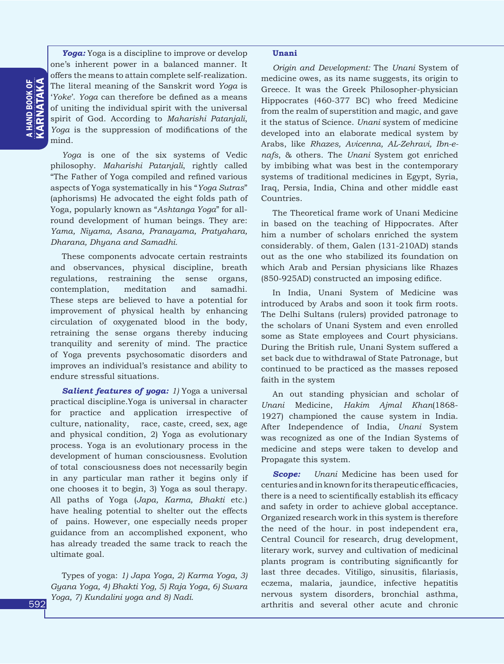*Yoga:* Yoga is a discipline to improve or develop one's inherent power in a balanced manner. It offers the means to attain complete self-realization. The literal meaning of the Sanskrit word *Yoga* is '*Yoke*'. *Yoga* can therefore be defined as a means of uniting the individual spirit with the universal spirit of God. According to *Maharishi Patanjali*, *Yoga* is the suppression of modifications of the mind.

*Yoga* is one of the six systems of Vedic philosophy. *Maharishi Patanjali*, rightly called "The Father of Yoga compiled and refined various aspects of Yoga systematically in his "*Yoga Sutras*" (aphorisms) He advocated the eight folds path of Yoga, popularly known as "*Ashtanga Yoga*" for allround development of human beings. They are: *Yama, Niyama, Asana, Pranayama, Pratyahara, Dharana, Dhyana and Samadhi.*

These components advocate certain restraints and observances, physical discipline, breath regulations, restraining the sense organs, contemplation, meditation and samadhi. These steps are believed to have a potential for improvement of physical health by enhancing circulation of oxygenated blood in the body, retraining the sense organs thereby inducing tranquility and serenity of mind. The practice of Yoga prevents psychosomatic disorders and improves an individual's resistance and ability to endure stressful situations.

**Salient features of yoga:** 1) Yoga a universal practical discipline.Yoga is universal in character for practice and application irrespective of culture, nationality, race, caste, creed, sex, age and physical condition, 2) Yoga as evolutionary process. Yoga is an evolutionary process in the development of human consciousness. Evolution of total consciousness does not necessarily begin in any particular man rather it begins only if one chooses it to begin, 3) Yoga as soul therapy. All paths of Yoga (*Japa, Karma, Bhakti* etc.) have healing potential to shelter out the effects of pains. However, one especially needs proper guidance from an accomplished exponent, who has already treaded the same track to reach the ultimate goal.

Types of yoga: *1) Japa Yoga, 2) Karma Yoga, 3) Gyana Yoga, 4) Bhakti Yog, 5) Raja Yoga, 6) Swara Yoga, 7) Kundalini yoga and 8) Nadi.*

## **Unani**

*Origin and Development:* The *Unani* System of medicine owes, as its name suggests, its origin to Greece. It was the Greek Philosopher-physician Hippocrates (460-377 BC) who freed Medicine from the realm of superstition and magic, and gave it the status of Science. *Unani* system of medicine developed into an elaborate medical system by Arabs, like *Rhazes, Avicenna, AL-Zehravi, Ibn-enafs*, & others. The *Unani* System got enriched by imbibing what was best in the contemporary systems of traditional medicines in Egypt, Syria, Iraq, Persia, India, China and other middle east Countries.

The Theoretical frame work of Unani Medicine in based on the teaching of Hippocrates. After him a number of scholars enriched the system considerably. of them, Galen (131-210AD) stands out as the one who stabilized its foundation on which Arab and Persian physicians like Rhazes (850-925AD) constructed an imposing edifice.

In India, Unani System of Medicine was introduced by Arabs and soon it took firm roots. The Delhi Sultans (rulers) provided patronage to the scholars of Unani System and even enrolled some as State employees and Court physicians. During the British rule, Unani System suffered a set back due to withdrawal of State Patronage, but continued to be practiced as the masses reposed faith in the system

An out standing physician and scholar of *Unani* Medicine, *Hakim Ajmal Khan*(1868- 1927) championed the cause system in India. After Independence of India, *Unani* System was recognized as one of the Indian Systems of medicine and steps were taken to develop and Propagate this system.

*Scope: Unani* Medicine has been used for centuries and in known for its therapeutic efficacies, there is a need to scientifically establish its efficacy and safety in order to achieve global acceptance. Organized research work in this system is therefore the need of the hour. in post independent era, Central Council for research, drug development, literary work, survey and cultivation of medicinal plants program is contributing significantly for last three decades. Vitiligo, sinusitis, filariasis, eczema, malaria, jaundice, infective hepatitis nervous system disorders, bronchial asthma, arthritis and several other acute and chronic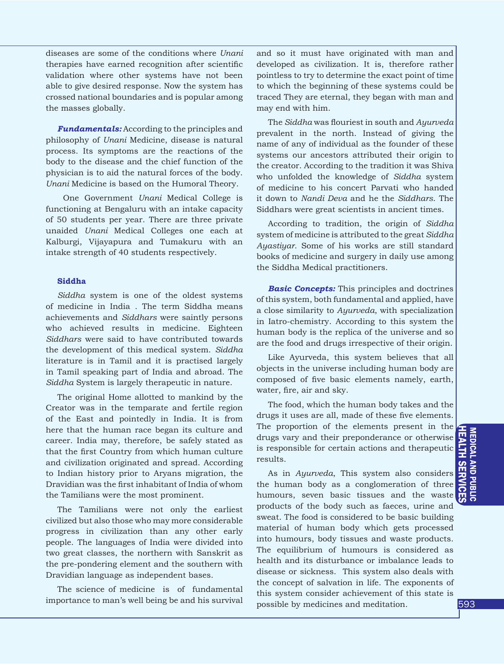diseases are some of the conditions where *Unani* therapies have earned recognition after scientific validation where other systems have not been able to give desired response. Now the system has crossed national boundaries and is popular among the masses globally.

*Fundamentals:* According to the principles and philosophy of *Unani* Medicine, disease is natural process. Its symptoms are the reactions of the body to the disease and the chief function of the physician is to aid the natural forces of the body. *Unani* Medicine is based on the Humoral Theory.

One Government *Unani* Medical College is functioning at Bengaluru with an intake capacity of 50 students per year. There are three private unaided *Unani* Medical Colleges one each at Kalburgi, Vijayapura and Tumakuru with an intake strength of 40 students respectively.

## **Siddha**

*Siddha* system is one of the oldest systems of medicine in India . The term Siddha means achievements and *Siddhars* were saintly persons who achieved results in medicine. Eighteen *Siddhars* were said to have contributed towards the development of this medical system. *Siddha* literature is in Tamil and it is practised largely in Tamil speaking part of India and abroad. The *Siddha* System is largely therapeutic in nature.

The original Home allotted to mankind by the Creator was in the temparate and fertile region of the East and pointedly in India. It is from here that the human race began its culture and career. India may, therefore, be safely stated as that the first Country from which human culture and civilization originated and spread. According to Indian history prior to Aryans migration, the Dravidian was the first inhabitant of India of whom the Tamilians were the most prominent.

The Tamilians were not only the earliest civilized but also those who may more considerable progress in civilization than any other early people. The languages of India were divided into two great classes, the northern with Sanskrit as the pre-pondering element and the southern with Dravidian language as independent bases.

The science of medicine is of fundamental importance to man's well being be and his survival and so it must have originated with man and developed as civilization. It is, therefore rather pointless to try to determine the exact point of time to which the beginning of these systems could be traced They are eternal, they began with man and may end with him.

The *Siddha* was flouriest in south and *Ayurveda* prevalent in the north. Instead of giving the name of any of individual as the founder of these systems our ancestors attributed their origin to the creator. According to the tradition it was Shiva who unfolded the knowledge of *Siddha* system of medicine to his concert Parvati who handed it down to *Nandi Deva* and he the *Siddhars*. The Siddhars were great scientists in ancient times.

According to tradition, the origin of *Siddha* system of medicine is attributed to the great *Siddha Ayastiyar*. Some of his works are still standard books of medicine and surgery in daily use among the Siddha Medical practitioners.

*Basic Concepts:* This principles and doctrines of this system, both fundamental and applied, have a close similarity to *Ayurveda*, with specialization in Iatro-chemistry. According to this system the human body is the replica of the universe and so are the food and drugs irrespective of their origin.

Like Ayurveda, this system believes that all objects in the universe including human body are composed of five basic elements namely, earth, water, fire, air and sky.

The food, which the human body takes and the drugs it uses are all, made of these five elements. The proportion of the elements present in the drugs vary and their preponderance or otherwise is responsible for certain actions and therapeutic results.

As in *Ayurveda*, This system also considers the human body as a conglomeration of three humours, seven basic tissues and the waste products of the body such as faeces, urine and sweat. The food is considered to be basic building material of human body which gets processed into humours, body tissues and waste products. The equilibrium of humours is considered as health and its disturbance or imbalance leads to disease or sickness. This system also deals with the concept of salvation in life. The exponents of this system consider achievement of this state is possible by medicines and meditation.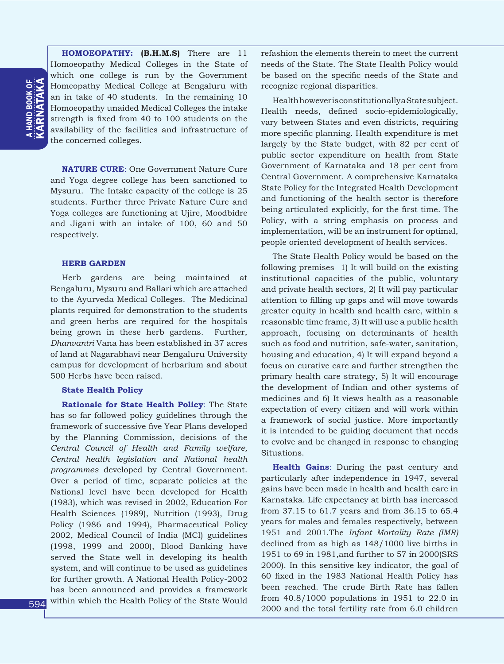A HAND BOOK OF<br>KARNATAKA KARNATAKA a HAND BOOK OF

**HOMOEOPATHY: (B.H.M.S)** There are 11 Homoeopathy Medical Colleges in the State of which one college is run by the Government Homeopathy Medical College at Bengaluru with an in take of 40 students. In the remaining 10 Homoeopathy unaided Medical Colleges the intake strength is fixed from 40 to 100 students on the availability of the facilities and infrastructure of the concerned colleges.

**NATURE CURE**: One Government Nature Cure and Yoga degree college has been sanctioned to Mysuru. The Intake capacity of the college is 25 students. Further three Private Nature Cure and Yoga colleges are functioning at Ujire, Moodbidre and Jigani with an intake of 100, 60 and 50 respectively.

## **HERB GARDEN**

Herb gardens are being maintained at Bengaluru, Mysuru and Ballari which are attached to the Ayurveda Medical Colleges. The Medicinal plants required for demonstration to the students and green herbs are required for the hospitals being grown in these herb gardens. Further, *Dhanvantri* Vana has been established in 37 acres of land at Nagarabhavi near Bengaluru University campus for development of herbarium and about 500 Herbs have been raised.

#### **State Health Policy**

**Rationale for State Health Policy**: The State has so far followed policy guidelines through the framework of successive five Year Plans developed by the Planning Commission, decisions of the *Central Council of Health and Family welfare, Central health legislation and National health programmes* developed by Central Government. Over a period of time, separate policies at the National level have been developed for Health (1983), which was revised in 2002, Education For Health Sciences (1989), Nutrition (1993), Drug Policy (1986 and 1994), Pharmaceutical Policy 2002, Medical Council of India (MCI) guidelines (1998, 1999 and 2000), Blood Banking have served the State well in developing its health system, and will continue to be used as guidelines for further growth. A National Health Policy-2002 has been announced and provides a framework within which the Health Policy of the State Would refashion the elements therein to meet the current needs of the State. The State Health Policy would be based on the specific needs of the State and recognize regional disparities.

Health however is constitutionally a State subject. Health needs, defined socio-epidemiologically, vary between States and even districts, requiring more specific planning. Health expenditure is met largely by the State budget, with 82 per cent of public sector expenditure on health from State Government of Karnataka and 18 per cent from Central Government. A comprehensive Karnataka State Policy for the Integrated Health Development and functioning of the health sector is therefore being articulated explicitly, for the first time. The Policy, with a string emphasis on process and implementation, will be an instrument for optimal, people oriented development of health services.

The State Health Policy would be based on the following premises- 1) It will build on the existing institutional capacities of the public, voluntary and private health sectors, 2) It will pay particular attention to filling up gaps and will move towards greater equity in health and health care, within a reasonable time frame, 3) It will use a public health approach, focusing on determinants of health such as food and nutrition, safe-water, sanitation, housing and education, 4) It will expand beyond a focus on curative care and further strengthen the primary health care strategy, 5) It will encourage the development of Indian and other systems of medicines and 6) It views health as a reasonable expectation of every citizen and will work within a framework of social justice. More importantly it is intended to be guiding document that needs to evolve and be changed in response to changing Situations.

**Health Gains**: During the past century and particularly after independence in 1947, several gains have been made in health and health care in Karnataka. Life expectancy at birth has increased from 37.15 to 61.7 years and from 36.15 to 65.4 years for males and females respectively, between 1951 and 2001.The *Infant Mortality Rate (IMR)* declined from as high as 148/1000 live births in 1951 to 69 in 1981,and further to 57 in 2000(SRS 2000). In this sensitive key indicator, the goal of 60 fixed in the 1983 National Health Policy has been reached. The crude Birth Rate has fallen from 40.8/1000 populations in 1951 to 22.0 in 2000 and the total fertility rate from 6.0 children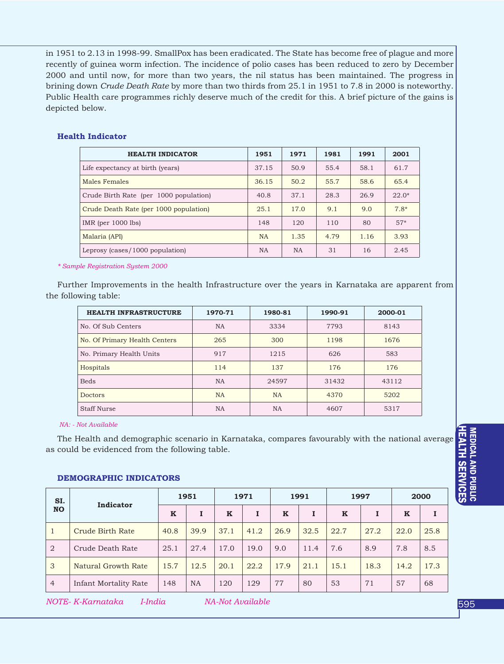in 1951 to 2.13 in 1998-99. SmallPox has been eradicated. The State has become free of plague and more recently of guinea worm infection. The incidence of polio cases has been reduced to zero by December 2000 and until now, for more than two years, the nil status has been maintained. The progress in brining down *Crude Death Rate* by more than two thirds from 25.1 in 1951 to 7.8 in 2000 is noteworthy. Public Health care programmes richly deserve much of the credit for this. A brief picture of the gains is depicted below.

## **Health Indicator**

| <b>HEALTH INDICATOR</b>                | 1951      | 1971      | 1981 | 1991 | 2001    |
|----------------------------------------|-----------|-----------|------|------|---------|
| Life expectancy at birth (years)       | 37.15     | 50.9      | 55.4 | 58.1 | 61.7    |
| Males Females                          | 36.15     | 50.2      | 55.7 | 58.6 | 65.4    |
| Crude Birth Rate (per 1000 population) | 40.8      | 37.1      | 28.3 | 26.9 | $22.0*$ |
| Crude Death Rate (per 1000 population) | 25.1      | 17.0      | 9.1  | 9.0  | $7.8*$  |
| $IMR$ (per $1000$ lbs)                 | 148       | 120       | 110  | 80   | $57*$   |
| Malaria (API)                          | <b>NA</b> | 1.35      | 4.79 | 1.16 | 3.93    |
| Leprosy (cases/1000 population)        | <b>NA</b> | <b>NA</b> | 31   | 16   | 2.45    |

*\* Sample Registration System 2000* 

Further Improvements in the health Infrastructure over the years in Karnataka are apparent from the following table:

| <b>HEALTH INFRASTRUCTURE</b>  | 1970-71   | 1980-81   | 1990-91 | 2000-01 |
|-------------------------------|-----------|-----------|---------|---------|
| No. Of Sub Centers            | <b>NA</b> | 3334      | 7793    | 8143    |
| No. Of Primary Health Centers | 265       | 300       | 1198    | 1676    |
| No. Primary Health Units      | 917       | 1215      | 626     | 583     |
| Hospitals                     | 114       | 137       | 176     | 176     |
| <b>Beds</b>                   | <b>NA</b> | 24597     | 31432   | 43112   |
| <b>Doctors</b>                | <b>NA</b> | <b>NA</b> | 4370    | 5202    |
| <b>Staff Nurse</b>            | <b>NA</b> | <b>NA</b> | 4607    | 5317    |

 *NA: - Not Available* 

The Health and demographic scenario in Karnataka, compares favourably with the national average as could be evidenced from the following table.

## **DEMOGRAPHIC INDICATORS**

| SI.<br><b>NO</b> | Indicator                    | 1951        |           | 1971 |      | 1991        |      | 1997 |      | 2000        |      |
|------------------|------------------------------|-------------|-----------|------|------|-------------|------|------|------|-------------|------|
|                  |                              | $\mathbf K$ |           | K    | I    | $\mathbf K$ |      | K    |      | $\mathbf K$ |      |
| 1                | Crude Birth Rate             | 40.8        | 39.9      | 37.1 | 41.2 | 26.9        | 32.5 | 22.7 | 27.2 | 22.0        | 25.8 |
| $\overline{2}$   | Crude Death Rate             | 25.1        | 27.4      | 17.0 | 19.0 | 9.0         | 11.4 | 7.6  | 8.9  | 7.8         | 8.5  |
| 3                | Natural Growth Rate          | 15.7        | 12.5      | 20.1 | 22.2 | 17.9        | 21.1 | 15.1 | 18.3 | 14.2        | 17.3 |
| $\overline{4}$   | <b>Infant Mortality Rate</b> | 148         | <b>NA</b> | 120  | 129  | 77          | 80   | 53   | 71   | 57          | 68   |

*NOTE- K-Karnataka I-India NA-Not Available* 

MEDICAL AND PUBLIC PEOPLE HISTORY internal and another the control discussion EDUCATION AND SPORTS in the control of the control of the control of the control of the control of the control of the control of the control of **MEDICAL AND PUBLIC<br>HEALTH SERVICES SERVICES MEDICAL AND PUBLIC<br>HEALTH SERVICES**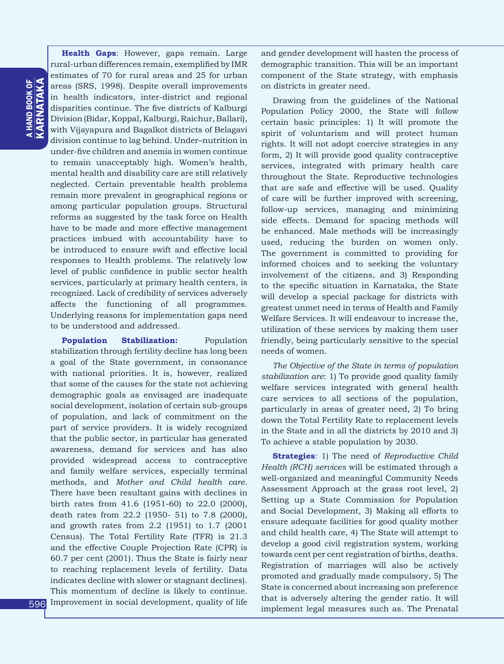**Health Gaps**: However, gaps remain. Large rural-urban differences remain, exemplified by IMR estimates of 70 for rural areas and 25 for urban areas (SRS, 1998). Despite overall improvements in health indicators, inter-district and regional disparities continue. The five districts of Kalburgi Division (Bidar, Koppal, Kalburgi, Raichur, Ballari), with Vijayapura and Bagalkot districts of Belagavi division continue to lag behind. Under–nutrition in under-five children and anemia in women continue to remain unacceptably high. Women's health, mental health and disability care are still relatively neglected. Certain preventable health problems remain more prevalent in geographical regions or among particular population groups. Structural reforms as suggested by the task force on Health have to be made and more effective management practices imbued with accountability have to be introduced to ensure swift and effective local responses to Health problems. The relatively low level of public confidence in public sector health services, particularly at primary health centers, is recognized. Lack of credibility of services adversely affects the functioning of all programmes. Underlying reasons for implementation gaps need to be understood and addressed.

**Population Stabilization:** Population stabilization through fertility decline has long been a goal of the State government, in consonance with national priorities. It is, however, realized that some of the causes for the state not achieving demographic goals as envisaged are inadequate social development, isolation of certain sub-groups of population, and lack of commitment on the part of service providers. It is widely recognized that the public sector, in particular has generated awareness, demand for services and has also provided widespread access to contraceptive and family welfare services, especially terminal methods, and *Mother and Child health care*. There have been resultant gains with declines in birth rates from 41.6 (1951-60) to 22.0 (2000), death rates from 22.2 (1950- 51) to 7.8 (2000), and growth rates from 2.2 (1951) to 1.7 (2001 Census). The Total Fertility Rate (TFR) is 21.3 and the effective Couple Projection Rate (CPR) is 60.7 per cent (2001). Thus the State is fairly near to reaching replacement levels of fertility. Data indicates decline with slower or stagnant declines). This momentum of decline is likely to continue. Improvement in social development, quality of life and gender development will hasten the process of demographic transition. This will be an important component of the State strategy, with emphasis on districts in greater need.

Drawing from the guidelines of the National Population Policy 2000, the State will follow certain basic principles: 1) It will promote the spirit of voluntarism and will protect human rights. It will not adopt coercive strategies in any form, 2) It will provide good quality contraceptive services, integrated with primary health care throughout the State. Reproductive technologies that are safe and effective will be used. Quality of care will be further improved with screening, follow-up services, managing and minimizing side effects. Demand for spacing methods will be enhanced. Male methods will be increasingly used, reducing the burden on women only. The government is committed to providing for informed choices and to seeking the voluntary involvement of the citizens, and 3) Responding to the specific situation in Karnataka, the State will develop a special package for districts with greatest unmet need in terms of Health and Family Welfare Services. It will endeavour to increase the, utilization of these services by making them user friendly, being particularly sensitive to the special needs of women.

*The Objective of the State in terms of population stabilization are*: 1) To provide good quality family welfare services integrated with general health care services to all sections of the population, particularly in areas of greater need, 2) To bring down the Total Fertility Rate to replacement levels in the State and in all the districts by 2010 and 3) To achieve a stable population by 2030.

**Strategies**: 1) The need of *Reproductive Child Health (RCH) services* will be estimated through a well-organized and meaningful Community Needs Assessment Approach at the grass root level, 2) Setting up a State Commission for Population and Social Development, 3) Making all efforts to ensure adequate facilities for good quality mother and child health care, 4) The State will attempt to develop a good civil registration system, working towards cent per cent registration of births, deaths. Registration of marriages will also be actively promoted and gradually made compulsory, 5) The State is concerned about increasing son preference that is adversely altering the gender ratio. It will implement legal measures such as. The Prenatal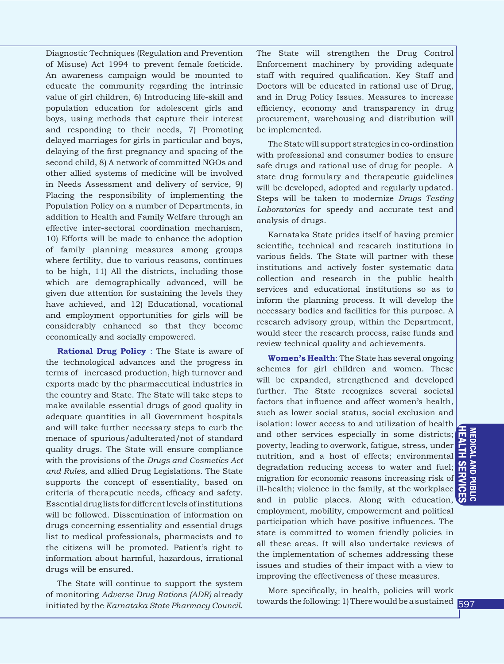Diagnostic Techniques (Regulation and Prevention of Misuse) Act 1994 to prevent female foeticide. An awareness campaign would be mounted to educate the community regarding the intrinsic value of girl children, 6) Introducing life-skill and population education for adolescent girls and boys, using methods that capture their interest and responding to their needs, 7) Promoting delayed marriages for girls in particular and boys, delaying of the first pregnancy and spacing of the second child, 8) A network of committed NGOs and other allied systems of medicine will be involved in Needs Assessment and delivery of service, 9) Placing the responsibility of implementing the Population Policy on a number of Departments, in addition to Health and Family Welfare through an effective inter-sectoral coordination mechanism, 10) Efforts will be made to enhance the adoption of family planning measures among groups where fertility, due to various reasons, continues to be high, 11) All the districts, including those which are demographically advanced, will be given due attention for sustaining the levels they have achieved, and 12) Educational, vocational and employment opportunities for girls will be considerably enhanced so that they become economically and socially empowered.

**Rational Drug Policy** : The State is aware of the technological advances and the progress in terms of increased production, high turnover and exports made by the pharmaceutical industries in the country and State. The State will take steps to make available essential drugs of good quality in adequate quantities in all Government hospitals and will take further necessary steps to curb the menace of spurious/adulterated/not of standard quality drugs. The State will ensure compliance with the provisions of the *Drugs and Cosmetics Act and Rules,* and allied Drug Legislations. The State supports the concept of essentiality, based on criteria of therapeutic needs, efficacy and safety. Essential drug lists for different levels of institutions will be followed. Dissemination of information on drugs concerning essentiality and essential drugs list to medical professionals, pharmacists and to the citizens will be promoted. Patient's right to information about harmful, hazardous, irrational drugs will be ensured.

The State will continue to support the system of monitoring *Adverse Drug Rations (ADR)* already initiated by the *Karnataka State Pharmacy Council*. The State will strengthen the Drug Control Enforcement machinery by providing adequate staff with required qualification. Key Staff and Doctors will be educated in rational use of Drug, and in Drug Policy Issues. Measures to increase efficiency, economy and transparency in drug procurement, warehousing and distribution will be implemented.

The State will support strategies in co-ordination with professional and consumer bodies to ensure safe drugs and rational use of drug for people. A state drug formulary and therapeutic guidelines will be developed, adopted and regularly updated. Steps will be taken to modernize *Drugs Testing Laboratories* for speedy and accurate test and analysis of drugs.

Karnataka State prides itself of having premier scientific, technical and research institutions in various fields. The State will partner with these institutions and actively foster systematic data collection and research in the public health services and educational institutions so as to inform the planning process. It will develop the necessary bodies and facilities for this purpose. A research advisory group, within the Department, would steer the research process, raise funds and review technical quality and achievements.

**Women's Health**: The State has several ongoing schemes for girl children and women. These will be expanded, strengthened and developed further. The State recognizes several societal factors that influence and affect women's health, such as lower social status, social exclusion and isolation: lower access to and utilization of health and other services especially in some districts;  $\Box$ poverty, leading to overwork, fatigue, stress, under nutrition, and a host of effects; environmental degradation reducing access to water and fuel;  $\frac{Q}{\Pi}$ migration for economic reasons increasing risk of ill-health; violence in the family, at the workplace and in public places. Along with education, employment, mobility, empowerment and political participation which have positive influences. The state is committed to women friendly policies in all these areas. It will also undertake reviews of the implementation of schemes addressing these issues and studies of their impact with a view to improving the effectiveness of these measures.

More specifically, in health, policies will work towards the following: 1) There would be a sustained 597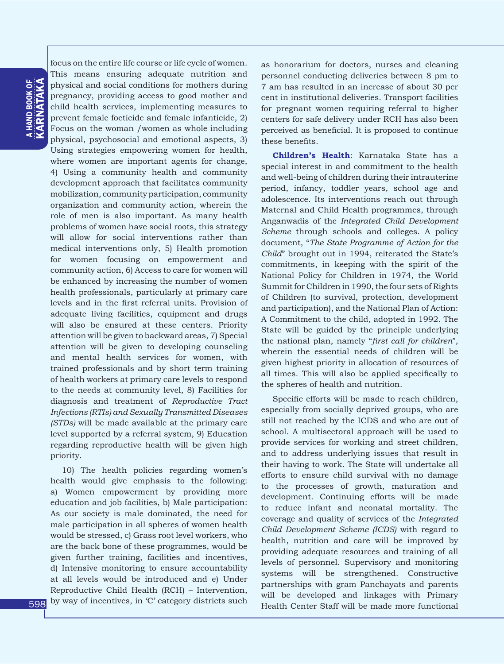focus on the entire life course or life cycle of women. This means ensuring adequate nutrition and physical and social conditions for mothers during pregnancy, providing access to good mother and child health services, implementing measures to prevent female foeticide and female infanticide, 2) Focus on the woman /women as whole including physical, psychosocial and emotional aspects, 3) Using strategies empowering women for health, where women are important agents for change, 4) Using a community health and community development approach that facilitates community mobilization, community participation, community organization and community action, wherein the role of men is also important. As many health problems of women have social roots, this strategy will allow for social interventions rather than medical interventions only, 5) Health promotion for women focusing on empowerment and community action, 6) Access to care for women will be enhanced by increasing the number of women health professionals, particularly at primary care levels and in the first referral units. Provision of adequate living facilities, equipment and drugs will also be ensured at these centers. Priority attention will be given to backward areas, 7) Special attention will be given to developing counseling and mental health services for women, with trained professionals and by short term training of health workers at primary care levels to respond to the needs at community level, 8) Facilities for diagnosis and treatment of *Reproductive Tract Infections (RTIs) and Sexually Transmitted Diseases (STDs)* will be made available at the primary care level supported by a referral system, 9) Education regarding reproductive health will be given high priority.

10) The health policies regarding women's health would give emphasis to the following: a) Women empowerment by providing more education and job facilities, b) Male participation: As our society is male dominated, the need for male participation in all spheres of women health would be stressed, c) Grass root level workers, who are the back bone of these programmes, would be given further training, facilities and incentives, d) Intensive monitoring to ensure accountability at all levels would be introduced and e) Under Reproductive Child Health (RCH) – Intervention, by way of incentives, in 'C' category districts such

as honorarium for doctors, nurses and cleaning personnel conducting deliveries between 8 pm to 7 am has resulted in an increase of about 30 per cent in institutional deliveries. Transport facilities for pregnant women requiring referral to higher centers for safe delivery under RCH has also been perceived as beneficial. It is proposed to continue these benefits.

**Children's Health**: Karnataka State has a special interest in and commitment to the health and well-being of children during their intrauterine period, infancy, toddler years, school age and adolescence. Its interventions reach out through Maternal and Child Health programmes, through Anganwadis of the *Integrated Child Development Scheme* through schools and colleges. A policy document, "*The State Programme of Action for the Child*" brought out in 1994, reiterated the State's commitments, in keeping with the spirit of the National Policy for Children in 1974, the World Summit for Children in 1990, the four sets of Rights of Children (to survival, protection, development and participation), and the National Plan of Action: A Commitment to the child, adopted in 1992. The State will be guided by the principle underlying the national plan, namely "*first call for children*", wherein the essential needs of children will be given highest priority in allocation of resources of all times. This will also be applied specifically to the spheres of health and nutrition.

Specific efforts will be made to reach children, especially from socially deprived groups, who are still not reached by the ICDS and who are out of school. A multisectoral approach will be used to provide services for working and street children, and to address underlying issues that result in their having to work. The State will undertake all efforts to ensure child survival with no damage to the processes of growth, maturation and development. Continuing efforts will be made to reduce infant and neonatal mortality. The coverage and quality of services of the *Integrated Child Development Scheme (ICDS)* with regard to health, nutrition and care will be improved by providing adequate resources and training of all levels of personnel. Supervisory and monitoring systems will be strengthened. Constructive partnerships with gram Panchayats and parents will be developed and linkages with Primary Health Center Staff will be made more functional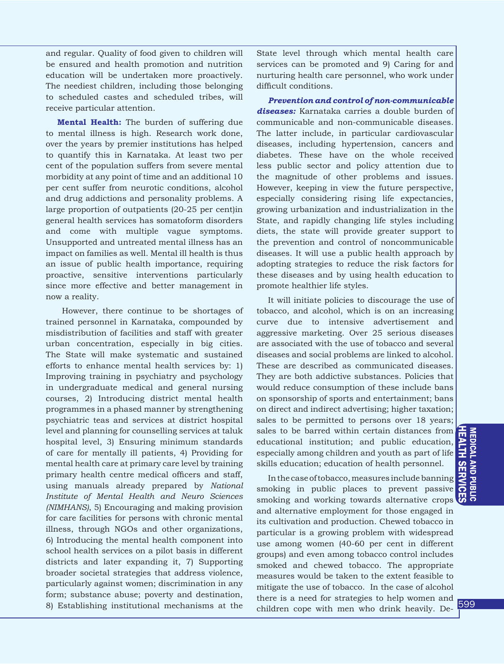and regular. Quality of food given to children will be ensured and health promotion and nutrition education will be undertaken more proactively. The neediest children, including those belonging to scheduled castes and scheduled tribes, will receive particular attention.

**Mental Health:** The burden of suffering due to mental illness is high. Research work done, over the years by premier institutions has helped to quantify this in Karnataka. At least two per cent of the population suffers from severe mental morbidity at any point of time and an additional 10 per cent suffer from neurotic conditions, alcohol and drug addictions and personality problems. A large proportion of outpatients (20-25 per cent)in general health services has somatoform disorders and come with multiple vague symptoms. Unsupported and untreated mental illness has an impact on families as well. Mental ill health is thus an issue of public health importance, requiring proactive, sensitive interventions particularly since more effective and better management in now a reality.

 However, there continue to be shortages of trained personnel in Karnataka, compounded by misdistribution of facilities and staff with greater urban concentration, especially in big cities. The State will make systematic and sustained efforts to enhance mental health services by: 1) Improving training in psychiatry and psychology in undergraduate medical and general nursing courses, 2) Introducing district mental health programmes in a phased manner by strengthening psychiatric teas and services at district hospital level and planning for counselling services at taluk hospital level, 3) Ensuring minimum standards of care for mentally ill patients, 4) Providing for mental health care at primary care level by training primary health centre medical officers and staff, using manuals already prepared by *National Institute of Mental Health and Neuro Sciences (NIMHANS)*, 5) Encouraging and making provision for care facilities for persons with chronic mental illness, through NGOs and other organizations, 6) Introducing the mental health component into school health services on a pilot basis in different districts and later expanding it, 7) Supporting broader societal strategies that address violence, particularly against women; discrimination in any form; substance abuse; poverty and destination, 8) Establishing institutional mechanisms at the

State level through which mental health care services can be promoted and 9) Caring for and nurturing health care personnel, who work under difficult conditions.

*Prevention and control of non-communicable diseases:* Karnataka carries a double burden of communicable and non-communicable diseases. The latter include, in particular cardiovascular diseases, including hypertension, cancers and diabetes. These have on the whole received less public sector and policy attention due to the magnitude of other problems and issues. However, keeping in view the future perspective, especially considering rising life expectancies, growing urbanization and industrialization in the State, and rapidly changing life styles including diets, the state will provide greater support to the prevention and control of noncommunicable diseases. It will use a public health approach by adopting strategies to reduce the risk factors for these diseases and by using health education to promote healthier life styles.

It will initiate policies to discourage the use of tobacco, and alcohol, which is on an increasing curve due to intensive advertisement and aggressive marketing. Over 25 serious diseases are associated with the use of tobacco and several diseases and social problems are linked to alcohol. These are described as communicated diseases. They are both addictive substances. Policies that would reduce consumption of these include bans on sponsorship of sports and entertainment; bans on direct and indirect advertising; higher taxation; sales to be permitted to persons over 18 years; sales to be barred within certain distances from educational institution; and public education, especially among children and youth as part of life skills education; education of health personnel.

In the case of tobacco, measures include banning smoking in public places to prevent passive smoking and working towards alternative crops and alternative employment for those engaged in its cultivation and production. Chewed tobacco in particular is a growing problem with widespread use among women (40-60 per cent in different groups) and even among tobacco control includes smoked and chewed tobacco. The appropriate measures would be taken to the extent feasible to mitigate the use of tobacco. In the case of alcohol there is a need for strategies to help women and children cope with men who drink heavily. De-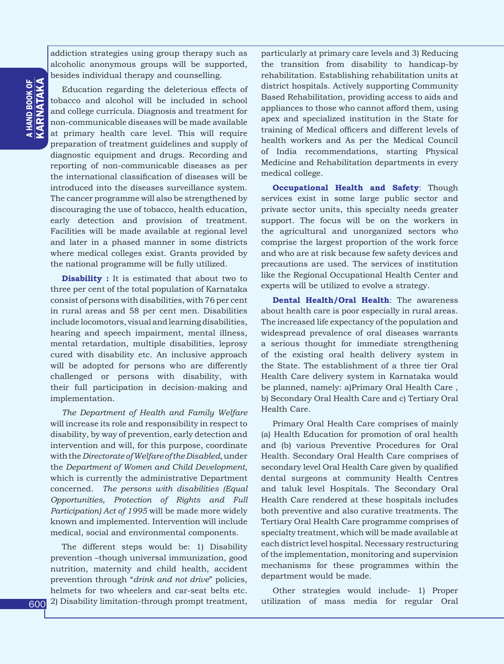addiction strategies using group therapy such as alcoholic anonymous groups will be supported, besides individual therapy and counselling.

Education regarding the deleterious effects of tobacco and alcohol will be included in school and college curricula. Diagnosis and treatment for non-communicable diseases will be made available at primary health care level. This will require preparation of treatment guidelines and supply of diagnostic equipment and drugs. Recording and reporting of non-communicable diseases as per the international classification of diseases will be introduced into the diseases surveillance system. The cancer programme will also be strengthened by discouraging the use of tobacco, health education, early detection and provision of treatment. Facilities will be made available at regional level and later in a phased manner in some districts where medical colleges exist. Grants provided by the national programme will be fully utilized.

**Disability :** It is estimated that about two to three per cent of the total population of Karnataka consist of persons with disabilities, with 76 per cent in rural areas and 58 per cent men. Disabilities include locomotors, visual and learning disabilities, hearing and speech impairment, mental illness, mental retardation, multiple disabilities, leprosy cured with disability etc. An inclusive approach will be adopted for persons who are differently challenged or persons with disability, with their full participation in decision-making and implementation.

*The Department of Health and Family Welfare* will increase its role and responsibility in respect to disability, by way of prevention, early detection and intervention and will, for this purpose, coordinate with the *Directorate of Welfare of the Disabled*, under the *Department of Women and Child Development*, which is currently the administrative Department concerned. *The persons with disabilities (Equal Opportunities, Protection of Rights and Full Participation) Act of 1995* will be made more widely known and implemented. Intervention will include medical, social and environmental components.

The different steps would be: 1) Disability prevention –though universal immunization, good nutrition, maternity and child health, accident prevention through "*drink and not drive*" policies, helmets for two wheelers and car-seat belts etc. 2) Disability limitation-through prompt treatment,

particularly at primary care levels and 3) Reducing the transition from disability to handicap-by rehabilitation. Establishing rehabilitation units at district hospitals. Actively supporting Community Based Rehabilitation, providing access to aids and appliances to those who cannot afford them, using apex and specialized institution in the State for training of Medical officers and different levels of health workers and As per the Medical Council of India recommendations, starting Physical Medicine and Rehabilitation departments in every medical college.

**Occupational Health and Safety**: Though services exist in some large public sector and private sector units, this specialty needs greater support. The focus will be on the workers in the agricultural and unorganized sectors who comprise the largest proportion of the work force and who are at risk because few safety devices and precautions are used. The services of institution like the Regional Occupational Health Center and experts will be utilized to evolve a strategy.

**Dental Health/Oral Health**: The awareness about health care is poor especially in rural areas. The increased life expectancy of the population and widespread prevalence of oral diseases warrants a serious thought for immediate strengthening of the existing oral health delivery system in the State. The establishment of a three tier Oral Health Care delivery system in Karnataka would be planned, namely: a)Primary Oral Health Care , b) Secondary Oral Health Care and c) Tertiary Oral Health Care.

Primary Oral Health Care comprises of mainly (a) Health Education for promotion of oral health and (b) various Preventive Procedures for Oral Health. Secondary Oral Health Care comprises of secondary level Oral Health Care given by qualified dental surgeons at community Health Centres and taluk level Hospitals. The Secondary Oral Health Care rendered at these hospitals includes both preventive and also curative treatments. The Tertiary Oral Health Care programme comprises of specialty treatment, which will be made available at each district level hospital. Necessary restructuring of the implementation, monitoring and supervision mechanisms for these programmes within the department would be made.

Other strategies would include- 1) Proper utilization of mass media for regular Oral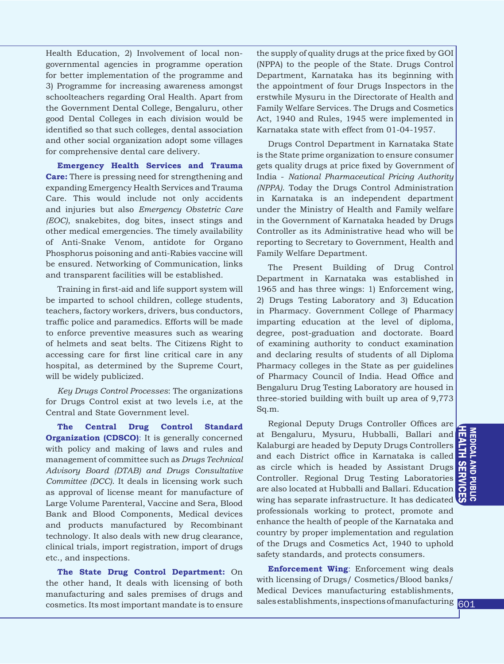Health Education, 2) Involvement of local nongovernmental agencies in programme operation for better implementation of the programme and 3) Programme for increasing awareness amongst schoolteachers regarding Oral Health. Apart from the Government Dental College, Bengaluru, other good Dental Colleges in each division would be identified so that such colleges, dental association and other social organization adopt some villages for comprehensive dental care delivery.

**Emergency Health Services and Trauma Care:** There is pressing need for strengthening and expanding Emergency Health Services and Trauma Care. This would include not only accidents and injuries but also *Emergency Obstetric Care (EOC)*, snakebites, dog bites, insect stings and other medical emergencies. The timely availability of Anti-Snake Venom, antidote for Organo Phosphorus poisoning and anti-Rabies vaccine will be ensured. Networking of Communication, links and transparent facilities will be established.

Training in first-aid and life support system will be imparted to school children, college students, teachers, factory workers, drivers, bus conductors, traffic police and paramedics. Efforts will be made to enforce preventive measures such as wearing of helmets and seat belts. The Citizens Right to accessing care for first line critical care in any hospital, as determined by the Supreme Court, will be widely publicized.

*Key Drugs Control Processes*: The organizations for Drugs Control exist at two levels i.e, at the Central and State Government level.

**The Central Drug Control Standard Organization (CDSCO)**: It is generally concerned with policy and making of laws and rules and management of committee such as *Drugs Technical Advisory Board (DTAB) and Drugs Consultative Committee (DCC)*. It deals in licensing work such as approval of license meant for manufacture of Large Volume Parenteral, Vaccine and Sera, Blood Bank and Blood Components, Medical devices and products manufactured by Recombinant technology. It also deals with new drug clearance, clinical trials, import registration, import of drugs etc., and inspections.

**The State Drug Control Department:** On the other hand, It deals with licensing of both manufacturing and sales premises of drugs and cosmetics. Its most important mandate is to ensure

the supply of quality drugs at the price fixed by GOI (NPPA) to the people of the State. Drugs Control Department, Karnataka has its beginning with the appointment of four Drugs Inspectors in the erstwhile Mysuru in the Directorate of Health and Family Welfare Services. The Drugs and Cosmetics Act, 1940 and Rules, 1945 were implemented in Karnataka state with effect from 01-04-1957.

Drugs Control Department in Karnataka State is the State prime organization to ensure consumer gets quality drugs at price fixed by Government of India - *National Pharmaceutical Pricing Authority (NPPA)*. Today the Drugs Control Administration in Karnataka is an independent department under the Ministry of Health and Family welfare in the Government of Karnataka headed by Drugs Controller as its Administrative head who will be reporting to Secretary to Government, Health and Family Welfare Department.

The Present Building of Drug Control Department in Karnataka was established in 1965 and has three wings: 1) Enforcement wing, 2) Drugs Testing Laboratory and 3) Education in Pharmacy. Government College of Pharmacy imparting education at the level of diploma, degree, post-graduation and doctorate. Board of examining authority to conduct examination and declaring results of students of all Diploma Pharmacy colleges in the State as per guidelines of Pharmacy Council of India. Head Office and Bengaluru Drug Testing Laboratory are housed in three-storied building with built up area of 9,773 Sq.m.

Regional Deputy Drugs Controller Offices are at Bengaluru, Mysuru, Hubballi, Ballari and Kalaburgi are headed by Deputy Drugs Controllers and each District office in Karnataka is called as circle which is headed by Assistant Drugs Controller. Regional Drug Testing Laboratories are also located at Hubballi and Ballari. Education wing has separate infrastructure. It has dedicated professionals working to protect, promote and enhance the health of people of the Karnataka and country by proper implementation and regulation of the Drugs and Cosmetics Act, 1940 to uphold safety standards, and protects consumers.

**Enforcement Wing**: Enforcement wing deals with licensing of Drugs/ Cosmetics/Blood banks/ Medical Devices manufacturing establishments, sales establishments, inspections of manufacturing 601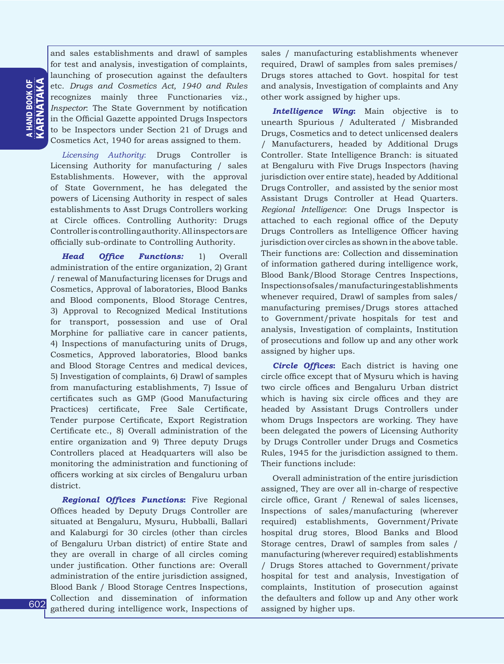and sales establishments and drawl of samples for test and analysis, investigation of complaints, launching of prosecution against the defaulters etc. *Drugs and Cosmetics Act, 1940 and Rules* recognizes mainly three Functionaries viz., *Inspector*: The State Government by notification in the Official Gazette appointed Drugs Inspectors to be Inspectors under Section 21 of Drugs and Cosmetics Act, 1940 for areas assigned to them.

*Licensing Authority*: Drugs Controller is Licensing Authority for manufacturing / sales Establishments. However, with the approval of State Government, he has delegated the powers of Licensing Authority in respect of sales establishments to Asst Drugs Controllers working at Circle offices. Controlling Authority: Drugs Controller is controlling authority. All inspectors are officially sub-ordinate to Controlling Authority.

*Head Office Functions:* 1) Overall administration of the entire organization, 2) Grant / renewal of Manufacturing licenses for Drugs and Cosmetics, Approval of laboratories, Blood Banks and Blood components, Blood Storage Centres, 3) Approval to Recognized Medical Institutions for transport, possession and use of Oral Morphine for palliative care in cancer patients, 4) Inspections of manufacturing units of Drugs, Cosmetics, Approved laboratories, Blood banks and Blood Storage Centres and medical devices, 5) Investigation of complaints, 6) Drawl of samples from manufacturing establishments, 7) Issue of certificates such as GMP (Good Manufacturing Practices) certificate, Free Sale Certificate, Tender purpose Certificate, Export Registration Certificate etc., 8) Overall administration of the entire organization and 9) Three deputy Drugs Controllers placed at Headquarters will also be monitoring the administration and functioning of officers working at six circles of Bengaluru urban district.

*Regional Offices Functions***:** Five Regional Offices headed by Deputy Drugs Controller are situated at Bengaluru, Mysuru, Hubballi, Ballari and Kalaburgi for 30 circles (other than circles of Bengaluru Urban district) of entire State and they are overall in charge of all circles coming under justification. Other functions are: Overall administration of the entire jurisdiction assigned, Blood Bank / Blood Storage Centres Inspections, Collection and dissemination of information gathered during intelligence work, Inspections of sales / manufacturing establishments whenever required, Drawl of samples from sales premises/ Drugs stores attached to Govt. hospital for test and analysis, Investigation of complaints and Any other work assigned by higher ups.

*Intelligence Wing***:** Main objective is to unearth Spurious / Adulterated / Misbranded Drugs, Cosmetics and to detect unlicensed dealers / Manufacturers, headed by Additional Drugs Controller. State Intelligence Branch: is situated at Bengaluru with Five Drugs Inspectors (having jurisdiction over entire state), headed by Additional Drugs Controller, and assisted by the senior most Assistant Drugs Controller at Head Quarters. *Regional Intelligence*: One Drugs Inspector is attached to each regional office of the Deputy Drugs Controllers as Intelligence Officer having jurisdiction over circles as shown in the above table. Their functions are: Collection and dissemination of information gathered during intelligence work, Blood Bank/Blood Storage Centres Inspections, Inspections of sales/manufacturing establishments whenever required, Drawl of samples from sales/ manufacturing premises/Drugs stores attached to Government/private hospitals for test and analysis, Investigation of complaints, Institution of prosecutions and follow up and any other work assigned by higher ups.

*Circle Offices***:** Each district is having one circle office except that of Mysuru which is having two circle offices and Bengaluru Urban district which is having six circle offices and they are headed by Assistant Drugs Controllers under whom Drugs Inspectors are working. They have been delegated the powers of Licensing Authority by Drugs Controller under Drugs and Cosmetics Rules, 1945 for the jurisdiction assigned to them. Their functions include:

Overall administration of the entire jurisdiction assigned, They are over all in-charge of respective circle office, Grant / Renewal of sales licenses, Inspections of sales/manufacturing (wherever required) establishments, Government/Private hospital drug stores, Blood Banks and Blood Storage centres, Drawl of samples from sales / manufacturing (wherever required) establishments / Drugs Stores attached to Government/private hospital for test and analysis, Investigation of complaints, Institution of prosecution against the defaulters and follow up and Any other work assigned by higher ups.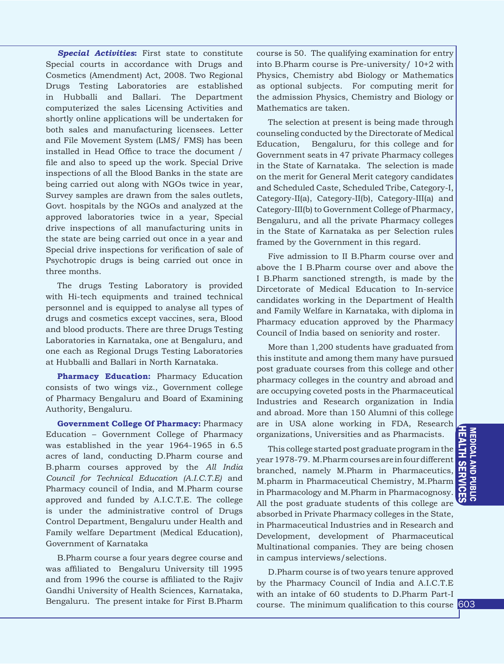*Special Activities***:** First state to constitute Special courts in accordance with Drugs and Cosmetics (Amendment) Act, 2008. Two Regional Drugs Testing Laboratories are established in Hubballi and Ballari. The Department computerized the sales Licensing Activities and shortly online applications will be undertaken for both sales and manufacturing licensees. Letter and File Movement System (LMS/ FMS) has been installed in Head Office to trace the document / file and also to speed up the work. Special Drive inspections of all the Blood Banks in the state are being carried out along with NGOs twice in year, Survey samples are drawn from the sales outlets, Govt. hospitals by the NGOs and analyzed at the approved laboratories twice in a year, Special drive inspections of all manufacturing units in the state are being carried out once in a year and Special drive inspections for verification of sale of Psychotropic drugs is being carried out once in three months.

The drugs Testing Laboratory is provided with Hi-tech equipments and trained technical personnel and is equipped to analyse all types of drugs and cosmetics except vaccines, sera, Blood and blood products. There are three Drugs Testing Laboratories in Karnataka, one at Bengaluru, and one each as Regional Drugs Testing Laboratories at Hubballi and Ballari in North Karnataka.

**Pharmacy Education:** Pharmacy Education consists of two wings viz., Government college of Pharmacy Bengaluru and Board of Examining Authority, Bengaluru.

**Government College Of Pharmacy:** Pharmacy Education – Government College of Pharmacy was established in the year 1964-1965 in 6.5 acres of land, conducting D.Pharm course and B.pharm courses approved by the *All India Council for Technical Education (A.I.C.T.E)* and Pharmacy council of India, and M.Pharm course approved and funded by A.I.C.T.E. The college is under the administrative control of Drugs Control Department, Bengaluru under Health and Family welfare Department (Medical Education), Government of Karnataka

B.Pharm course a four years degree course and was affiliated to Bengaluru University till 1995 and from 1996 the course is affiliated to the Rajiv Gandhi University of Health Sciences, Karnataka, Bengaluru. The present intake for First B.Pharm course is 50. The qualifying examination for entry into B.Pharm course is Pre-university/ 10+2 with Physics, Chemistry abd Biology or Mathematics as optional subjects. For computing merit for the admission Physics, Chemistry and Biology or Mathematics are taken.

The selection at present is being made through counseling conducted by the Directorate of Medical Education, Bengaluru, for this college and for Government seats in 47 private Pharmacy colleges in the State of Karnataka. The selection is made on the merit for General Merit category candidates and Scheduled Caste, Scheduled Tribe, Category-I, Category-II(a), Category-II(b), Category-III(a) and Category-III(b) to Government College of Pharmacy, Bengaluru, and all the private Pharmacy colleges in the State of Karnataka as per Selection rules framed by the Government in this regard.

Five admission to II B.Pharm course over and above the I B.Pharm course over and above the I B.Pharm sanctioned strength, is made by the Dircetorate of Medical Education to In-service candidates working in the Department of Health and Family Welfare in Karnataka, with diploma in Pharmacy education approved by the Pharmacy Council of India based on seniority and roster.

More than 1,200 students have graduated from this institute and among them many have pursued post graduate courses from this college and other pharmacy colleges in the country and abroad and are occupying coveted posts in the Pharmaceutical Industries and Research organization in India and abroad. More than 150 Alumni of this college are in USA alone working in FDA, Research organizations, Universities and as Pharmacists.

This college started post graduate program in the year 1978-79. M.Pharm courses are in four different branched, namely M.Pharm in Pharmaceutics, M.pharm in Pharmaceutical Chemistry, M.Pharm in Pharmacology and M.Pharm in Pharmacognosy. All the post graduate students of this college are absorbed in Private Pharmacy colleges in the State, in Pharmaceutical Industries and in Research and Development, development of Pharmaceutical Multinational companies. They are being chosen in campus interviews/selections.

D.Pharm course is of two years tenure approved by the Pharmacy Council of India and A.I.C.T.E with an intake of 60 students to D.Pharm Part-I course. The minimum qualification to this course 603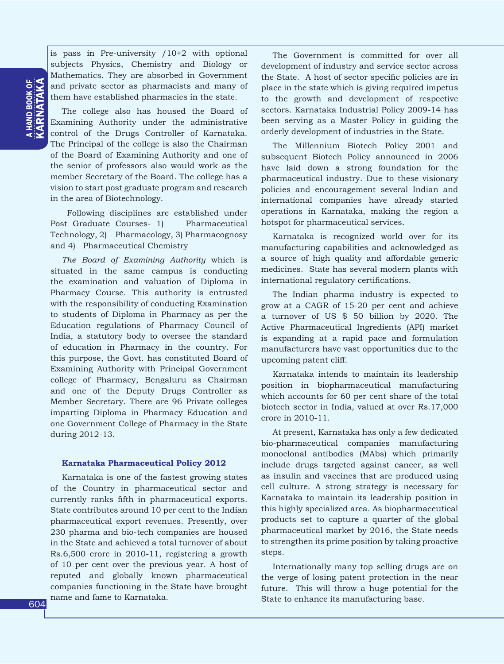is pass in Pre-university /10+2 with optional subjects Physics, Chemistry and Biology or Mathematics. They are absorbed in Government and private sector as pharmacists and many of them have established pharmacies in the state.

The college also has housed the Board of Examining Authority under the administrative control of the Drugs Controller of Karnataka. The Principal of the college is also the Chairman of the Board of Examining Authority and one of the senior of professors also would work as the member Secretary of the Board. The college has a vision to start post graduate program and research in the area of Biotechnology.

 Following disciplines are established under Post Graduate Courses- 1) Pharmaceutical Technology, 2) Pharmacology, 3) Pharmacognosy and 4) Pharmaceutical Chemistry

*The Board of Examining Authority* which is situated in the same campus is conducting the examination and valuation of Diploma in Pharmacy Course. This authority is entrusted with the responsibility of conducting Examination to students of Diploma in Pharmacy as per the Education regulations of Pharmacy Council of India, a statutory body to oversee the standard of education in Pharmacy in the country. For this purpose, the Govt. has constituted Board of Examining Authority with Principal Government college of Pharmacy, Bengaluru as Chairman and one of the Deputy Drugs Controller as Member Secretary. There are 96 Private colleges imparting Diploma in Pharmacy Education and one Government College of Pharmacy in the State during 2012-13.

## **Karnataka Pharmaceutical Policy 2012**

Karnataka is one of the fastest growing states of the Country in pharmaceutical sector and currently ranks fifth in pharmaceutical exports. State contributes around 10 per cent to the Indian pharmaceutical export revenues. Presently, over 230 pharma and bio-tech companies are housed in the State and achieved a total turnover of about Rs.6,500 crore in 2010-11, registering a growth of 10 per cent over the previous year. A host of reputed and globally known pharmaceutical companies functioning in the State have brought name and fame to Karnataka.

The Government is committed for over all development of industry and service sector across the State. A host of sector specific policies are in place in the state which is giving required impetus to the growth and development of respective sectors. Karnataka Industrial Policy 2009-14 has been serving as a Master Policy in guiding the orderly development of industries in the State.

The Millennium Biotech Policy 2001 and subsequent Biotech Policy announced in 2006 have laid down a strong foundation for the pharmaceutical industry. Due to these visionary policies and encouragement several Indian and international companies have already started operations in Karnataka, making the region a hotspot for pharmaceutical services.

Karnataka is recognized world over for its manufacturing capabilities and acknowledged as a source of high quality and affordable generic medicines. State has several modern plants with international regulatory certifications.

The Indian pharma industry is expected to grow at a CAGR of 15-20 per cent and achieve a turnover of US \$ 50 billion by 2020. The Active Pharmaceutical Ingredients (API) market is expanding at a rapid pace and formulation manufacturers have vast opportunities due to the upcoming patent cliff.

Karnataka intends to maintain its leadership position in biopharmaceutical manufacturing which accounts for 60 per cent share of the total biotech sector in India, valued at over Rs.17,000 crore in 2010-11.

At present, Karnataka has only a few dedicated bio-pharmaceutical companies manufacturing monoclonal antibodies (MAbs) which primarily include drugs targeted against cancer, as well as insulin and vaccines that are produced using cell culture. A strong strategy is necessary for Karnataka to maintain its leadership position in this highly specialized area. As biopharmaceutical products set to capture a quarter of the global pharmaceutical market by 2016, the State needs to strengthen its prime position by taking proactive steps.

Internationally many top selling drugs are on the verge of losing patent protection in the near future. This will throw a huge potential for the State to enhance its manufacturing base.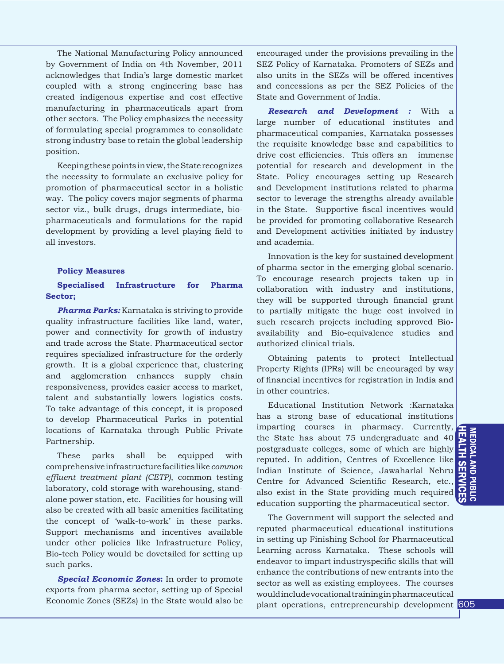The National Manufacturing Policy announced by Government of India on 4th November, 2011 acknowledges that India's large domestic market coupled with a strong engineering base has created indigenous expertise and cost effective manufacturing in pharmaceuticals apart from other sectors. The Policy emphasizes the necessity of formulating special programmes to consolidate strong industry base to retain the global leadership position.

Keeping these points in view, the State recognizes the necessity to formulate an exclusive policy for promotion of pharmaceutical sector in a holistic way. The policy covers major segments of pharma sector viz., bulk drugs, drugs intermediate, biopharmaceuticals and formulations for the rapid development by providing a level playing field to all investors.

## **Policy Measures**

## **Specialised Infrastructure for Pharma Sector;**

*Pharma Parks:* Karnataka is striving to provide quality infrastructure facilities like land, water, power and connectivity for growth of industry and trade across the State. Pharmaceutical sector requires specialized infrastructure for the orderly growth. It is a global experience that, clustering and agglomeration enhances supply chain responsiveness, provides easier access to market, talent and substantially lowers logistics costs. To take advantage of this concept, it is proposed to develop Pharmaceutical Parks in potential locations of Karnataka through Public Private Partnership.

These parks shall be equipped with comprehensive infrastructure facilities like *common effluent treatment plant (CETP)*, common testing laboratory, cold storage with warehousing, standalone power station, etc. Facilities for housing will also be created with all basic amenities facilitating the concept of 'walk-to-work' in these parks. Support mechanisms and incentives available under other policies like Infrastructure Policy, Bio-tech Policy would be dovetailed for setting up such parks.

*Special Economic Zones***:** In order to promote exports from pharma sector, setting up of Special Economic Zones (SEZs) in the State would also be encouraged under the provisions prevailing in the SEZ Policy of Karnataka. Promoters of SEZs and also units in the SEZs will be offered incentives and concessions as per the SEZ Policies of the State and Government of India.

*Research and Development :* With a large number of educational institutes and pharmaceutical companies, Karnataka possesses the requisite knowledge base and capabilities to drive cost efficiencies. This offers an immense potential for research and development in the State. Policy encourages setting up Research and Development institutions related to pharma sector to leverage the strengths already available in the State. Supportive fiscal incentives would be provided for promoting collaborative Research and Development activities initiated by industry and academia.

Innovation is the key for sustained development of pharma sector in the emerging global scenario. To encourage research projects taken up in collaboration with industry and institutions, they will be supported through financial grant to partially mitigate the huge cost involved in such research projects including approved Bioavailability and Bio-equivalence studies and authorized clinical trials.

Obtaining patents to protect Intellectual Property Rights (IPRs) will be encouraged by way of financial incentives for registration in India and in other countries.

Educational Institution Network :Karnataka has a strong base of educational institutions imparting courses in pharmacy. Currently, the State has about 75 undergraduate and 40 postgraduate colleges, some of which are highly reputed. In addition, Centres of Excellence like Indian Institute of Science, Jawaharlal Nehru Centre for Advanced Scientific Research, etc., also exist in the State providing much required education supporting the pharmaceutical sector.

The Government will support the selected and reputed pharmaceutical educational institutions in setting up Finishing School for Pharmaceutical Learning across Karnataka. These schools will endeavor to impart industryspecific skills that will enhance the contributions of new entrants into the sector as well as existing employees. The courses would include vocational training in pharmaceutical plant operations, entrepreneurship development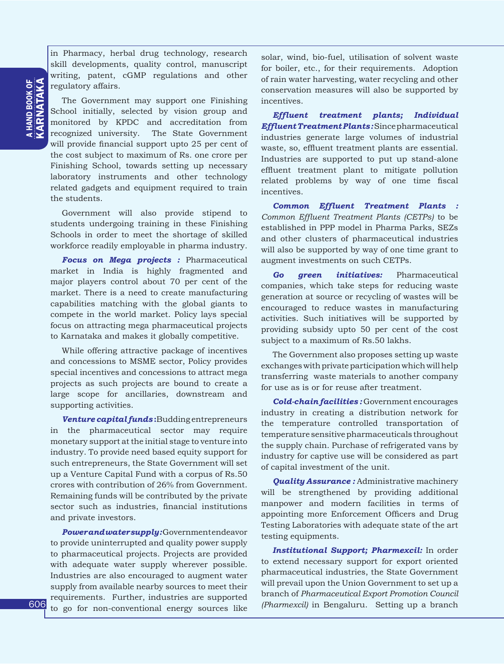in Pharmacy, herbal drug technology, research skill developments, quality control, manuscript writing, patent, cGMP regulations and other regulatory affairs.

The Government may support one Finishing School initially, selected by vision group and monitored by KPDC and accreditation from recognized university. The State Government will provide financial support upto 25 per cent of the cost subject to maximum of Rs. one crore per Finishing School, towards setting up necessary laboratory instruments and other technology related gadgets and equipment required to train the students.

Government will also provide stipend to students undergoing training in these Finishing Schools in order to meet the shortage of skilled workforce readily employable in pharma industry.

*Focus on Mega projects :* Pharmaceutical market in India is highly fragmented and major players control about 70 per cent of the market. There is a need to create manufacturing capabilities matching with the global giants to compete in the world market. Policy lays special focus on attracting mega pharmaceutical projects to Karnataka and makes it globally competitive.

While offering attractive package of incentives and concessions to MSME sector, Policy provides special incentives and concessions to attract mega projects as such projects are bound to create a large scope for ancillaries, downstream and supporting activities.

*Venture capital funds* **:**Budding entrepreneurs in the pharmaceutical sector may require monetary support at the initial stage to venture into industry. To provide need based equity support for such entrepreneurs, the State Government will set up a Venture Capital Fund with a corpus of Rs.50 crores with contribution of 26% from Government. Remaining funds will be contributed by the private sector such as industries, financial institutions and private investors.

*Power and water supply :* Government endeavor to provide uninterrupted and quality power supply to pharmaceutical projects. Projects are provided with adequate water supply wherever possible. Industries are also encouraged to augment water supply from available nearby sources to meet their requirements. Further, industries are supported to go for non-conventional energy sources like

solar, wind, bio-fuel, utilisation of solvent waste for boiler, etc., for their requirements. Adoption of rain water harvesting, water recycling and other conservation measures will also be supported by incentives.

*Effluent treatment plants; Individual Effluent Treatment Plants :* Since pharmaceutical industries generate large volumes of industrial waste, so, effluent treatment plants are essential. Industries are supported to put up stand-alone effluent treatment plant to mitigate pollution related problems by way of one time fiscal incentives.

*Common Effluent Treatment Plants : Common Effluent Treatment Plants (CETPs)* to be established in PPP model in Pharma Parks, SEZs and other clusters of pharmaceutical industries will also be supported by way of one time grant to augment investments on such CETPs.

*Go green initiatives:* Pharmaceutical companies, which take steps for reducing waste generation at source or recycling of wastes will be encouraged to reduce wastes in manufacturing activities. Such initiatives will be supported by providing subsidy upto 50 per cent of the cost subject to a maximum of Rs.50 lakhs.

The Government also proposes setting up waste exchanges with private participation which will help transferring waste materials to another company for use as is or for reuse after treatment.

*Cold-chain facilities :* Government encourages industry in creating a distribution network for the temperature controlled transportation of temperature sensitive pharmaceuticals throughout the supply chain. Purchase of refrigerated vans by industry for captive use will be considered as part of capital investment of the unit.

*Quality Assurance :* Administrative machinery will be strengthened by providing additional manpower and modern facilities in terms of appointing more Enforcement Officers and Drug Testing Laboratories with adequate state of the art testing equipments.

*Institutional Support; Pharmexcil:* In order to extend necessary support for export oriented pharmaceutical industries, the State Government will prevail upon the Union Government to set up a branch of *Pharmaceutical Export Promotion Council (Pharmexcil)* in Bengaluru. Setting up a branch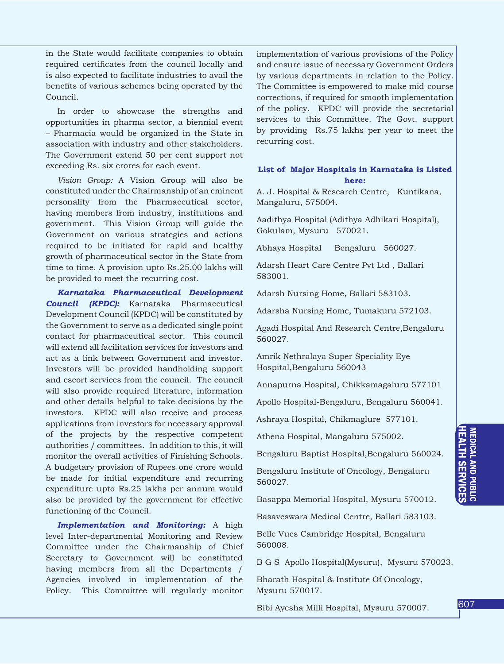in the State would facilitate companies to obtain required certificates from the council locally and is also expected to facilitate industries to avail the benefits of various schemes being operated by the Council.

In order to showcase the strengths and opportunities in pharma sector, a biennial event – Pharmacia would be organized in the State in association with industry and other stakeholders. The Government extend 50 per cent support not exceeding Rs. six crores for each event.

*Vision Group:* A Vision Group will also be constituted under the Chairmanship of an eminent personality from the Pharmaceutical sector, having members from industry, institutions and government. This Vision Group will guide the Government on various strategies and actions required to be initiated for rapid and healthy growth of pharmaceutical sector in the State from time to time. A provision upto Rs.25.00 lakhs will be provided to meet the recurring cost.

*Karnataka Pharmaceutical Development Council (KPDC):* Karnataka Pharmaceutical Development Council (KPDC) will be constituted by the Government to serve as a dedicated single point contact for pharmaceutical sector. This council will extend all facilitation services for investors and act as a link between Government and investor. Investors will be provided handholding support and escort services from the council. The council will also provide required literature, information and other details helpful to take decisions by the investors. KPDC will also receive and process applications from investors for necessary approval of the projects by the respective competent authorities / committees. In addition to this, it will monitor the overall activities of Finishing Schools. A budgetary provision of Rupees one crore would be made for initial expenditure and recurring expenditure upto Rs.25 lakhs per annum would also be provided by the government for effective functioning of the Council.

*Implementation and Monitoring:* A high level Inter-departmental Monitoring and Review Committee under the Chairmanship of Chief Secretary to Government will be constituted having members from all the Departments / Agencies involved in implementation of the Policy. This Committee will regularly monitor

implementation of various provisions of the Policy and ensure issue of necessary Government Orders by various departments in relation to the Policy. The Committee is empowered to make mid-course corrections, if required for smooth implementation of the policy. KPDC will provide the secretarial services to this Committee. The Govt. support by providing Rs.75 lakhs per year to meet the recurring cost.

## **List of Major Hospitals in Karnataka is Listed here:**

A. J. Hospital & Research Centre, Kuntikana, Mangaluru, 575004.

Aadithya Hospital (Adithya Adhikari Hospital), Gokulam, Mysuru 570021.

Abhaya Hospital Bengaluru 560027.

Adarsh Heart Care Centre Pvt Ltd , Ballari 583001.

Adarsh Nursing Home, Ballari 583103.

Adarsha Nursing Home, Tumakuru 572103.

Agadi Hospital And Research Centre,Bengaluru 560027.

Amrik Nethralaya Super Speciality Eye Hospital,Bengaluru 560043

Annapurna Hospital, Chikkamagaluru 577101

Apollo Hospital-Bengaluru, Bengaluru 560041.

Ashraya Hospital, Chikmaglure 577101.

Athena Hospital, Mangaluru 575002.

Bengaluru Baptist Hospital,Bengaluru 560024.

Bengaluru Institute of Oncology, Bengaluru 560027.

Basappa Memorial Hospital, Mysuru 570012.

Basaveswara Medical Centre, Ballari 583103.

Belle Vues Cambridge Hospital, Bengaluru 560008.

B G S Apollo Hospital(Mysuru), Mysuru 570023.

Bharath Hospital & Institute Of Oncology, Mysuru 570017.

Bibi Ayesha Milli Hospital, Mysuru 570007.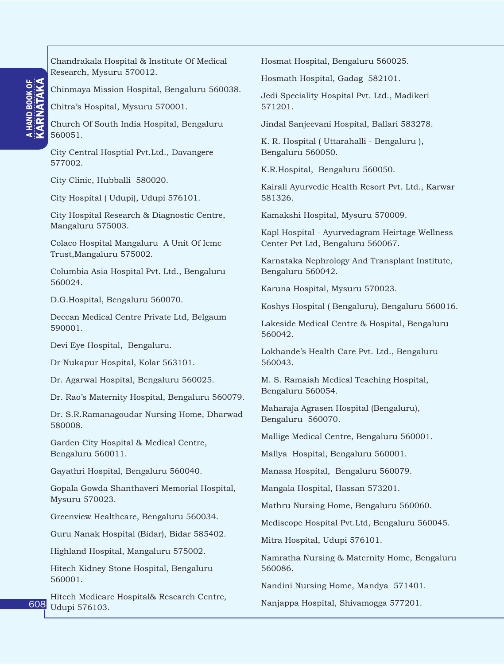Chandrakala Hospital & Institute Of Medical Research, Mysuru 570012.

Chinmaya Mission Hospital, Bengaluru 560038.

Chitra's Hospital, Mysuru 570001.

Church Of South India Hospital, Bengaluru 560051.

City Central Hosptial Pvt.Ltd., Davangere 577002.

City Clinic, Hubballi 580020.

City Hospital ( Udupi), Udupi 576101.

City Hospital Research & Diagnostic Centre, Mangaluru 575003.

Colaco Hospital Mangaluru A Unit Of Icmc Trust,Mangaluru 575002.

Columbia Asia Hospital Pvt. Ltd., Bengaluru 560024.

D.G.Hospital, Bengaluru 560070.

Deccan Medical Centre Private Ltd, Belgaum 590001.

Devi Eye Hospital, Bengaluru.

Dr Nukapur Hospital, Kolar 563101.

Dr. Agarwal Hospital, Bengaluru 560025.

Dr. Rao's Maternity Hospital, Bengaluru 560079.

Dr. S.R.Ramanagoudar Nursing Home, Dharwad 580008.

Garden City Hospital & Medical Centre, Bengaluru 560011.

Gayathri Hospital, Bengaluru 560040.

Gopala Gowda Shanthaveri Memorial Hospital, Mysuru 570023.

Greenview Healthcare, Bengaluru 560034.

Guru Nanak Hospital (Bidar), Bidar 585402.

Highland Hospital, Mangaluru 575002.

Hitech Kidney Stone Hospital, Bengaluru 560001.

Hitech Medicare Hospital& Research Centre, Udupi 576103.

Hosmat Hospital, Bengaluru 560025.

Hosmath Hospital, Gadag 582101.

Jedi Speciality Hospital Pvt. Ltd., Madikeri 571201.

Jindal Sanjeevani Hospital, Ballari 583278.

K. R. Hospital ( Uttarahalli - Bengaluru ), Bengaluru 560050.

K.R.Hospital, Bengaluru 560050.

Kairali Ayurvedic Health Resort Pvt. Ltd., Karwar 581326.

Kamakshi Hospital, Mysuru 570009.

Kapl Hospital - Ayurvedagram Heirtage Wellness Center Pvt Ltd, Bengaluru 560067.

Karnataka Nephrology And Transplant Institute, Bengaluru 560042.

Karuna Hospital, Mysuru 570023.

Koshys Hospital ( Bengaluru), Bengaluru 560016.

Lakeside Medical Centre & Hospital, Bengaluru 560042.

Lokhande's Health Care Pvt. Ltd., Bengaluru 560043.

M. S. Ramaiah Medical Teaching Hospital, Bengaluru 560054.

Maharaja Agrasen Hospital (Bengaluru), Bengaluru 560070.

Mallige Medical Centre, Bengaluru 560001.

Mallya Hospital, Bengaluru 560001.

Manasa Hospital, Bengaluru 560079.

Mangala Hospital, Hassan 573201.

Mathru Nursing Home, Bengaluru 560060.

Mediscope Hospital Pvt.Ltd, Bengaluru 560045.

Mitra Hospital, Udupi 576101.

Namratha Nursing & Maternity Home, Bengaluru 560086.

Nandini Nursing Home, Mandya 571401.

Nanjappa Hospital, Shivamogga 577201.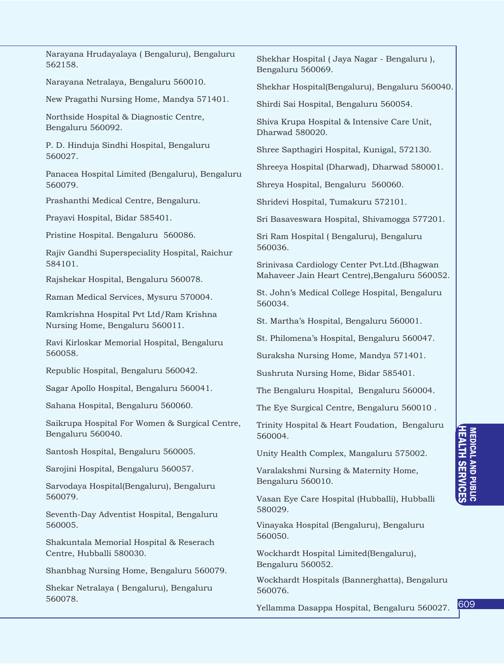| Narayana Hrudayalaya (Bengaluru), Bengaluru<br>562158.                     | Shekhar<br>Bengalur    |
|----------------------------------------------------------------------------|------------------------|
| Narayana Netralaya, Bengaluru 560010.                                      | Shekhar                |
| New Pragathi Nursing Home, Mandya 571401.                                  | Shirdi Sa              |
| Northside Hospital & Diagnostic Centre,<br>Bengaluru 560092.               | Shiva Kr<br>Dharwad    |
| P. D. Hinduja Sindhi Hospital, Bengaluru<br>560027.                        | Shree Sa               |
| Panacea Hospital Limited (Bengaluru), Bengaluru<br>560079.                 | Shreeya i<br>Shreya H  |
| Prashanthi Medical Centre, Bengaluru.                                      | Shridevi               |
| Prayavi Hospital, Bidar 585401.                                            | Sri Basay              |
| Pristine Hospital. Bengaluru 560086.                                       | Sri Ram                |
| Rajiv Gandhi Superspeciality Hospital, Raichur<br>584101.                  | 560036.<br>Srinivasa   |
| Rajshekar Hospital, Bengaluru 560078.                                      | Mahavee                |
| Raman Medical Services, Mysuru 570004.                                     | St. John'<br>560034.   |
| Ramkrishna Hospital Pvt Ltd/Ram Krishna<br>Nursing Home, Bengaluru 560011. | St. Marth              |
| Ravi Kirloskar Memorial Hospital, Bengaluru<br>560058.                     | St. Philor<br>Suraksha |
| Republic Hospital, Bengaluru 560042.                                       | Sushruta               |
| Sagar Apollo Hospital, Bengaluru 560041.                                   | The Beng               |
| Sahana Hospital, Bengaluru 560060.                                         | The Eye                |
| Saikrupa Hospital For Women & Surgical Centre,<br>Bengaluru 560040.        | Trinity H<br>560004.   |
| Santosh Hospital, Bengaluru 560005.                                        | Unity He               |
| Sarojini Hospital, Bengaluru 560057.                                       | Varalaks               |
| Sarvodaya Hospital(Bengaluru), Bengaluru                                   | Bengalur               |
| 560079.<br>Seventh-Day Adventist Hospital, Bengaluru                       | Vasan Ey<br>580029.    |
| 560005.                                                                    | Vinayaka<br>560050.    |
| Shakuntala Memorial Hospital & Reserach<br>Centre, Hubballi 580030.        | Wockhar<br>Bengalur    |

Shanbhag Nursing Home, Bengaluru 560079.

Shekar Netralaya ( Bengaluru), Bengaluru 560078.

Hospital ( Jaya Nagar - Bengaluru ), u 560069.

Hospital(Bengaluru), Bengaluru 560040.

ai Hospital, Bengaluru 560054.

upa Hospital & Intensive Care Unit, 580020.

pthagiri Hospital, Kunigal, 572130.

Hospital (Dharwad), Dharwad 580001.

Iospital, Bengaluru 560060.

Hospital, Tumakuru 572101.

veswara Hospital, Shivamogga 577201.

Hospital ( Bengaluru), Bengaluru

a Cardiology Center Pvt.Ltd.(Bhagwan r Jain Heart Centre),Bengaluru 560052.

's Medical College Hospital, Bengaluru

na's Hospital, Bengaluru 560001.

mena's Hospital, Bengaluru 560047.

a Nursing Home, Mandya 571401.

a Nursing Home, Bidar 585401.

zaluru Hospital, Bengaluru 560004.

Surgical Centre, Bengaluru 560010.

ospital & Heart Foudation, Bengaluru

alth Complex, Mangaluru 575002.

hmi Nursing & Maternity Home,  $\mu$  560010.

ve Care Hospital (Hubballi), Hubballi

a Hospital (Bengaluru), Bengaluru

dt Hospital Limited(Bengaluru), u 560052.

Wockhardt Hospitals (Bannerghatta), Bengaluru 560076.

Yellamma Dasappa Hospital, Bengaluru 560027.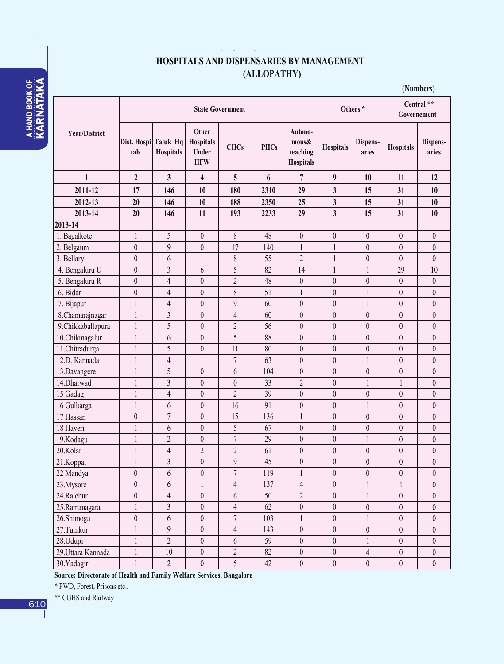## HOSPITALS AND DISPENSARIES BY MANAGEMENT (ALLOPATHY)

 $=$   $\overline{ }$ 

(Numbers)

|                      |                              |                         |                                                  | <b>State Government</b> |             |                                                  |                         | Others *          | Central **<br>Governement |                   |  |
|----------------------|------------------------------|-------------------------|--------------------------------------------------|-------------------------|-------------|--------------------------------------------------|-------------------------|-------------------|---------------------------|-------------------|--|
| <b>Year/District</b> | Dist. Hospi Taluk Hq<br>tals | <b>Hospitals</b>        | Other<br><b>Hospitals</b><br>Under<br><b>HFW</b> | <b>CHCs</b>             | <b>PHCs</b> | Autono-<br>mous&<br>teaching<br><b>Hospitals</b> | <b>Hospitals</b>        | Dispens-<br>aries | <b>Hospitals</b>          | Dispens-<br>aries |  |
| $\mathbf{1}$         | $\overline{2}$               | $\overline{\mathbf{3}}$ | $\overline{\mathbf{4}}$                          | 5                       | 6           | $\overline{7}$                                   | 9                       | 10                | 11                        | 12                |  |
| 2011-12              | 17                           | 146                     | 10                                               | 180                     | 2310        | 29                                               | $\overline{\mathbf{3}}$ | 15                | 31                        | 10                |  |
| 2012-13              | 20                           | 146                     | 10                                               | 188                     | 2350        | 25                                               | $\overline{\mathbf{3}}$ | 15                | 31                        | 10                |  |
| 2013-14              | 20                           | 146                     | 11                                               | 193                     | 2233        | 29                                               | $\overline{\mathbf{3}}$ | 15                | 31                        | 10                |  |
| 2013-14              |                              |                         |                                                  |                         |             |                                                  |                         |                   |                           |                   |  |
| 1. Bagalkote         | $\mathbf{1}$                 | 5                       | $\boldsymbol{0}$                                 | 8                       | 48          | $\boldsymbol{0}$                                 | $\theta$                | $\theta$          | $\boldsymbol{0}$          | $\boldsymbol{0}$  |  |
| 2. Belgaum           | $\boldsymbol{0}$             | 9                       | $\boldsymbol{0}$                                 | 17                      | 140         | $\mathbf{1}$                                     | 1                       | $\boldsymbol{0}$  | $\boldsymbol{0}$          | $\boldsymbol{0}$  |  |
| 3. Bellary           | $\overline{0}$               | 6                       | $\mathbf{1}$                                     | 8                       | 55          | $\overline{2}$                                   | $\mathbf{1}$            | $\overline{0}$    | $\mathbf{0}$              | $\overline{0}$    |  |
| 4. Bengaluru U       | $\overline{0}$               | $\overline{3}$          | 6                                                | 5                       | 82          | 14                                               | $\mathbf{1}$            | 1                 | 29                        | 10                |  |
| 5. Bengaluru R       | $\boldsymbol{0}$             | $\overline{4}$          | $\boldsymbol{0}$                                 | $\overline{2}$          | 48          | $\boldsymbol{0}$                                 | $\boldsymbol{0}$        | $\boldsymbol{0}$  | $\boldsymbol{0}$          | $\boldsymbol{0}$  |  |
| 6. Bidar             | $\theta$                     | 4                       | $\boldsymbol{0}$                                 | 8                       | 51          | $\mathbf{1}$                                     | $\theta$                | 1                 | $\boldsymbol{0}$          | $\boldsymbol{0}$  |  |
| 7. Bijapur           | $\mathbf{1}$                 | $\overline{4}$          | $\boldsymbol{0}$                                 | 9                       | 60          | $\boldsymbol{0}$                                 | $\theta$                | 1                 | $\overline{0}$            | $\boldsymbol{0}$  |  |
| 8.Chamarajnagar      | $\mathbf{1}$                 | $\overline{3}$          | $\boldsymbol{0}$                                 | $\overline{4}$          | 60          | $\boldsymbol{0}$                                 | $\boldsymbol{0}$        | $\boldsymbol{0}$  | $\boldsymbol{0}$          | $\boldsymbol{0}$  |  |
| 9.Chikkaballapura    | $\,1\,$                      | 5                       | $\boldsymbol{0}$                                 | $\overline{2}$          | 56          | $\mathbf{0}$                                     | $\theta$                | $\boldsymbol{0}$  | $\boldsymbol{0}$          | $\boldsymbol{0}$  |  |
| 10.Chikmagalur       | $\mathbf{1}$                 | 6                       | $\boldsymbol{0}$                                 | 5                       | 88          | $\boldsymbol{0}$                                 | $\boldsymbol{0}$        | $\mathbf{0}$      | $\boldsymbol{0}$          | $\boldsymbol{0}$  |  |
| 11.Chitradurga       | $\mathbf{1}$                 | 5                       | $\boldsymbol{0}$                                 | 11                      | 80          | $\boldsymbol{0}$                                 | $\boldsymbol{0}$        | $\boldsymbol{0}$  | $\boldsymbol{0}$          | $\boldsymbol{0}$  |  |
| 12.D. Kannada        | $\mathbf{1}$                 | $\overline{4}$          | $\mathbf{1}$                                     | $\overline{7}$          | 63          | $\boldsymbol{0}$                                 | $\theta$                | $\mathbf{1}$      | $\theta$                  | $\theta$          |  |
| 13.Davangere         | $\mathbf{1}$                 | 5                       | $\boldsymbol{0}$                                 | 6                       | 104         | $\boldsymbol{0}$                                 | $\theta$                | $\theta$          | $\boldsymbol{0}$          | $\boldsymbol{0}$  |  |
| 14. Dharwad          | $\mathbf{1}$                 | $\overline{3}$          | $\boldsymbol{0}$                                 | $\boldsymbol{0}$        | 33          | $\overline{2}$                                   | $\boldsymbol{0}$        | 1                 | $\mathbf{1}$              | $\boldsymbol{0}$  |  |
| 15 Gadag             | $\mathbf{1}$                 | 4                       | $\boldsymbol{0}$                                 | $\overline{2}$          | 39          | $\boldsymbol{0}$                                 | $\theta$                | $\boldsymbol{0}$  | $\theta$                  | $\boldsymbol{0}$  |  |
| 16 Gulbarga          | $\mathbf{1}$                 | 6                       | $\boldsymbol{0}$                                 | 16                      | 91          | $\boldsymbol{0}$                                 | $\boldsymbol{0}$        | 1                 | $\boldsymbol{0}$          | $\boldsymbol{0}$  |  |
| 17 Hassan            | $\boldsymbol{0}$             | $\overline{7}$          | $\boldsymbol{0}$                                 | 15                      | 136         | $\mathbf{1}$                                     | $\boldsymbol{0}$        | $\boldsymbol{0}$  | $\boldsymbol{0}$          | $\boldsymbol{0}$  |  |
| 18 Haveri            | $\mathbf{1}$                 | 6                       | $\boldsymbol{0}$                                 | 5                       | 67          | $\boldsymbol{0}$                                 | $\theta$                | $\boldsymbol{0}$  | $\theta$                  | $\theta$          |  |
| 19.Kodagu            | $\mathbf{1}$                 | $\overline{2}$          | $\boldsymbol{0}$                                 | $\overline{7}$          | 29          | $\boldsymbol{0}$                                 | $\boldsymbol{0}$        | 1                 | $\boldsymbol{0}$          | $\boldsymbol{0}$  |  |
| 20.Kolar             | $\mathbf{1}$                 | $\overline{4}$          | $\overline{2}$                                   | $\overline{2}$          | 61          | $\boldsymbol{0}$                                 | $\boldsymbol{0}$        | $\boldsymbol{0}$  | $\boldsymbol{0}$          | $\boldsymbol{0}$  |  |
| 21.Koppal            | $\mathbf{1}$                 | $\mathfrak{Z}$          | $\boldsymbol{0}$                                 | 9                       | 45          | $\boldsymbol{0}$                                 | $\boldsymbol{0}$        | $\boldsymbol{0}$  | $\boldsymbol{0}$          | $\boldsymbol{0}$  |  |
| 22 Mandya            | $\mathbf{0}$                 | 6                       | $\boldsymbol{0}$                                 | $\overline{7}$          | 119         |                                                  | $\boldsymbol{0}$        | $\mathbf{0}$      | $\mathbf{0}$              | $\boldsymbol{0}$  |  |
| 23.Mysore            | $\boldsymbol{0}$             | 6                       | 1                                                | $\overline{4}$          | 137         | $\overline{4}$                                   | $\boldsymbol{0}$        | 1                 | 1                         | $\boldsymbol{0}$  |  |
| 24. Raichur          | $\overline{0}$               | $\overline{4}$          | $\boldsymbol{0}$                                 | 6                       | 50          | $\overline{2}$                                   | $\overline{0}$          | $\mathbf{1}$      | $\overline{0}$            | $\theta$          |  |
| 25.Ramanagara        | $\mathbf{1}$                 | $\overline{3}$          | $\boldsymbol{0}$                                 | $\overline{4}$          | 62          | $\boldsymbol{0}$                                 | $\boldsymbol{0}$        | $\boldsymbol{0}$  | $\boldsymbol{0}$          | $\boldsymbol{0}$  |  |
| 26.Shimoga           | $\boldsymbol{0}$             | 6                       | $\boldsymbol{0}$                                 | $7\phantom{.}$          | 103         | 1                                                | $\boldsymbol{0}$        | 1                 | $\boldsymbol{0}$          | $\boldsymbol{0}$  |  |
| 27.Tumkur            | $\mathbf{1}$                 | 9                       | $\boldsymbol{0}$                                 | $\overline{4}$          | 143         | $\overline{0}$                                   | $\overline{0}$          | $\boldsymbol{0}$  | $\overline{0}$            | $\theta$          |  |
| 28.Udupi             | $\mathbf{1}$                 | $\overline{2}$          | $\boldsymbol{0}$                                 | 6                       | 59          | $\boldsymbol{0}$                                 | $\boldsymbol{0}$        | $\mathbf{1}$      | $\boldsymbol{0}$          | $\boldsymbol{0}$  |  |
| 29. Uttara Kannada   | $\,1$                        | 10                      | $\boldsymbol{0}$                                 | $\overline{2}$          | 82          | $\boldsymbol{0}$                                 | $\boldsymbol{0}$        | $\overline{4}$    | $\boldsymbol{0}$          | $\boldsymbol{0}$  |  |
| 30.Yadagiri          | $\mathbf{1}$                 | $\overline{2}$          | $0\,$                                            | 5                       | 42          | $\boldsymbol{0}$                                 | $\boldsymbol{0}$        | $\boldsymbol{0}$  | $\boldsymbol{0}$          | $\boldsymbol{0}$  |  |

Source: Directorate of Health and Family Welfare Services, Bangalore

\* PWD, Forest, Prisons etc.,

\*\* CGHS and Railway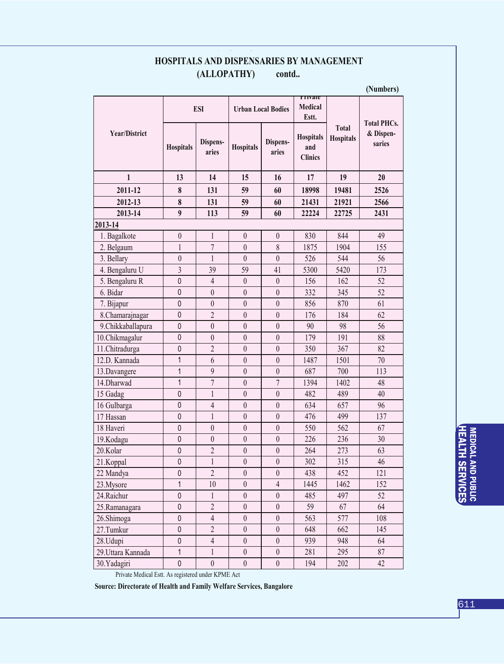## HOSPITALS AND DISPENSARIES BY MANAGEMENT (ALLOPATHY) contd..

"&16786

(Numbers)

|                      |                  |                                                            |                           |                                           | <b>TTIVALU</b>                   |                     |                    |  |
|----------------------|------------------|------------------------------------------------------------|---------------------------|-------------------------------------------|----------------------------------|---------------------|--------------------|--|
|                      |                  | <b>ESI</b>                                                 | <b>Urban Local Bodies</b> |                                           | <b>Medical</b><br>Estt.          |                     | <b>Total PHCs.</b> |  |
| <b>Year/District</b> | <b>Hospitals</b> | Dispens-<br>Dispens-<br><b>Hospitals</b><br>aries<br>aries |                           | <b>Hospitals</b><br>and<br><b>Clinics</b> | <b>Total</b><br><b>Hospitals</b> | & Dispen-<br>saries |                    |  |
| 1                    | 13               | 14                                                         | 15                        | 16                                        | 17                               | 19                  | 20                 |  |
| 2011-12              | 8                | 131                                                        | 59                        | 60                                        | 18998                            | 19481               | 2526               |  |
| 2012-13              | 8                | 131                                                        | 59                        | 60                                        | 21431                            | 21921               | 2566               |  |
| 2013-14              | $\boldsymbol{9}$ | 113                                                        | 59                        | 60                                        | 22224                            | 22725               | 2431               |  |
| 2013-14              |                  |                                                            |                           |                                           |                                  |                     |                    |  |
| 1. Bagalkote         | $\boldsymbol{0}$ | $\mathbf{1}$                                               | $\theta$                  | $\boldsymbol{0}$                          | 830                              | 844                 | 49                 |  |
| 2. Belgaum           | $\,1$            | $\overline{7}$                                             | $\boldsymbol{0}$          | $\,$ $\,$                                 | 1875                             | 1904                | 155                |  |
| 3. Bellary           | $\boldsymbol{0}$ | $\mathbf{1}$                                               | $\boldsymbol{0}$          | $\boldsymbol{0}$                          | 526                              | 544                 | 56                 |  |
| 4. Bengaluru U       | $\overline{3}$   | 39                                                         | 59                        | 41                                        | 5300                             | 5420                | 173                |  |
| 5. Bengaluru R       | $\mathbf 0$      | $\overline{4}$                                             | $\boldsymbol{0}$          | $\boldsymbol{0}$                          | 156                              | 162                 | 52                 |  |
| 6. Bidar             | $\pmb{0}$        | $\boldsymbol{0}$                                           | $\boldsymbol{0}$          | $\boldsymbol{0}$                          | 332                              | 345                 | 52                 |  |
| 7. Bijapur           | $\mathbf 0$      | $\boldsymbol{0}$                                           | $\boldsymbol{0}$          | $\boldsymbol{0}$                          | 856                              | 870                 | 61                 |  |
| 8.Chamarajnagar      | $\pmb{0}$        | $\sqrt{2}$                                                 | $\boldsymbol{0}$          | $\boldsymbol{0}$                          | 176                              | 184                 | 62                 |  |
| 9.Chikkaballapura    | $\pmb{0}$        | $\boldsymbol{0}$                                           | $\boldsymbol{0}$          | $\boldsymbol{0}$                          | 90                               | 98                  | 56                 |  |
| 10.Chikmagalur       | $\mathbf 0$      | $\theta$                                                   | $\boldsymbol{0}$          | $\boldsymbol{0}$                          | 179                              | 191                 | 88                 |  |
| 11. Chitradurga      | $\pmb{0}$        | $\overline{2}$                                             | $\boldsymbol{0}$          | $\boldsymbol{0}$                          | 350                              | 367                 | 82                 |  |
| 12.D. Kannada        | 1                | $6\,$                                                      | $\boldsymbol{0}$          | $\boldsymbol{0}$                          | 1487                             | 1501                | 70                 |  |
| 13. Davangere        | 1                | $\overline{9}$                                             | $\boldsymbol{0}$          | $\boldsymbol{0}$                          | 687                              | 700                 | 113                |  |
| 14. Dharwad          | $\mathbf 1$      | $\overline{7}$                                             | $\boldsymbol{0}$          | $\sqrt{ }$                                | 1394                             | 1402                | 48                 |  |
| 15 Gadag             | $\pmb{0}$        | $\mathbf{1}$                                               | $\boldsymbol{0}$          | $\boldsymbol{0}$                          | 482                              | 489                 | 40                 |  |
| 16 Gulbarga          | $\mathbf 0$      | $\overline{4}$                                             | $\boldsymbol{0}$          | $\boldsymbol{0}$                          | 634                              | 657                 | 96                 |  |
| 17 Hassan            | $\mathbf 0$      | $\mathbf{1}$                                               | $\boldsymbol{0}$          | $\boldsymbol{0}$                          | 476                              | 499                 | 137                |  |
| 18 Haveri            | $\pmb{0}$        | $\boldsymbol{0}$                                           | $\boldsymbol{0}$          | $\boldsymbol{0}$                          | 550                              | 562                 | 67                 |  |
| 19.Kodagu            | $\mathbf 0$      | $\boldsymbol{0}$                                           | $\boldsymbol{0}$          | $\boldsymbol{0}$                          | 226                              | 236                 | 30                 |  |
| 20.Kolar             | $\mathbf 0$      | $\overline{2}$                                             | $\boldsymbol{0}$          | $\boldsymbol{0}$                          | 264                              | 273                 | 63                 |  |
| 21.Koppal            | $\pmb{0}$        | $\mathbf{1}$                                               | $\boldsymbol{0}$          | $\boldsymbol{0}$                          | 302                              | 315                 | 46                 |  |
| 22 Mandya            | 0                | $\overline{2}$                                             | $\boldsymbol{0}$          | $\boldsymbol{0}$                          | 438                              | 452                 | 121                |  |
| 23. Mysore           | $\mathbf{1}$     | $10\,$                                                     | $\boldsymbol{0}$          | $\overline{4}$                            | 1445                             | 1462                | 152                |  |
| 24. Raichur          | $\pmb{0}$        | $\mathbf{1}$                                               | $\boldsymbol{0}$          | $\boldsymbol{0}$                          | 485                              | 497                 | 52                 |  |
| 25.Ramanagara        | $\pmb{0}$        | $\overline{2}$                                             | $\boldsymbol{0}$          | $\boldsymbol{0}$                          | 59                               | 67                  | 64                 |  |
| 26.Shimoga           | $\pmb{0}$        | $\overline{4}$                                             | $\boldsymbol{0}$          | $\boldsymbol{0}$                          | 563                              | 577                 | 108                |  |
| 27.Tumkur            | 0                | $\sqrt{2}$                                                 | $\boldsymbol{0}$          | $\boldsymbol{0}$                          | 648                              | 662                 | 145                |  |
| 28. Udupi            | $\pmb{0}$        | $\overline{4}$                                             | $\boldsymbol{0}$          | $\boldsymbol{0}$                          | 939                              | 948                 | 64                 |  |
| 29. Uttara Kannada   | $\mathbf{1}$     | $\,1$                                                      | $\boldsymbol{0}$          | $\boldsymbol{0}$                          | 281                              | 295                 | 87                 |  |
| 30.Yadagiri          | $\pmb{0}$        | $\boldsymbol{0}$                                           | $\boldsymbol{0}$          | $\boldsymbol{0}$                          | 194                              | 202                 | 42                 |  |

Source: Directorate of Health and Family Welfare Services, Bangalore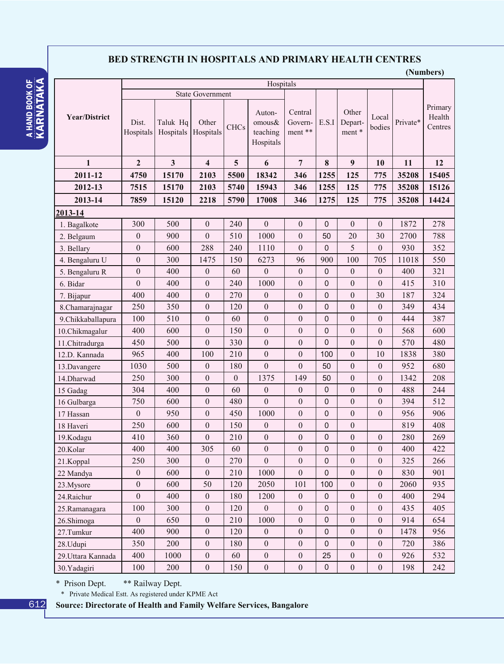## **BED STRENGTH IN HOSPITALS AND PRIMARY HEALTH CENTRES**

(Numbers)

|                      | Hospitals               |                       |                         |              |                                           |                               |              |                            |                  |          | ~ ~- ~,                      |
|----------------------|-------------------------|-----------------------|-------------------------|--------------|-------------------------------------------|-------------------------------|--------------|----------------------------|------------------|----------|------------------------------|
|                      | <b>State Government</b> |                       |                         |              |                                           |                               |              |                            |                  |          |                              |
| <b>Year/District</b> | Dist.<br>Hospitals      | Taluk Hq<br>Hospitals | Other<br>Hospitals      | <b>CHCs</b>  | Auton-<br>omous&<br>teaching<br>Hospitals | Central<br>Govern-<br>ment ** | E.S.I        | Other<br>Depart-<br>ment * | Local<br>bodies  | Private* | Primary<br>Health<br>Centres |
| $\mathbf{1}$         | $\overline{2}$          | $\mathbf{3}$          | $\overline{\mathbf{4}}$ | 5            | 6                                         | $\overline{7}$                | 8            | 9                          | 10               | 11       | 12                           |
| 2011-12              | 4750                    | 15170                 | 2103                    | 5500         | 18342                                     | 346                           | 1255         | 125                        | 775              | 35208    | 15405                        |
| 2012-13              | 7515                    | 15170                 | 2103                    | 5740         | 15943                                     | 346                           | 1255         | 125                        | 775              | 35208    | 15126                        |
| 2013-14              | 7859                    | 15120                 | 2218                    | 5790         | 17008                                     | 346                           | 1275         | 125                        | 775              | 35208    | 14424                        |
| 2013-14              |                         |                       |                         |              |                                           |                               |              |                            |                  |          |                              |
| 1. Bagalkote         | 300                     | 500                   | $\boldsymbol{0}$        | 240          | $\boldsymbol{0}$                          | $\boldsymbol{0}$              | $\mathbf 0$  | $\overline{0}$             | $\boldsymbol{0}$ | 1872     | 278                          |
| 2. Belgaum           | $\boldsymbol{0}$        | 900                   | $\theta$                | 510          | 1000                                      | $\boldsymbol{0}$              | 50           | 20                         | 30               | 2700     | 788                          |
| 3. Bellary           | $\boldsymbol{0}$        | 600                   | 288                     | 240          | 1110                                      | $\boldsymbol{0}$              | $\mathbf 0$  | 5                          | $\boldsymbol{0}$ | 930      | 352                          |
| 4. Bengaluru U       | $\boldsymbol{0}$        | 300                   | 1475                    | 150          | 6273                                      | 96                            | 900          | 100                        | 705              | 11018    | 550                          |
| 5. Bengaluru R       | $\boldsymbol{0}$        | 400                   | $\boldsymbol{0}$        | 60           | $\boldsymbol{0}$                          | $\boldsymbol{0}$              | $\mathbf 0$  | $\boldsymbol{0}$           | $\boldsymbol{0}$ | 400      | 321                          |
| 6. Bidar             | $\boldsymbol{0}$        | 400                   | $\boldsymbol{0}$        | 240          | 1000                                      | $\boldsymbol{0}$              | $\mathbf 0$  | $\boldsymbol{0}$           | $\boldsymbol{0}$ | 415      | 310                          |
| 7. Bijapur           | 400                     | 400                   | $\boldsymbol{0}$        | 270          | $\boldsymbol{0}$                          | $\boldsymbol{0}$              | $\pmb{0}$    | $\boldsymbol{0}$           | 30               | 187      | 324                          |
| 8. Chamarajnagar     | 250                     | 350                   | $\boldsymbol{0}$        | 120          | $\mathbf{0}$                              | $\boldsymbol{0}$              | $\mathbf 0$  | $\mathbf{0}$               | $\boldsymbol{0}$ | 349      | 434                          |
| 9. Chikkaballapura   | 100                     | 510                   | $\boldsymbol{0}$        | 60           | $\boldsymbol{0}$                          | $\boldsymbol{0}$              | 0            | $\boldsymbol{0}$           | $\boldsymbol{0}$ | 444      | 387                          |
| 10.Chikmagalur       | 400                     | 600                   | $\boldsymbol{0}$        | 150          | $\boldsymbol{0}$                          | $\boldsymbol{0}$              | $\mathbf{0}$ | $\overline{0}$             | $\boldsymbol{0}$ | 568      | 600                          |
| 11.Chitradurga       | 450                     | 500                   | $\boldsymbol{0}$        | 330          | $\boldsymbol{0}$                          | $\boldsymbol{0}$              | $\mathbf{0}$ | $\overline{0}$             | $\boldsymbol{0}$ | 570      | 480                          |
| 12.D. Kannada        | 965                     | 400                   | 100                     | 210          | $\boldsymbol{0}$                          | $\boldsymbol{0}$              | 100          | $\boldsymbol{0}$           | 10               | 1838     | 380                          |
| 13.Davangere         | 1030                    | 500                   | $\boldsymbol{0}$        | 180          | $\mathbf{0}$                              | $\boldsymbol{0}$              | 50           | $\boldsymbol{0}$           | $\boldsymbol{0}$ | 952      | 680                          |
| 14. Dharwad          | 250                     | 300                   | $\boldsymbol{0}$        | $\mathbf{0}$ | 1375                                      | 149                           | 50           | $\boldsymbol{0}$           | $\boldsymbol{0}$ | 1342     | 208                          |
| 15 Gadag             | 304                     | 400                   | $\boldsymbol{0}$        | 60           | $\boldsymbol{0}$                          | $\boldsymbol{0}$              | $\mathbf 0$  | $\overline{0}$             | $\boldsymbol{0}$ | 488      | 244                          |
| 16 Gulbarga          | 750                     | 600                   | $\boldsymbol{0}$        | 480          | $\boldsymbol{0}$                          | $\boldsymbol{0}$              | $\mathbf 0$  | $\boldsymbol{0}$           | $\boldsymbol{0}$ | 394      | 512                          |
| 17 Hassan            | $\boldsymbol{0}$        | 950                   | $\boldsymbol{0}$        | 450          | 1000                                      | $\boldsymbol{0}$              | $\mathbf 0$  | $\boldsymbol{0}$           | $\boldsymbol{0}$ | 956      | 906                          |
| 18 Haveri            | 250                     | 600                   | $\boldsymbol{0}$        | 150          | $\boldsymbol{0}$                          | $\boldsymbol{0}$              | 0            | $\boldsymbol{0}$           |                  | 819      | 408                          |
| 19.Kodagu            | 410                     | 360                   | $\boldsymbol{0}$        | 210          | $\boldsymbol{0}$                          | $\boldsymbol{0}$              | $\pmb{0}$    | $\boldsymbol{0}$           | $\boldsymbol{0}$ | 280      | 269                          |
| 20.Kolar             | 400                     | 400                   | 305                     | 60           | $\mathbf{0}$                              | $\boldsymbol{0}$              | $\mathbf 0$  | $\overline{0}$             | $\boldsymbol{0}$ | 400      | 422                          |
| 21.Koppal            | 250                     | 300                   | $\boldsymbol{0}$        | 270          | $\boldsymbol{0}$                          | $\boldsymbol{0}$              | $\pmb{0}$    | $\boldsymbol{0}$           | $\boldsymbol{0}$ | 325      | 266                          |
| 22 Mandya            | $\boldsymbol{0}$        | 600                   | $\boldsymbol{0}$        | 210          | 1000                                      | $\boldsymbol{0}$              | $\mathbf 0$  | $\boldsymbol{0}$           | $\boldsymbol{0}$ | 830      | 901                          |
| 23. Mysore           | $\boldsymbol{0}$        | 600                   | 50                      | 120          | 2050                                      | 101                           | 100          | $\boldsymbol{0}$           | $\boldsymbol{0}$ | 2060     | 935                          |
| 24.Raichur           | $\boldsymbol{0}$        | 400                   | $\boldsymbol{0}$        | 180          | 1200                                      | $\boldsymbol{0}$              | $\pmb{0}$    | $\boldsymbol{0}$           | $\boldsymbol{0}$ | 400      | 294                          |
| 25.Ramanagara        | 100                     | 300                   | $\boldsymbol{0}$        | 120          | $\boldsymbol{0}$                          | $\boldsymbol{0}$              | $\pmb{0}$    | $\boldsymbol{0}$           | $\boldsymbol{0}$ | 435      | 405                          |
| 26.Shimoga           | $\boldsymbol{0}$        | 650                   | $\boldsymbol{0}$        | 210          | 1000                                      | $\boldsymbol{0}$              | $\mathbf 0$  | $\boldsymbol{0}$           | $\boldsymbol{0}$ | 914      | 654                          |
| 27.Tumkur            | 400                     | 900                   | $\mathbf{0}$            | 120          | $\boldsymbol{0}$                          | $\boldsymbol{0}$              | 0            | $\boldsymbol{0}$           | $\boldsymbol{0}$ | 1478     | 956                          |
| 28.Udupi             | 350                     | 200                   | $\boldsymbol{0}$        | 180          | $\boldsymbol{0}$                          | $\boldsymbol{0}$              | 0            | $\boldsymbol{0}$           | $\boldsymbol{0}$ | 720      | 386                          |
| 29. Uttara Kannada   | 400                     | 1000                  | $\boldsymbol{0}$        | 60           | $\boldsymbol{0}$                          | $\boldsymbol{0}$              | 25           | $\boldsymbol{0}$           | $\boldsymbol{0}$ | 926      | 532                          |
| 30.Yadagiri          | 100                     | 200                   | $\boldsymbol{0}$        | 150          | $\boldsymbol{0}$                          | $\boldsymbol{0}$              | $\mathbf 0$  | $\boldsymbol{0}$           | $\boldsymbol{0}$ | 198      | 242                          |

\*\* Railway Dept. \* Prison Dept.

\* Private Medical Estt. As registered under KPME Act

Source: Directorate of Health and Family Welfare Services, Bangalore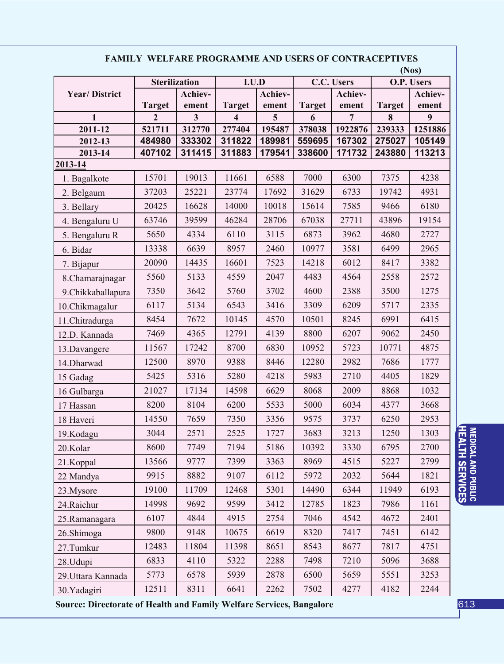| FAMILY WELFARE PROGRAMME AND USERS OF CONTRACEPTIVES<br>(Nos) |                               |                                  |                    |            |               |                         |                    |              |  |  |
|---------------------------------------------------------------|-------------------------------|----------------------------------|--------------------|------------|---------------|-------------------------|--------------------|--------------|--|--|
|                                                               | <b>Sterilization</b>          |                                  | I.U.D              |            | C.C. Users    |                         |                    | O.P. Users   |  |  |
| <b>Year/District</b>                                          |                               | Achiev-                          |                    | Achiev-    |               | Achiev-                 |                    | Achiev-      |  |  |
|                                                               | <b>Target</b><br>$\mathbf{2}$ | ement<br>$\overline{\mathbf{3}}$ | <b>Target</b><br>4 | ement<br>5 | <b>Target</b> | ement<br>$\overline{7}$ | <b>Target</b><br>8 | ement        |  |  |
| 1<br>2011-12                                                  | 521711                        | 312770                           | 277404             | 195487     | 6<br>378038   | 1922876                 | 239333             | 9<br>1251886 |  |  |
| 2012-13                                                       | 484980                        | 333302                           | 311822             | 189981     | 559695        | 167302                  | 275027             | 105149       |  |  |
| 2013-14                                                       | 407102                        | 311415                           | 311883             | 179541     | 338600        | 171732                  | 243880             | 113213       |  |  |
| 2013-14                                                       |                               |                                  |                    |            |               |                         |                    |              |  |  |
| 1. Bagalkote                                                  | 15701                         | 19013                            | 11661              | 6588       | 7000          | 6300                    | 7375               | 4238         |  |  |
| 2. Belgaum                                                    | 37203                         | 25221                            | 23774              | 17692      | 31629         | 6733                    | 19742              | 4931         |  |  |
| 3. Bellary                                                    | 20425                         | 16628                            | 14000              | 10018      | 15614         | 7585                    | 9466               | 6180         |  |  |
| 4. Bengaluru U                                                | 63746                         | 39599                            | 46284              | 28706      | 67038         | 27711                   | 43896              | 19154        |  |  |
| 5. Bengaluru R                                                | 5650                          | 4334                             | 6110               | 3115       | 6873          | 3962                    | 4680               | 2727         |  |  |
| 6. Bidar                                                      | 13338                         | 6639                             | 8957               | 2460       | 10977         | 3581                    | 6499               | 2965         |  |  |
| 7. Bijapur                                                    | 20090                         | 14435                            | 16601              | 7523       | 14218         | 6012                    | 8417               | 3382         |  |  |
| 8.Chamarajnagar                                               | 5560                          | 5133                             | 4559               | 2047       | 4483          | 4564                    | 2558               | 2572         |  |  |
| 9. Chikkaballapura                                            | 7350                          | 3642                             | 5760               | 3702       | 4600          | 2388                    | 3500               | 1275         |  |  |
| 10.Chikmagalur                                                | 6117                          | 5134                             | 6543               | 3416       | 3309          | 6209                    | 5717               | 2335         |  |  |
| 11.Chitradurga                                                | 8454                          | 7672                             | 10145              | 4570       | 10501         | 8245                    | 6991               | 6415         |  |  |
| 12.D. Kannada                                                 | 7469                          | 4365                             | 12791              | 4139       | 8800          | 6207                    | 9062               | 2450         |  |  |
| 13. Davangere                                                 | 11567                         | 17242                            | 8700               | 6830       | 10952         | 5723                    | 10771              | 4875         |  |  |
| 14. Dharwad                                                   | 12500                         | 8970                             | 9388               | 8446       | 12280         | 2982                    | 7686               | 1777         |  |  |
| 15 Gadag                                                      | 5425                          | 5316                             | 5280               | 4218       | 5983          | 2710                    | 4405               | 1829         |  |  |
| 16 Gulbarga                                                   | 21027                         | 17134                            | 14598              | 6629       | 8068          | 2009                    | 8868               | 1032         |  |  |
| 17 Hassan                                                     | 8200                          | 8104                             | 6200               | 5533       | 5000          | 6034                    | 4377               | 3668         |  |  |
| 18 Haveri                                                     | 14550                         | 7659                             | 7350               | 3356       | 9575          | 3737                    | 6250               | 2953         |  |  |
| 19.Kodagu                                                     | 3044                          | 2571                             | 2525               | 1727       | 3683          | 3213                    | 1250               | 1303         |  |  |
| 20.Kolar                                                      | 8600                          | 7749                             | 7194               | 5186       | 10392         | 3330                    | 6795               | 2700         |  |  |
| 21.Koppal                                                     | 13566                         | 9777                             | 7399               | 3363       | 8969          | 4515                    | 5227               | 2799         |  |  |
| 22 Mandya                                                     | 9915                          | 8882                             | 9107               | 6112       | 5972          | 2032                    | 5644               | 1821         |  |  |
| 23. Mysore                                                    | 19100                         | 11709                            | 12468              | 5301       | 14490         | 6344                    | 11949              | 6193         |  |  |
| 24. Raichur                                                   | 14998                         | 9692                             | 9599               | 3412       | 12785         | 1823                    | 7986               | 1161         |  |  |
| 25.Ramanagara                                                 | 6107                          | 4844                             | 4915               | 2754       | 7046          | 4542                    | 4672               | 2401         |  |  |
| 26.Shimoga                                                    | 9800                          | 9148                             | 10675              | 6619       | 8320          | 7417                    | 7451               | 6142         |  |  |
| 27. Tumkur                                                    | 12483                         | 11804                            | 11398              | 8651       | 8543          | 8677                    | 7817               | 4751         |  |  |
| 28.Udupi                                                      | 6833                          | 4110                             | 5322               | 2288       | 7498          | 7210                    | 5096               | 3688         |  |  |
| 29. Uttara Kannada                                            | 5773                          | 6578                             | 5939               | 2878       | 6500          | 5659                    | 5551               | 3253         |  |  |
| 30.Yadagiri                                                   | 12511                         | 8311                             | 6641               | 2262       | 7502          | 4277                    | 4182               | 2244         |  |  |

Source: Directorate of Health and Family Welfare Services, Bangalore